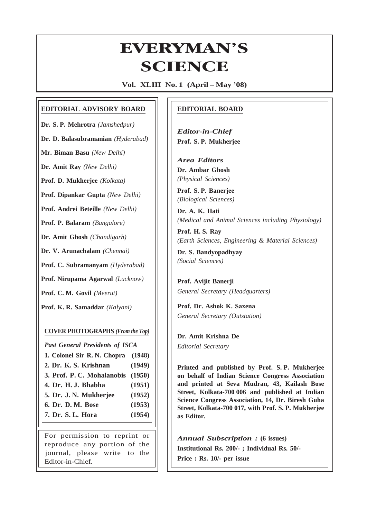# **EVERYMAN'S ERYMAN<br>SCIENCE**

**Vol. XLIII No. 1 (April – May '08)**

#### **EDITORIAL ADVISORY BOARD**

**Dr. S. P. Mehrotra** *(Jamshedpur)*

**Dr. D. Balasubramanian** *(Hyderabad)*

**Mr. Biman Basu** *(New Delhi)*

**Dr. Amit Ray** *(New Delhi)*

**Prof. D. Mukherjee** *(Kolkata)*

**Prof. Dipankar Gupta** *(New Delhi)*

**Prof. Andrei Beteille** *(New Delhi)*

**Prof. P. Balaram** *(Bangalore)*

**Dr. Amit Ghosh** *(Chandigarh)*

**Dr. V. Arunachalam** *(Chennai)*

**Prof. C. Subramanyam** *(Hyderabad)*

**Prof. Nirupama Agarwal** *(Lucknow)*

**Prof. C. M. Govil** *(Meerut)*

**Prof. K. R. Samaddar** *(Kalyani)*

#### **COVER PHOTOGRAPHS** *(From the Top)*

*Past General Presidents of ISCA*

- **1. Colonel Sir R. N. Chopra (1948) 2. Dr. K. S. Krishnan (1949)**
- **3. Prof. P. C. Mohalanobis (1950)**
- **4. Dr. H. J. Bhabha (1951)**
- **5. Dr. J. N. Mukherjee (1952)**
- **6. Dr. D. M. Bose (1953)**
- **7. Dr. S. L. Hora (1954)**

For permission to reprint or reproduce any portion of the journal, please write to the Editor-in-Chief.

#### **EDITORIAL BOARD**

*Editor-in-Chief* **Prof. S. P. Mukherjee**

*Area Editors* **Dr. Ambar Ghosh** *(Physical Sciences)*

**Prof. S. P. Banerjee** *(Biological Sciences)*

**Dr. A. K. Hati** *(Medical and Animal Sciences including Physiology)*

**Prof. H. S. Ray** *(Earth Sciences, Engineering & Material Sciences)*

**Dr. S. Bandyopadhyay** *(Social Sciences)*

**Prof. Avijit Banerji** *General Secretary (Headquarters)*

**Prof. Dr. Ashok K. Saxena** *General Secretary (Outstation)*

**Dr. Amit Krishna De** *Editorial Secretary*

|<br>|-

**Printed and published by Prof. S. P. Mukherjee on behalf of Indian Science Congress Association and printed at Seva Mudran, 43, Kailash Bose Street, Kolkata-700 006 and published at Indian Science Congress Association, 14, Dr. Biresh Guha Street, Kolkata-700 017, with Prof. S. P. Mukherjee as Editor.**

*Annual Subscription :* **(6 issues) Institutional Rs. 200/- ; Individual Rs. 50/- Price : Rs. 10/- per issue**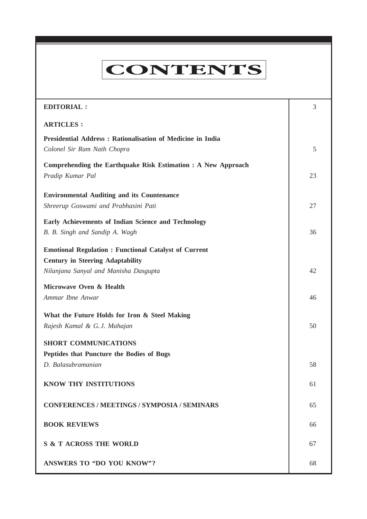# **CONTENTS**

**Everyman's Science VOL. XLIII NO. 1, April — May '08**

| <b>EDITORIAL:</b>                                                                                                                                | 3  |
|--------------------------------------------------------------------------------------------------------------------------------------------------|----|
| <b>ARTICLES:</b>                                                                                                                                 |    |
| <b>Presidential Address: Rationalisation of Medicine in India</b><br>Colonel Sir Ram Nath Chopra                                                 | 5  |
| Comprehending the Earthquake Risk Estimation : A New Approach<br>Pradip Kumar Pal                                                                | 23 |
| <b>Environmental Auditing and its Countenance</b><br>Shreerup Goswami and Prabhasini Pati                                                        | 27 |
| <b>Early Achievements of Indian Science and Technology</b><br>B. B. Singh and Sandip A. Wagh                                                     | 36 |
| <b>Emotional Regulation : Functional Catalyst of Current</b><br><b>Century in Steering Adaptability</b><br>Nilanjana Sanyal and Manisha Dasgupta | 42 |
| Microwave Oven & Health<br>Ammar Ibne Anwar                                                                                                      | 46 |
| What the Future Holds for Iron & Steel Making<br>Rajesh Kamal & G.J. Mahajan                                                                     | 50 |
| <b>SHORT COMMUNICATIONS</b>                                                                                                                      |    |
| Peptides that Puncture the Bodies of Bugs<br>D. Balasubramanian                                                                                  | 58 |
| <b>KNOW THY INSTITUTIONS</b>                                                                                                                     | 61 |
| <b>CONFERENCES / MEETINGS / SYMPOSIA / SEMINARS</b>                                                                                              | 65 |
| <b>BOOK REVIEWS</b>                                                                                                                              | 66 |
| <b>S &amp; T ACROSS THE WORLD</b>                                                                                                                | 67 |
| ANSWERS TO "DO YOU KNOW"?                                                                                                                        | 68 |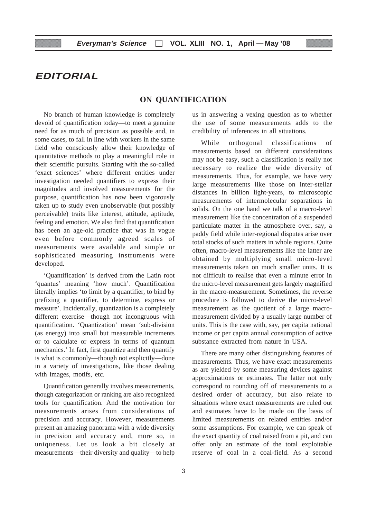# **EDITORIAL**

#### **ON QUANTIFICATION**

No branch of human knowledge is completely devoid of quantification today—to meet a genuine need for as much of precision as possible and, in some cases, to fall in line with workers in the same field who consciously allow their knowledge of quantitative methods to play a meaningful role in their scientific pursuits. Starting with the so-called 'exact sciences' where different entities under investigation needed quantifiers to express their magnitudes and involved measurements for the purpose, quantification has now been vigorously taken up to study even unobservable (but possibly perceivable) traits like interest, attitude, aptitude, feeling and emotion. We also find that quantification has been an age-old practice that was in vogue even before commonly agreed scales of measurements were available and simple or sophisticated measuring instruments were developed.

'Quantification' is derived from the Latin root 'quantus' meaning 'how much'. Quantification literally implies 'to limit by a quantifier, to bind by prefixing a quantifier, to determine, express or measure'. Incidentally, quantization is a completely different exercise—though not incongruous with quantification. 'Quantization' mean 'sub-division (as energy) into small but measurable increments or to calculate or express in terms of quantum mechanics.' In fact, first quantize and then quantify is what is commonly—though not explicitly—done in a variety of investigations, like those dealing with images, motifs, etc.

Quantification generally involves measurements, though categorization or ranking are also recognized tools for quantification. And the motivation for measurements arises from considerations of precision and accuracy. However, measurements present an amazing panorama with a wide diversity in precision and accuracy and, more so, in uniqueness. Let us look a bit closely at measurements—their diversity and quality—to help us in answering a vexing question as to whether the use of some measurements adds to the credibility of inferences in all situations.

While orthogonal classifications of measurements based on different considerations may not be easy, such a classification is really not necessary to realize the wide diversity of measurements. Thus, for example, we have very large measurements like those on inter-stellar distances in billion light-years, to microscopic measurements of intermolecular separations in solids. On the one hand we talk of a macro-level measurement like the concentration of a suspended particulate matter in the atmosphere over, say, a paddy field while inter-regional disputes arise over total stocks of such matters in whole regions. Quite often, macro-level measurements like the latter are obtained by multiplying small micro-level measurements taken on much smaller units. It is not difficult to realise that even a minute error in the micro-level measurement gets largely magnified in the macro-measurement. Sometimes, the reverse procedure is followed to derive the micro-level measurement as the quotient of a large macromeasurement divided by a usually large number of units. This is the case with, say, per capita national income or per capita annual consumption of active substance extracted from nature in USA.

There are many other distinguishing features of measurements. Thus, we have exact measurements as are yielded by some measuring devices against approximations or estimates. The latter not only correspond to rounding off of measurements to a desired order of accuracy, but also relate to situations where exact measurements are ruled out and estimates have to be made on the basis of limited measurements on related entities and/or some assumptions. For example, we can speak of the exact quantity of coal raised from a pit, and can offer only an estimate of the total exploitable reserve of coal in a coal-field. As a second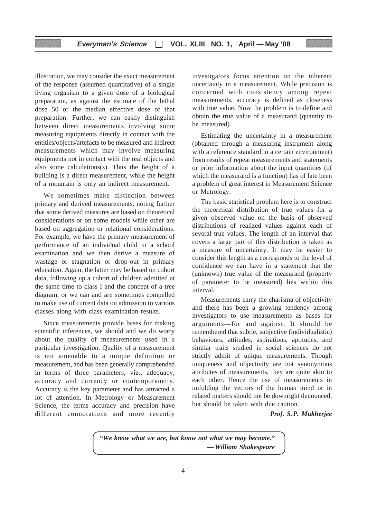illustration, we may consider the exact measurement of the response (assumed quantitative) of a single living organism to a given dose of a biological preparation, as against the estimate of the lethal dose 50 or the median effective dose of that preparation. Further, we can easily distinguish between direct measurements involving some measuring equipments directly in contact with the entities/objects/artefacts to be measured and indirect measurements which may involve measuring equipments not in contact with the real objects and also some calculations(s). Thus the height of a building is a direct measurement, while the height of a mountain is only an indirect measurement.

We sometimes make distinction between primary and derived measurements, noting further that some derived measures are based on theoretical considerations or on some models while other are based on aggregation or relational considerations. For example, we have the primary measurement of performance of an individual child in a school examination and we then derive a measure of wastage or stagnation or drop-out in primary education. Again, the latter may be based on cohort data, following up a cohort of children admitted at the same time to class I and the concept of a tree diagram, or we can and are sometimes compelled to make use of current data on admission to various classes along with class examination results.

Since measurements provide bases for making scientific inferences, we should and we do worry about the quality of measurements used in a particular investigation. Quality of a measurement is not amenable to a unique definition or measurement, and has been generally comprehended in terms of three parameters, viz., adequacy, accuracy and currency or contemporaneity. Accuracy is the key parameter and has attracted a lot of attention. In Metrology or Measurement Science, the terms accuracy and precision have different connotations and more recently investigators focus attention on the inherent uncertainty in a measurement. While precision is concerned with consistency among repeat measurements, accuracy is defined as closeness with true value. Now the problem is to define and obtain the true value of a measurand (quantity to be measured).

Estimating the uncertainty in a measurement (obtained through a measuring instrument along with a reference standard in a certain environment) from results of repeat measurements and statements or prior information about the input quantities (of which the measurand is a function) has of late been a problem of great interest in Measurement Science or Metrology.

The basic statistical problem here is to construct the theoretical distribution of true values for a given observed value on the basis of observed distributions of realized values against each of several true values. The length of an interval that covers a large part of this distribution is taken as a measure of uncertainty. It may be easier to consider this length as a corresponds to the level of confidence we can have in a statement that the (unknown) true value of the measurand (property of parameter to be measured) lies within this interval.

Measurements carry the charisma of objectivity and there has been a growing tendency among investigators to use measurements as bases for arguments—for and against. It should be remembered that subtle, subjective (individualistic) behaviours, attitudes, aspirations, aptitudes, and similar traits studied in social sciences do not strictly admit of unique measurements. Though uniqueness and objectivity are not synonymous attributes of measurements, they are quite akin to each other. Hence the use of measurements in unfolding the vectors of the human mind or in related matters should not be downright denounced, but should be taken with due caution.

*Prof. S.P. Mukherjee*

*"We know what we are, but know not what we may become." — William Shakespeare*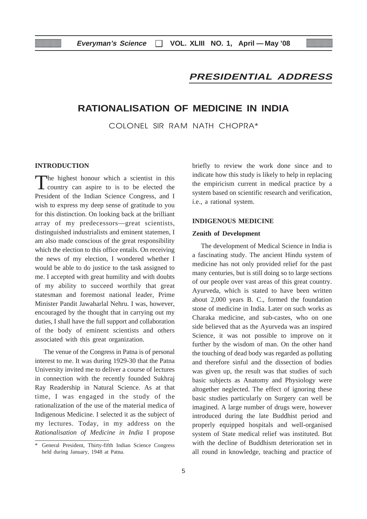### **PRESIDENTIAL ADDRESS**

#### **RATIONALISATION OF MEDICINE IN INDIA**

COLONEL SIR RAM NATH CHOPRA\*

#### **INTRODUCTION**

The highest honour which a scientist in this country can aspire to is to be elected the President of the Indian Science Congress, and I wish to express my deep sense of gratitude to you for this distinction. On looking back at the brilliant array of my predecessors—great scientists, distinguished industrialists and eminent statemen, I am also made conscious of the great responsibility which the election to this office entails. On receiving the news of my election, I wondered whether I would be able to do justice to the task assigned to me. I accepted with great humility and with doubts of my ability to succeed worthily that great statesman and foremost national leader, Prime Minister Pandit Jawaharlal Nehru. I was, however, encouraged by the thought that in carrying out my duties, I shall have the full support and collaboration of the body of eminent scientists and others associated with this great organization.

The venue of the Congress in Patna is of personal interest to me. It was during 1929-30 that the Patna University invited me to deliver a course of lectures in connection with the recently founded Sukhraj Ray Readership in Natural Science. As at that time, I was engaged in the study of the rationalization of the use of the material medica of Indigenous Medicine. I selected it as the subject of my lectures. Today, in my address on the *Rationalisation of Medicine in India* I propose

briefly to review the work done since and to indicate how this study is likely to help in replacing the empiricism current in medical practice by a system based on scientific research and verification, i.e., a rational system.

#### **INDIGENOUS MEDICINE**

#### **Zenith of Development**

The development of Medical Science in India is a fascinating study. The ancient Hindu system of medicine has not only provided relief for the past many centuries, but is still doing so to large sections of our people over vast areas of this great country. Ayurveda, which is stated to have been written about 2,000 years B. C., formed the foundation stone of medicine in India. Later on such works as Charaka medicine, and sub-castes, who on one side believed that as the Ayurveda was an inspired Science, it was not possible to improve on it further by the wisdom of man. On the other hand the touching of dead body was regarded as polluting and therefore sinful and the dissection of bodies was given up, the result was that studies of such basic subjects as Anatomy and Physiology were altogether neglected. The effect of ignoring these basic studies particularly on Surgery can well be imagined. A large number of drugs were, however introduced during the late Buddhist period and properly equipped hospitals and well-organised system of State medical relief was instituted. But with the decline of Buddhism deterioration set in all round in knowledge, teaching and practice of

<sup>\*</sup> General President, Thirty-fifth Indian Science Congress held during January, 1948 at Patna.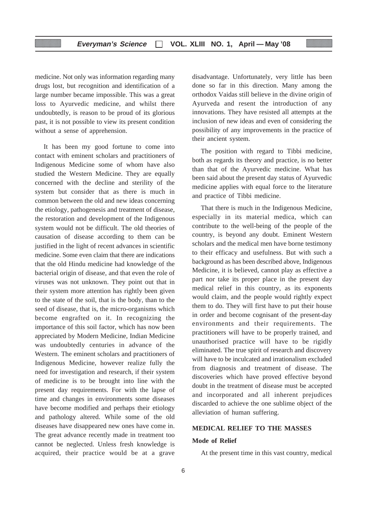medicine. Not only was information regarding many drugs lost, but recognition and identification of a large number became impossible. This was a great loss to Ayurvedic medicine, and whilst there undoubtedly, is reason to be proud of its glorious past, it is not possible to view its present condition without a sense of apprehension.

It has been my good fortune to come into contact with eminent scholars and practitioners of Indigenous Medicine some of whom have also studied the Western Medicine. They are equally concerned with the decline and sterility of the system but consider that as there is much in common between the old and new ideas concerning the etiology, pathogenesis and treatment of disease, the restoration and development of the Indigenous system would not be difficult. The old theories of causation of disease according to them can be justified in the light of recent advances in scientific medicine. Some even claim that there are indications that the old Hindu medicine had knowledge of the bacterial origin of disease, and that even the role of viruses was not unknown. They point out that in their system more attention has rightly been given to the state of the soil, that is the body, than to the seed of disease, that is, the micro-organisms which become engrafted on it. In recognizing the importance of this soil factor, which has now been appreciated by Modern Medicine, Indian Medicine was undoubtedly centuries in advance of the Western. The eminent scholars and practitioners of Indigenous Medicine, however realize fully the need for investigation and research, if their system of medicine is to be brought into line with the present day requirements. For with the lapse of time and changes in environments some diseases have become modified and perhaps their etiology and pathology altered. While some of the old diseases have disappeared new ones have come in. The great advance recently made in treatment too cannot be neglected. Unless fresh knowledge is acquired, their practice would be at a grave

disadvantage. Unfortunately, very little has been done so far in this direction. Many among the orthodox Vaidas still believe in the divine origin of Ayurveda and resent the introduction of any innovations. They have resisted all attempts at the inclusion of new ideas and even of considering the possibility of any improvements in the practice of their ancient system.

The position with regard to Tibbi medicine, both as regards its theory and practice, is no better than that of the Ayurvedic medicine. What has been said about the present day status of Ayurvedic medicine applies with equal force to the literature and practice of Tibbi medicine.

That there is much in the Indigenous Medicine, especially in its material medica, which can contribute to the well-being of the people of the country, is beyond any doubt. Eminent Western scholars and the medical men have borne testimony to their efficacy and usefulness. But with such a background as has been described above, Indigenous Medicine, it is believed, cannot play as effective a part nor take its proper place in the present day medical relief in this country, as its exponents would claim, and the people would rightly expect them to do. They will first have to put their house in order and become cognisant of the present-day environments and their requirements. The practitioners will have to be properly trained, and unauthorised practice will have to be rigidly eliminated. The true spirit of research and discovery will have to be inculcated and irrationalism excluded from diagnosis and treatment of disease. The discoveries which have proved effective beyond doubt in the treatment of disease must be accepted and incorporated and all inherent prejudices discarded to achieve the one sublime object of the alleviation of human suffering.

#### **MEDICAL RELIEF TO THE MASSES**

#### **Mode of Relief**

At the present time in this vast country, medical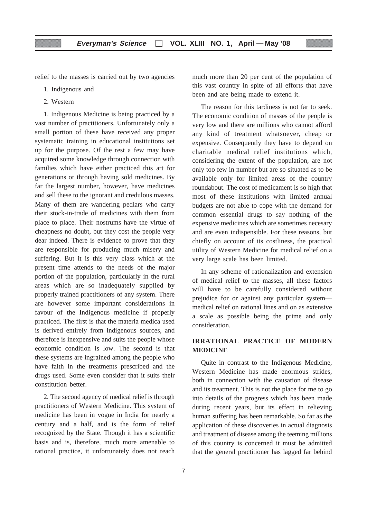relief to the masses is carried out by two agencies

- 1. Indigenous and
- 2. Western

1. Indigenous Medicine is being practiced by a vast number of practitioners. Unfortunately only a small portion of these have received any proper systematic training in educational institutions set up for the purpose. Of the rest a few may have acquired some knowledge through connection with families which have either practiced this art for generations or through having sold medicines. By far the largest number, however, have medicines and sell these to the ignorant and credulous masses. Many of them are wandering pedlars who carry their stock-in-trade of medicines with them from place to place. Their nostrums have the virtue of cheapness no doubt, but they cost the people very dear indeed. There is evidence to prove that they are responsible for producing much misery and suffering. But it is this very class which at the present time attends to the needs of the major portion of the population, particularly in the rural areas which are so inadequately supplied by properly trained practitioners of any system. There are however some important considerations in favour of the Indigenous medicine if properly practiced. The first is that the materia medica used is derived entirely from indigenous sources, and therefore is inexpensive and suits the people whose economic condition is low. The second is that these systems are ingrained among the people who have faith in the treatments prescribed and the drugs used. Some even consider that it suits their constitution better.

2. The second agency of medical relief is through practitioners of Western Medicine. This system of medicine has been in vogue in India for nearly a century and a half, and is the form of relief recognized by the State. Though it has a scientific basis and is, therefore, much more amenable to rational practice, it unfortunately does not reach much more than 20 per cent of the population of this vast country in spite of all efforts that have been and are being made to extend it.

The reason for this tardiness is not far to seek. The economic condition of masses of the people is very low and there are millions who cannot afford any kind of treatment whatsoever, cheap or expensive. Consequently they have to depend on charitable medical relief institutions which, considering the extent of the population, are not only too few in number but are so situated as to be available only for limited areas of the country roundabout. The cost of medicament is so high that most of these institutions with limited annual budgets are not able to cope with the demand for common essential drugs to say nothing of the expensive medicines which are sometimes necesary and are even indispensible. For these reasons, but chiefly on account of its costliness, the practical utility of Western Medicine for medical relief on a very large scale has been limited.

In any scheme of rationalization and extension of medical relief to the masses, all these factors will have to be carefully considered without prejudice for or against any particular system medical relief on rational lines and on as extensive a scale as possible being the prime and only consideration.

#### **IRRATIONAL PRACTICE OF MODERN MEDICINE**

Quite in contrast to the Indigenous Medicine, Western Medicine has made enormous strides, both in connection with the causation of disease and its treatment. This is not the place for me to go into details of the progress which has been made during recent years, but its effect in relieving human suffering has been remarkable. So far as the application of these discoveries in actual diagnosis and treatment of disease among the teeming millions of this country is concerned it must be admitted that the general practitioner has lagged far behind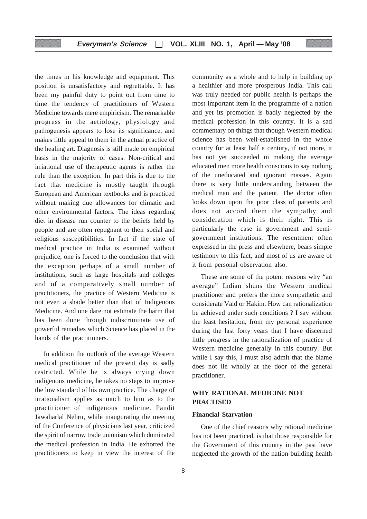the times in his knowledge and equipment. This position is unsatisfactory and regrettable. It has been my painful duty to point out from time to time the tendency of practitioners of Western Medicine towards mere empiricism. The remarkable progress in the aetiology, physiology and pathogenesis appears to lose its significance, and makes little appeal to them in the actual practice of the healing art. Diagnosis is still made on empirical basis in the majority of cases. Non-critical and irriational use of therapeutic agents is rather the rule than the exception. In part this is due to the fact that medicine is mostly taught through European and American textbooks and is practiced without making due allowances for climatic and other environmental factors. The ideas regarding diet in disease run counter to the beliefs held by people and are often repugnant to their social and religious susceptibilities. In fact if the state of medical practice in India is examined without prejudice, one is forced to the conclusion that with the exception perhaps of a small number of institutions, such as large hospitals and colleges and of a comparatively small number of practitioners, the practice of Western Medicine is not even a shade better than that of Indigenous Medicine. And one dare not estimate the harm that has been done through indiscriminate use of powerful remedies which Science has placed in the hands of the practitioners.

In addition the outlook of the average Western medical practitioner of the present day is sadly restricted. While he is always crying down indigenous medicine, he takes no steps to improve the low standard of his own practice. The charge of irrationalism applies as much to him as to the practitioner of indigenous medicine. Pandit Jawaharlal Nehru, while inaugurating the meeting of the Conference of physicians last year, criticized the spirit of narrow trade unionism which dominated the medical profession in India. He exhorted the practitioners to keep in view the interest of the

community as a whole and to help in building up a healthier and more prosperous India. This call was truly needed for public health is perhaps the most important item in the programme of a nation and yet its promotion is badly neglected by the medical profession in this country. It is a sad commentary on things that though Western medical science has been well-established in the whole country for at least half a century, if not more, it has not yet succeeded in making the average educated men more health conscious to say nothing of the uneducated and ignorant masses. Again there is very little understanding between the medical man and the patient. The doctor often looks down upon the poor class of patients and does not accord them the sympathy and consideration which is their right. This is particularly the case in government and semigovernment institutions. The resentment often expressed in the press and elsewhere, bears simple testimony to this fact, and most of us are aware of it from personal observation also.

These are some of the potent reasons why "an average" Indian shuns the Western medical practitioner and prefers the more sympathetic and considerate Vaid or Hakim. How can rationalization be achieved under such conditions ? I say without the least hesitation, from my personal experience during the last forty years that I have discerned little progress in the rationalization of practice of Western medicine generally in this country. But while I say this, I must also admit that the blame does not lie wholly at the door of the general practitioner.

#### **WHY RATIONAL MEDICINE NOT PRACTISED**

#### **Financial Starvation**

One of the chief reasons why rational medicine has not been practiced, is that those responsible for the Government of this country in the past have neglected the growth of the nation-building health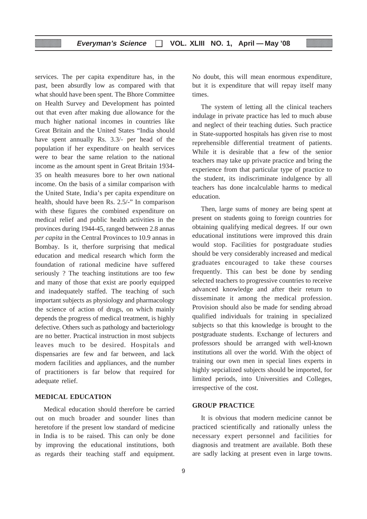services. The per capita expenditure has, in the past, been absurdly low as compared with that what should have been spent. The Bhore Committee on Health Survey and Development has pointed out that even after making due allowance for the much higher national incomes in countries like Great Britain and the United States "India should have spent annually Rs. 3.3/- per head of the population if her expenditure on health services were to bear the same relation to the national income as the amount spent in Great Britain 1934- 35 on health measures bore to her own national income. On the basis of a similar comparison with the United State, India's per capita expenditure on health, should have been Rs. 2.5/-" In comparison with these figures the combined expenditure on medical relief and public health activities in the provinces during 1944-45, ranged between 2.8 annas *per capita* in the Central Provinces to 10.9 annas in Bombay. Is it, therfore surprising that medical education and medical research which form the foundation of rational medicine have suffered seriously ? The teaching institutions are too few and many of those that exist are poorly equipped and inadequately staffed. The teaching of such important subjects as physiology and pharmacology the science of action of drugs, on which mainly depends the progress of medical treatment, is highly defective. Others such as pathology and bacteriology are no better. Practical instruction in most subjects leaves much to be desired. Hospitals and dispensaries are few and far between, and lack modern facilities and appliances, and the number of practitioners is far below that required for adequate relief.

#### **MEDICAL EDUCATION**

Medical education should therefore be carried out on much broader and sounder lines than heretofore if the present low standard of medicine in India is to be raised. This can only be done by improving the educational institutions, both as regards their teaching staff and equipment.

No doubt, this will mean enormous expenditure, but it is expenditure that will repay itself many times.

The system of letting all the clinical teachers indulage in private practice has led to much abuse and neglect of their teaching duties. Such practice in State-supported hospitals has given rise to most reprehensible differential treatment of patients. While it is desirable that a few of the senior teachers may take up private practice and bring the experience from that particular type of practice to the student, its indiscriminate indulgence by all teachers has done incalculable harms to medical education.

Then, large sums of money are being spent at present on students going to foreign countries for obtaining qualifying medical degrees. If our own educational institutions were improved this drain would stop. Facilities for postgraduate studies should be very considerably increased and medical graduates encouraged to take these courses frequently. This can best be done by sending selected teachers to progressive countries to receive advanced knowledge and after their return to disseminate it among the medical profession. Provision should also be made for sending abroad qualified individuals for training in specialized subjects so that this knowledge is brought to the postgraduate students. Exchange of lecturers and professors should be arranged with well-known institutions all over the world. With the object of training our own men in special lines experts in highly sepcialized subjects should be imported, for limited periods, into Universities and Colleges, irrespective of the cost.

#### **GROUP PRACTICE**

It is obvious that modern medicine cannot be practiced scientifically and rationally unless the necessary expert personnel and facilities for diagnosis and treatment are available. Both these are sadly lacking at present even in large towns.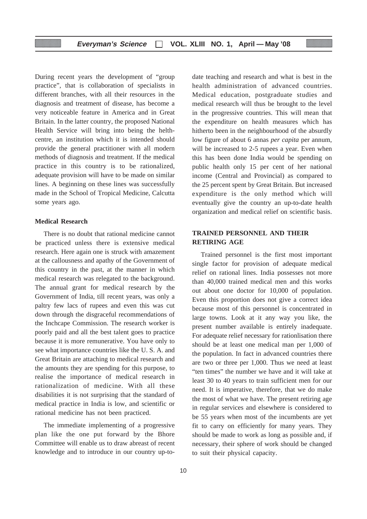During recent years the development of "group practice", that is collaboration of specialists in different branches, with all their resources in the diagnosis and treatment of disease, has become a very noticeable feature in America and in Great Britain. In the latter country, the proposed National Health Service will bring into being the helthcentre, an institution which it is intended should provide the general practitioner with all modern methods of diagnosis and treatment. If the medical practice in this country is to be rationalized, adequate provision will have to be made on similar lines. A beginning on these lines was successfully made in the School of Tropical Medicine, Calcutta some years ago.

#### **Medical Research**

There is no doubt that rational medicine cannot be practiced unless there is extensive medical research. Here again one is struck with amazement at the callousness and apathy of the Government of this country in the past, at the manner in which medical research was relegated to the background. The annual grant for medical research by the Government of India, till recent years, was only a paltry few lacs of rupees and even this was cut down through the disgraceful recommendations of the Inchcape Commission. The research worker is poorly paid and all the best talent goes to practice because it is more remunerative. You have only to see what importance countries like the U. S. A. and Great Britain are attaching to medical research and the amounts they are spending for this purpose, to realise the importance of medical research in rationalization of medicine. With all these disabilities it is not surprising that the standard of medical practice in India is low, and scientific or rational medicine has not been practiced.

The immediate implementing of a progressive plan like the one put forward by the Bhore Committee will enable us to draw abreast of recent knowledge and to introduce in our country up-todate teaching and research and what is best in the health administration of advanced countries. Medical education, postgraduate studies and medical research will thus be brought to the level in the progressive countries. This will mean that the expenditure on health measures which has hitherto been in the neighbourhood of the absurdly low figure of about 6 annas *per capita* per annum, will be increased to 2-5 rupees a year. Even when this has been done India would be spending on public health only 15 per cent of her national income (Central and Provincial) as compared to the 25 percent spent by Great Britain. But increased expenditure is the only method which will eventually give the country an up-to-date health organization and medical relief on scientific basis.

#### **TRAINED PERSONNEL AND THEIR RETIRING AGE**

Trained personnel is the first most important single factor for provision of adequate medical relief on rational lines. India possesses not more than 40,000 trained medical men and this works out about one doctor for 10,000 of population. Even this proportion does not give a correct idea because most of this personnel is concentrated in large towns. Look at it any way you like, the present number available is entirely inadequate. For adequate relief necessary for rationlisation there should be at least one medical man per 1,000 of the population. In fact in advanced countries there are two or three per 1,000. Thus we need at least "ten times" the number we have and it will take at least 30 to 40 years to train sufficient men for our need. It is imperative, therefore, that we do make the most of what we have. The present retiring age in regular services and elsewhere is considered to be 55 years when most of the incumbents are yet fit to carry on efficiently for many years. They should be made to work as long as possible and, if necessary, their sphere of work should be changed to suit their physical capacity.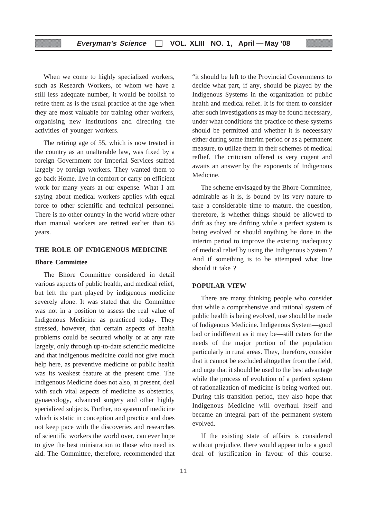When we come to highly specialized workers, such as Research Workers, of whom we have a still less adequate number, it would be foolish to retire them as is the usual practice at the age when they are most valuable for training other workers, organising new institutions and directing the activities of younger workers.

The retiring age of 55, which is now treated in the country as an unalterable law, was fixed by a foreign Government for Imperial Services staffed largely by foreign workers. They wanted them to go back Home, live in comfort or carry on efficient work for many years at our expense. What I am saying about medical workers applies with equal force to other scientific and technical personnel. There is no other country in the world where other than manual workers are retired earlier than 65 years.

#### **THE ROLE OF INDIGENOUS MEDICINE**

#### **Bhore Committee**

The Bhore Committee considered in detail various aspects of public health, and medical relief, but left the part played by indigenous medicine severely alone. It was stated that the Committee was not in a position to assess the real value of Indigenous Medicine as practiced today. They stressed, however, that certain aspects of health problems could be secured wholly or at any rate largely, only through up-to-date scientific medicine and that indigenous medicine could not give much help here, as preventive medicine or public health was its weakest feature at the present time. The Indigenous Medicine does not also, at present, deal with such vital aspects of medicine as obstetrics, gynaecology, advanced surgery and other highly specialized subjects. Further, no system of medicine which is static in conception and practice and does not keep pace with the discoveries and researches of scientific workers the world over, can ever hope to give the best ministration to those who need its aid. The Committee, therefore, recommended that

"it should be left to the Provincial Governments to decide what part, if any, should be played by the Indigenous Systems in the organization of public health and medical relief. It is for them to consider after such investigations as may be found necessary, under what conditions the practice of these systems should be permitted and whether it is neceessary either during some interim period or as a permanent measure, to utilize them in their schemes of medical reflief. The criticism offered is very cogent and awaits an answer by the exponents of Indigenous Medicine.

The scheme envisaged by the Bhore Committee, admirable as it is, is bound by its very nature to take a considerable time to mature. the question, therefore, is whether things should be allowed to drift as they are drifting while a perfect system is being evolved or should anything be done in the interim period to improve the existing inadequacy of medical relief by using the Indigenous System ? And if something is to be attempted what line should it take ?

#### **POPULAR VIEW**

There are many thinking people who consider that while a comprehensive and rational system of public health is being evolved, use should be made of Indigenous Medicine. Indigenous System—good bad or indifferent as it may be—still caters for the needs of the major portion of the population particularly in rural areas. They, therefore, consider that it cannot be excluded altogether from the field, and urge that it should be used to the best advantage while the process of evolution of a perfect system of rationalization of medicine is being worked out. During this transition period, they also hope that Indigenous Medicine will overhaul itself and became an integral part of the permanent system evolved.

If the existing state of affairs is considered without prejudice, there would appear to be a good deal of justification in favour of this course.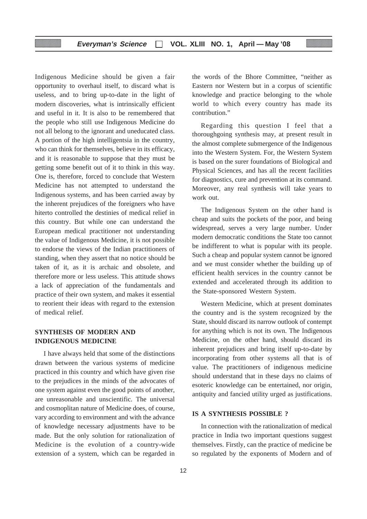Indigenous Medicine should be given a fair opportunity to overhaul itself, to discard what is useless, and to bring up-to-date in the light of modern discoveries, what is intrinsically efficient and useful in it. It is also to be remembered that the people who still use Indigenous Medicine do not all belong to the ignorant and uneducated class. A portion of the high intelligentsia in the country, who can think for themselves, believe in its efficacy, and it is reasonable to suppose that they must be getting some benefit out of it to think in this way. One is, therefore, forced to conclude that Western Medicine has not attempted to understand the Indigenous systems, and has been carried away by the inherent prejudices of the foreigners who have hiterto controlled the destinies of medical relief in this country. But while one can understand the European medical practitioner not understanding the value of Indigenous Medicine, it is not possible to endorse the views of the Indian practitioners of standing, when they assert that no notice should be taken of it, as it is archaic and obsolete, and therefore more or less useless. This attitude shows a lack of appreciation of the fundamentals and practice of their own system, and makes it essential to reorient their ideas with regard to the extension of medical relief.

#### **SYNTHESIS OF MODERN AND INDIGENOUS MEDICINE**

I have always held that some of the distinctions drawn between the various systems of medicine practiced in this country and which have given rise to the prejudices in the minds of the advocates of one system against even the good points of another, are unreasonable and unscientific. The universal and cosmoplitan nature of Medicine does, of course, vary according to environment and with the advance of knowledge necessary adjustments have to be made. But the only solution for rationalization of Medicine is the evolution of a country-wide extension of a system, which can be regarded in

the words of the Bhore Committee, "neither as Eastern nor Western but in a corpus of scientific knowledge and practice belonging to the whole world to which every country has made its contribution."

Regarding this question I feel that a thoroughgoing synthesis may, at present result in the almost complete submergence of the Indigenous into the Western System. For, the Western System is based on the surer foundations of Biological and Physical Sciences, and has all the recent facilities for diagnostics, cure and prevention at its command. Moreover, any real synthesis will take years to work out.

The Indigenous System on the other hand is cheap and suits the pockets of the poor, and being widespread, serves a very large number. Under modern democratic conditions the State too cannot be indifferent to what is popular with its people. Such a cheap and popular system cannot be ignored and we must consider whether the building up of efficient health services in the country cannot be extended and accelerated through its addition to the State-sponsored Western System.

Western Medicine, which at present dominates the country and is the system recognized by the State, should discard its narrow outlook of contempt for anything which is not its own. The Indigenous Medicine, on the other hand, should discard its inherent prejudices and bring itself up-to-date by incorporating from other systems all that is of value. The practitioners of indigenous medicine should understand that in these days no claims of esoteric knowledge can be entertained, nor origin, antiquity and fancied utility urged as justifications.

#### **IS A SYNTHESIS POSSIBLE ?**

In connection with the rationalization of medical practice in India two important questions suggest themselves. Firstly, can the practice of medicine be so regulated by the exponents of Modern and of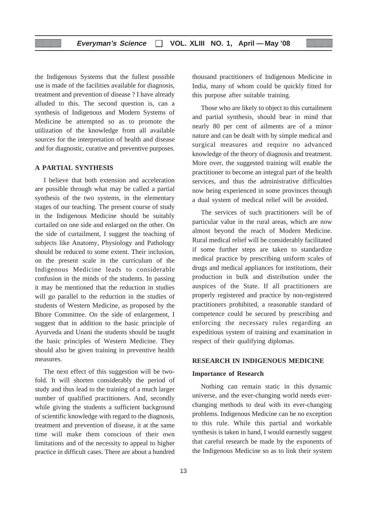the Indigenous Systems that the fullest possible use is made of the facilities available for diagnosis, treatment and prevention of disease ? I have already alluded to this. The second question is, can a synthesis of Indigenous and Modern Systems of Medicine be attempted so as to promote the utilization of the knowledge from all available sources for the interpretation of health and disease and for diagnostic, curative and preventive purposes.

#### **A PARTIAL SYNTHESIS**

I believe that both extension and acceleration are possible through what may be called a partial synthesis of the two systems, in the elementary stages of our teaching. The present course of study in the Indigenous Medicine should be suitably curtailed on one side and enlarged on the other. On the side of curtailment, I suggest the teaching of subjects like Anatomy, Physiology and Pathology should be reduced to some extent. Their inclusion, on the present scale in the curriculum of the Indigenous Medicine leads to considerable confusion in the minds of the students. In passing it may be mentioned that the reduction in studies will go parallel to the reduction in the studies of students of Western Medicine, as proposed by the Bhore Committee. On the side of enlargement, I suggest that in addition to the basic principle of Ayurveda and Unani the students should be taught the basic principles of Western Medicine. They should also be given training in preventive health measures.

The next effect of this suggestion will be twofold. It will shorten considerably the period of study and thus lead to the training of a much larger number of qualified practitioners. And, secondly while giving the students a sufficient background of scientific knowledge with regard to the diagnosis, treatment and prevention of disease, it at the same time will make them conscious of their own limitations and of the necessity to appeal to higher practice in difficult cases. There are about a hundred thousand practitioners of Indigenous Medicine in India, many of whom could be quickly fitted for this purpose after suitable training.

Those who are likely to object to this curtailment and partial synthesis, should bear in mind that nearly 80 per cent of ailments are of a minor nature and can be dealt with by simple medical and surgical measures and require no advanced knowledge of the theory of diagnosis and treatment. More over, the suggested training will enable the practitioner to become an integral part of the health services, and thus the administrative difficulties now being experienced in some provinces through a dual system of medical relief will be avoided.

The services of such practitioners will be of particular value in the rural areas, which are now almost beyond the reach of Modern Medicine. Rural medical relief will be considerably facilitated if some further steps are taken to standardize medical practice by prescribing uniform scales of drugs and medical appliances for institutions, their production in bulk and distribution under the auspices of the State. If all practitioners are properly registered and practice by non-registered practitioners prohibited, a reasonable standard of competence could be secured by prescribing and enforcing the necessary rules regarding an expeditious system of training and examination in respect of their qualifying diplomas.

#### **RESEARCH IN INDIGENOUS MEDICINE**

#### **Importance of Research**

Nothing can remain static in this dynamic universe, and the ever-changing world needs everchanging methods to deal with its ever-changing problems. Indigenous Medicine can be no exception to this rule. While this partial and workable synthesis is taken in hand, I would earnestly suggest that careful research be made by the exponents of the Indigenous Medicine so as to link their system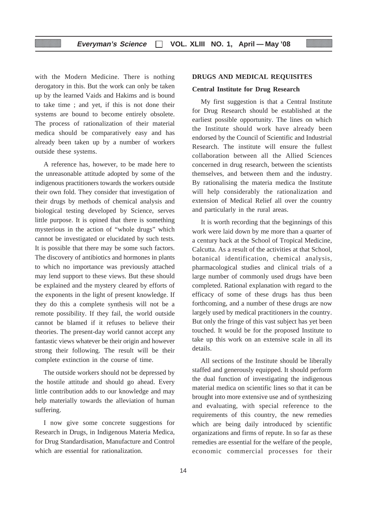with the Modern Medicine. There is nothing derogatory in this. But the work can only be taken up by the learned Vaids and Hakims and is bound to take time ; and yet, if this is not done their systems are bound to become entirely obsolete. The process of rationalization of their material medica should be comparatively easy and has already been taken up by a number of workers outside these systems.

A reference has, however, to be made here to the unreasonable attitude adopted by some of the indigenous practitioners towards the workers outside their own fold. They consider that investigation of their drugs by methods of chemical analysis and biological testing developed by Science, serves little purpose. It is opined that there is something mysterious in the action of "whole drugs" which cannot be investigated or elucidated by such tests. It is possible that there may be some such factors. The discovery of antibiotics and hormones in plants to which no importance was previously attached may lend support to these views. But these should be explained and the mystery cleared by efforts of the exponents in the light of present knowledge. If they do this a complete synthesis will not be a remote possibility. If they fail, the world outside cannot be blamed if it refuses to believe their theories. The present-day world cannot accept any fantastic views whatever be their origin and however strong their following. The result will be their complete extinction in the course of time.

The outside workers should not be depressed by the hostile attitude and should go ahead. Every little contribution adds to our knowledge and may help materially towards the alleviation of human suffering.

I now give some concrete suggestions for Research in Drugs, in Indigenous Materia Medica, for Drug Standardisation, Manufacture and Control which are essential for rationalization.

#### **DRUGS AND MEDICAL REQUISITES**

#### **Central Institute for Drug Research**

My first suggestion is that a Central Institute for Drug Research should be established at the earliest possible opportunity. The lines on which the Institute should work have already been endorsed by the Council of Scientific and Industrial Research. The institute will ensure the fullest collaboration between all the Allied Sciences concerned in drug research, between the scientists themselves, and between them and the industry. By rationalising the materia medica the Institute will help considerably the rationalization and extension of Medical Relief all over the country and particularly in the rural areas.

It is worth recording that the beginnings of this work were laid down by me more than a quarter of a century back at the School of Tropical Medicine, Calcutta. As a result of the activities at that School, botanical identification, chemical analysis, pharmacological studies and clinical trials of a large number of commonly used drugs have been completed. Rational explanation with regard to the efficacy of some of these drugs has thus been forthcoming, and a number of these drugs are now largely used by medical practitioners in the country. But only the fringe of this vast subject has yet been touched. It would be for the proposed Institute to take up this work on an extensive scale in all its details.

All sections of the Institute should be liberally staffed and generously equipped. It should perform the dual function of investigating the indigenous material medica on scientific lines so that it can be brought into more extensive use and of synthesizing and evaluating, with special reference to the requirements of this country, the new remedies which are being daily introduced by scientific organizations and firms of repute. In so far as these remedies are essential for the welfare of the people, economic commercial processes for their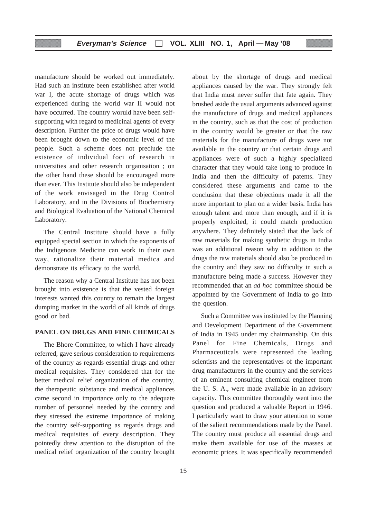manufacture should be worked out immediately. Had such an institute been established after world war I, the acute shortage of drugs which was experienced during the world war II would not have occurred. The country woruld have been selfsupporting with regard to medicinal agents of every description. Further the price of drugs would have been brought down to the economic level of the people. Such a scheme does not preclude the existence of individual foci of research in universities and other research organisation ; on the other hand these should be encouraged more than ever. This Institute should also be independent of the work envisaged in the Drug Control Laboratory, and in the Divisions of Biochemistry and Biological Evaluation of the National Chemical Laboratory.

The Central Institute should have a fully equipped special section in which the exponents of the Indigenous Medicine can work in their own way, rationalize their material medica and demonstrate its efficacy to the world.

The reason why a Central Institute has not been brought into existence is that the vested foreign interests wanted this country to remain the largest dumping market in the world of all kinds of drugs good or bad.

#### **PANEL ON DRUGS AND FINE CHEMICALS**

The Bhore Committee, to which I have already referred, gave serious consideration to requirements of the country as regards essential drugs and other medical requisites. They considered that for the better medical relief organization of the country, the therapeutic substance and medical appliances came second in importance only to the adequate number of personnel needed by the country and they stressed the extreme importance of making the country self-supporting as regards drugs and medical requisites of every description. They pointedly drew attention to the disruption of the medical relief organization of the country brought about by the shortage of drugs and medical appliances caused by the war. They strongly felt that India must never suffer that fate again. They brushed aside the usual arguments advanced against the manufacture of drugs and medical appliances in the country, such as that the cost of production in the country would be greater or that the raw materials for the manufacture of drugs were not available in the country or that certain drugs and appliances were of such a highly specialized character that they would take long to produce in India and then the difficulty of patents. They considered these arguments and came to the conclusion that these objections made it all the more important to plan on a wider basis. India has enough talent and more than enough, and if it is properly exploited, it could match production anywhere. They definitely stated that the lack of raw materials for making synthetic drugs in India was an additional reason why in addition to the drugs the raw materials should also be produced in the country and they saw no difficulty in such a manufacture being made a success. However they recommended that an *ad hoc* committee should be appointed by the Government of India to go into the question.

Such a Committee was instituted by the Planning and Development Department of the Government of India in 1945 under my chairmanship. On this Panel for Fine Chemicals, Drugs and Pharmaceuticals were represented the leading scientists and the representatives of the important drug manufacturers in the country and the services of an eminent consulting chemical engineer from the U. S. A., were made available in an advisory capacity. This committee thoroughly went into the question and produced a valuable Report in 1946. I particularly want to draw your attention to some of the salient recommendations made by the Panel. The country must produce all essential drugs and make them available for use of the masses at economic prices. It was specifically recommended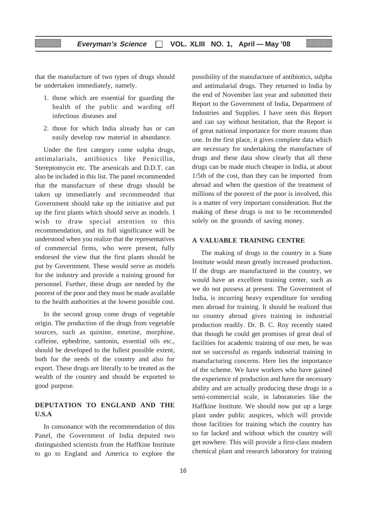that the manufacture of two types of drugs should be undertaken immediately, namely.

- 1. those which are essential for guarding the health of the public and warding off infectious diseases and
- 2. those for which India already has or can easily develop raw material in abundance.

Under the first category come sulpha drugs, antimalarials, antibiotics like Penicillin, Stereptomycin etc. The arsenicals and D.D.T. can also be included in this list. The panel recommended that the manufacture of these drugs should be taken up immediately and recommended that Government should take up the initiative and put up the first plants which should serve as models. I wish to draw special attention to this recommendation, and its full significance will be understood when you realize that the representatives of commercial firms, who were present, fully endorsed the view that the first plants should be put by Government. These would serve as models for the industry and provide a training ground for personnel. Further, these drugs are needed by the poorest of the poor and they must be made available to the health authorities at the lowest possible cost.

In the second group come drugs of vegetable origin. The production of the drugs from vegetable sources, such as quinine, emetine, morphine, caffeine, ephedrine, santonin, essential oils etc., should be developed to the fullest possible extent, both for the needs of the country and also for export. These drugs are literally to be treated as the wealth of the country and should be exported to good purpose.

#### **DEPUTATION TO ENGLAND AND THE U.S.A**

In consonance with the recommendation of this Panel, the Government of India deputed two distinguished scientists from the Haffkine Institute to go to England and America to explore the

possibility of the manufacture of antibiotics, sulpha and antimalarial drugs. They returned to India by the end of November last year and submitted their Report to the Government of India, Department of Industries and Supplies. I have seen this Report and can say without hesitation, that the Report is of great national importance for more reasons than one. In the first place, it gives complete data which are necessary for undertaking the manufacture of drugs and these data show clearly that all these drugs can be made much cheaper in India, at about 1/5th of the cost, than they can be imported from abroad and when the question of the treatment of millions of the poorest of the poor is involved, this is a matter of very important consideration. But the making of these drugs is not to be recommended solely on the grounds of saving money.

#### **A VALUABLE TRAINING CENTRE**

The making of drugs in the country in a State Institute would mean greatly increased production. If the drugs are manufactured in the country, we would have an excellent training center, such as we do not possess at present. The Government of India, is incurring heavy expenditure for sending men abroad for training. It should be realized that no country abroad gives training in industrial production readily. Dr. B. C. Roy recently stated that though he could get promises of great deal of facilities for academic training of our men, he was not so successful as regards industrial training in manufacturing concerns. Here lies the importance of the scheme. We have workers who have gained the experience of production and have the necessary ability and are actually producing these drugs in a semi-commercial scale, in laboratories like the Haffkine Institute. We should now put up a large plant under public auspices, which will provide those facilities for training which the country has so far lacked and without which the country will get nowhere. This will provide a first-class modern chemical plant and research laboratory for training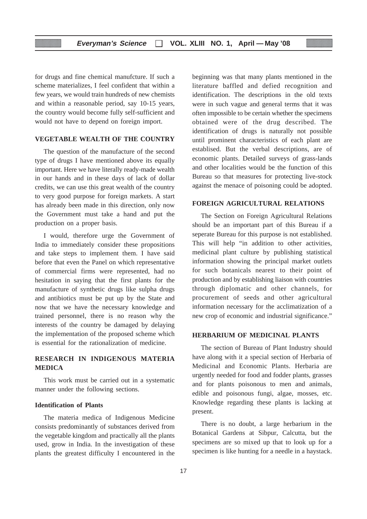for drugs and fine chemical manufcture. If such a scheme materializes, I feel confident that within a few years, we would train hundreds of new chemists and within a reasonable period, say 10-15 years, the country would become fully self-sufficient and would not have to depend on foreign import.

#### **VEGETABLE WEALTH OF THE COUNTRY**

The question of the manufacture of the second type of drugs I have mentioned above its equally important. Here we have literally ready-made wealth in our hands and in these days of lack of dollar credits, we can use this great wealth of the country to very good purpose for foreign markets. A start has already been made in this direction, only now the Government must take a hand and put the production on a proper basis.

I would, therefore urge the Government of India to immediately consider these propositions and take steps to implement them. I have said before that even the Panel on which representative of commercial firms were represented, had no hesitation in saying that the first plants for the manufacture of synthetic drugs like sulpha drugs and antibiotics must be put up by the State and now that we have the necessary knowledge and trained personnel, there is no reason why the interests of the country be damaged by delaying the implementation of the proposed scheme which is essential for the rationalization of medicine.

#### **RESEARCH IN INDIGENOUS MATERIA MEDICA**

This work must be carried out in a systematic manner under the following sections.

#### **Identification of Plants**

The materia medica of Indigenous Medicine consists predominantly of substances derived from the vegetable kingdom and practically all the plants used, grow in India. In the investigation of these plants the greatest difficulty I encountered in the

beginning was that many plants mentioned in the literature baffled and defied recognition and identification. The descriptions in the old texts were in such vague and general terms that it was often impossible to be certain whether the specimens obtained were of the drug described. The identification of drugs is naturally not possible until prominent characteristics of each plant are establised. But the verbal descriptions, are of economic plants. Detailed surveys of grass-lands and other localities would be the function of this Bureau so that measures for protecting live-stock against the menace of poisoning could be adopted.

#### **FOREIGN AGRICULTURAL RELATIONS**

The Section on Foreign Agricultural Relations should be an important part of this Bureau if a seperate Bureau for this purpose is not established. This will help "in addition to other activities, medicinal plant culture by publishing statistical information showing the principal market outlets for such botanicals nearest to their point of production and by establishing liaison with countries through diplomatic and other channels, for procurement of seeds and other agricultural information necessary for the acclimatization of a new crop of economic and industrial significance."

#### **HERBARIUM OF MEDICINAL PLANTS**

The section of Bureau of Plant Industry should have along with it a special section of Herbaria of Medicinal and Economic Plants. Herbaria are urgently needed for food and fodder plants, grasses and for plants poisonous to men and animals, edible and poisonous fungi, algae, mosses, etc. Knowledge regarding these plants is lacking at present.

There is no doubt, a large herbarium in the Botanical Gardens at Sibpur, Calcutta, but the specimens are so mixed up that to look up for a specimen is like hunting for a needle in a haystack.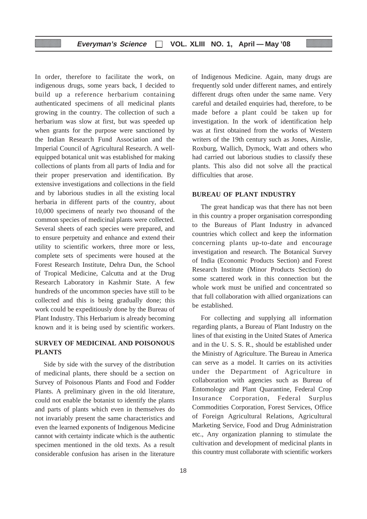In order, therefore to facilitate the work, on indigenous drugs, some years back, I decided to build up a reference herbarium containing authenticated specimens of all medicinal plants growing in the country. The collection of such a herbarium was slow at first, but was speeded up when grants for the purpose were sanctioned by the Indian Research Fund Association and the Imperial Council of Agricultural Research. A wellequipped botanical unit was established for making collections of plants from all parts of India and for their proper preservation and identification. By extensive investigations and collections in the field and by laborious studies in all the existing local herbaria in different parts of the country, about 10,000 specimens of nearly two thousand of the common species of medicinal plants were collected. Several sheets of each species were prepared, and to ensure perpetuity and enhance and extend their utility to scientific workers, three more or less, complete sets of speciments were housed at the Forest Research Institute, Dehra Dun, the School of Tropical Medicine, Calcutta and at the Drug Research Laboratory in Kashmir State. A few hundreds of the uncommon species have still to be collected and this is being gradually done; this work could be expeditiously done by the Bureau of Plant Industry. This Herbarium is already becoming known and it is being used by scientific workers.

#### **SURVEY OF MEDICINAL AND POISONOUS PLANTS**

Side by side with the survey of the distribution of medicinal plants, there should be a section on Survey of Poisonous Plants and Food and Fodder Plants. A preliminary given in the old literature, could not enable the botanist to identify the plants and parts of plants which even in themselves do not invariably present the same characteristics and even the learned exponents of Indigenous Medicine cannot with certainty indicate which is the authentic specimen mentioned in the old texts. As a result considerable confusion has arisen in the literature of Indigenous Medicine. Again, many drugs are frequently sold under different names, and entirely different drugs often under the same name. Very careful and detailed enquiries had, therefore, to be made before a plant could be taken up for investigation. In the work of identification help was at first obtained from the works of Western writers of the 19th century such as Jones, Ainslie, Roxburg, Wallich, Dymock, Watt and others who had carried out laborious studies to classify these plants. This also did not solve all the practical difficulties that arose.

#### **BUREAU OF PLANT INDUSTRY**

The great handicap was that there has not been in this country a proper organisation corresponding to the Bureaus of Plant Industry in advanced countries which collect and keep the information concerning plants up-to-date and encourage investigation and research. The Botanical Survey of India (Economic Products Section) and Forest Research Institute (Minor Products Section) do some scattered work in this connection but the whole work must be unified and concentrated so that full collaboration with allied organizations can be established.

For collecting and supplying all information regarding plants, a Bureau of Plant Industry on the lines of that existing in the United States of America and in the U. S. S. R., should be established under the Ministry of Agriculture. The Bureau in America can serve as a model. It carries on its activities under the Department of Agriculture in collaboration with agencies such as Bureau of Entomology and Plant Quarantine, Federal Crop Insurance Corporation, Federal Surplus Commodities Corporation, Forest Services, Office of Foreign Agricultural Relations, Agricultural Marketing Service, Food and Drug Administration etc., Any organization planning to stimulate the cultivation and development of medicinal plants in this country must collaborate with scientific workers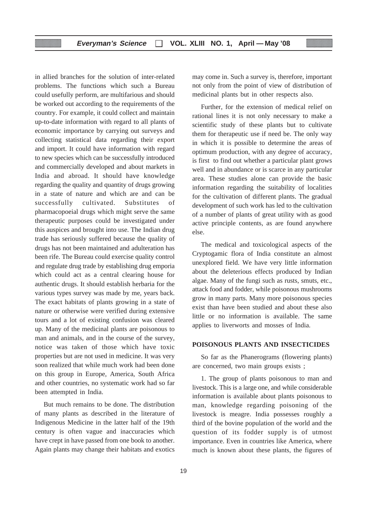in allied branches for the solution of inter-related problems. The functions which such a Bureau could usefully perform, are multifarious and should be worked out according to the requirements of the country. For example, it could collect and maintain up-to-date information with regard to all plants of economic importance by carrying out surveys and collecting statistical data regarding their export and import. It could have information with regard to new species which can be successfully introduced and commercially developed and about markets in India and abroad. It should have knowledge regarding the quality and quantity of drugs growing in a state of nature and which are and can be successfully cultivated. Substitutes of pharmacopoeial drugs which might serve the same therapeutic purposes could be investigated under this auspices and brought into use. The Indian drug trade has seriously suffered because the quality of drugs has not been maintained and adulteration has been rife. The Bureau could exercise quality control and regulate drug trade by establishing drug emporia which could act as a central clearing house for authentic drugs. It should establish herbaria for the various types survey was made by me, years back. The exact habitats of plants growing in a state of nature or otherwise were verified during extensive tours and a lot of existing confusion was cleared up. Many of the medicinal plants are poisonous to man and animals, and in the course of the survey, notice was taken of those which have toxic properties but are not used in medicine. It was very soon realized that while much work had been done on this group in Europe, America, South Africa and other countries, no systematic work had so far been attempted in India.

But much remains to be done. The distribution of many plants as described in the literature of Indigenous Medicine in the latter half of the 19th century is often vague and inaccuracies which have crept in have passed from one book to another. Again plants may change their habitats and exotics may come in. Such a survey is, therefore, important not only from the point of view of distribution of medicinal plants but in other respects also.

Further, for the extension of medical relief on rational lines it is not only necessary to make a scientific study of these plants but to cultivate them for therapeutic use if need be. The only way in which it is possible to determine the areas of optimum production, with any degree of accuracy, is first to find out whether a particular plant grows well and in abundance or is scarce in any particular area. These studies alone can provide the basic information regarding the suitability of localities for the cultivation of different plants. The gradual development of such work has led to the cultivation of a number of plants of great utility with as good active principle contents, as are found anywhere else.

The medical and toxicological aspects of the Cryptogamic flora of India constitute an almost unexplored field. We have very little information about the deleterious effects produced by Indian algae. Many of the fungi such as rusts, smuts, etc., attack food and fodder, while poisonous mushrooms grow in many parts. Many more poisonous species exist than have been studied and about these also little or no information is available. The same applies to liverworts and mosses of India.

#### **POISONOUS PLANTS AND INSECTICIDES**

So far as the Phanerograms (flowering plants) are concerned, two main groups exists ;

1. The group of plants poisonous to man and livestock. This is a large one, and while considerable information is available about plants poisonous to man, knowledge regarding poisoning of the livestock is meagre. India possesses roughly a third of the bovine population of the world and the question of its fodder supply is of utmost importance. Even in countries like America, where much is known about these plants, the figures of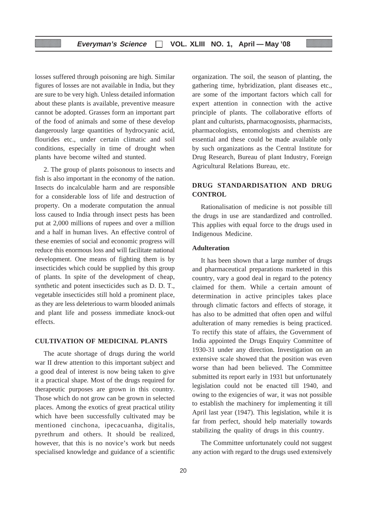losses suffered through poisoning are high. Similar figures of losses are not available in India, but they are sure to be very high. Unless detailed information about these plants is available, preventive measure cannot be adopted. Grasses form an important part of the food of animals and some of these develop dangerously large quantities of hydrocyanic acid, flourides etc., under certain climatic and soil conditions, especially in time of drought when plants have become wilted and stunted.

2. The group of plants poisonous to insects and fish is also important in the economy of the nation. Insects do incalculable harm and are responsible for a considerable loss of life and destruction of property. On a moderate computation the annual loss caused to India through insect pests has been put at 2,000 millions of rupees and over a million and a half in human lives. An effective control of these enemies of social and economic progress will reduce this enormous loss and will facilitate national development. One means of fighting them is by insecticides which could be supplied by this group of plants. In spite of the development of cheap, synthetic and potent insecticides such as D. D. T., vegetable insecticides still hold a prominent place, as they are less deleterious to warm blooded animals and plant life and possess immediate knock-out effects.

#### **CULTIVATION OF MEDICINAL PLANTS**

The acute shortage of drugs during the world war II drew attention to this important subject and a good deal of interest is now being taken to give it a practical shape. Most of the drugs required for therapeutic purposes are grown in this country. Those which do not grow can be grown in selected places. Among the exotics of great practical utility which have been successfully cultivated may be mentioned cinchona, ipecacuanha, digitalis, pyrethrum and others. It should be realized, however, that this is no novice's work but needs specialised knowledge and guidance of a scientific

organization. The soil, the season of planting, the gathering time, hybridization, plant diseases etc., are some of the important factors which call for expert attention in connection with the active principle of plants. The collaborative efforts of plant and culturists, pharmacognosists, pharmacists, pharmacologists, entomologists and chemists are essential and these could be made available only by such organizations as the Central Institute for Drug Research, Bureau of plant Industry, Foreign Agricultural Relations Bureau, etc.

#### **DRUG STANDARDISATION AND DRUG CONTROL**

Rationalisation of medicine is not possible till the drugs in use are standardized and controlled. This applies with equal force to the drugs used in Indigenous Medicine.

#### **Adulteration**

It has been shown that a large number of drugs and pharmaceutical preparations marketed in this country, vary a good deal in regard to the potency claimed for them. While a certain amount of determination in active principles takes place through climatic factors and effects of storage, it has also to be admitted that often open and wilful adulteration of many remedies is being practiced. To rectify this state of affairs, the Government of India appointed the Drugs Enquiry Committee of 1930-31 under any direction. Investigation on an extensive scale showed that the position was even worse than had been believed. The Committee submitted its report early in 1931 but unfortunately legislation could not be enacted till 1940, and owing to the exigencies of war, it was not possible to establish the machinery for implementing it till April last year (1947). This legislation, while it is far from perfect, should help materially towards stabilizing the quality of drugs in this country.

The Committee unfortunately could not suggest any action with regard to the drugs used extensively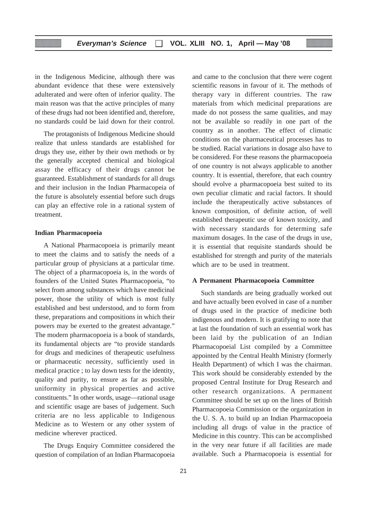in the Indigenous Medicine, although there was abundant evidence that these were extensively adulterated and were often of inferior quality. The main reason was that the active principles of many of these drugs had not been identified and, therefore, no standards could be laid down for their control.

The protagonists of Indigenous Medicine should realize that unless standards are established for drugs they use, either by their own methods or by the generally accepted chemical and biological assay the efficacy of their drugs cannot be guaranteed. Establishment of standards for all drugs and their inclusion in the Indian Pharmacopeia of the future is absolutely essential before such drugs can play an effective role in a rational system of treatment.

#### **Indian Pharmacopoeia**

A National Pharmacopoeia is primarily meant to meet the claims and to satisfy the needs of a particular group of physicians at a particular time. The object of a pharmacopoeia is, in the words of founders of the United States Pharmacopoeia, "to select from among substances which have medicinal power, those the utility of which is most fully established and best understood, and to form from these, preparations and compositions in which their powers may be exerted to the greatest advantage." The modern pharmacopoeia is a book of standards, its fundamental objects are "to provide standards for drugs and medicines of therapeutic usefulness or pharmaceutic necessity, sufficiently used in medical practice ; to lay down tests for the identity, quality and purity, to ensure as far as possible, uniformity in physical properties and active constituents." In other words, usage—rational usage and scientific usage are bases of judgement. Such criteria are no less applicable to Indigenous Medicine as to Western or any other system of medicine wherever practiced.

The Drugs Enquiry Committee considered the question of compilation of an Indian Pharmacopoeia and came to the conclusion that there were cogent scientific reasons in favour of it. The methods of therapy vary in different countries. The raw materials from which medicinal preparations are made do not possess the same qualities, and may not be available so readily in one part of the country as in another. The effect of climatic conditions on the pharmaceutical processes has to be studied. Racial variations in dosage also have to be considered. For these reasons the pharmacopoeia of one country is not always applicable to another country. It is essential, therefore, that each country should evolve a pharmacopoeia best suited to its own peculiar climatic and racial factors. It should include the therapeutically active substances of known composition, of definite action, of well established therapeutic use of known toxicity, and with necessary standards for determing safe maximum dosages. In the case of the drugs in use, it is essential that requisite standards should be established for strength and purity of the materials which are to be used in treatment.

#### **A Permanent Pharmacopoeia Committee**

Such standards are being gradually worked out and have actually been evolved in case of a number of drugs used in the practice of medicine both indigenous and modern. It is gratifying to note that at last the foundation of such an essential work has been laid by the publication of an Indian Pharmacopoeial List compiled by a Committee appointed by the Central Health Ministry (formerly Health Department) of which I was the chairman. This work should be considerably extended by the proposed Central Institute for Drug Research and other research organizations. A permanent Committee should be set up on the lines of British Pharmacopoeia Commission or the organization in the U. S. A. to build up an Indian Pharmacopoeia including all drugs of value in the practice of Medicine in this country. This can be accomplished in the very near future if all facilities are made available. Such a Pharmacopoeia is essential for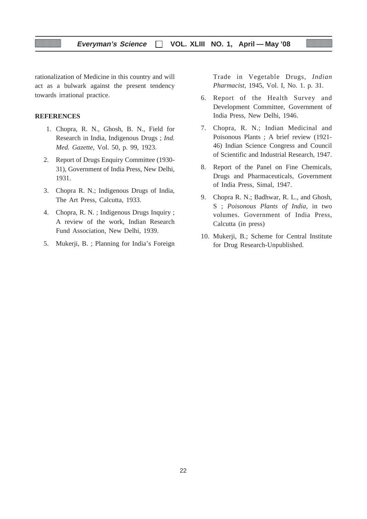rationalization of Medicine in this country and will act as a bulwark against the present tendency towards irrational practice.

#### **REFERENCES**

- 1. Chopra, R. N., Ghosh, B. N., Field for Research in India, Indigenous Drugs ; *Ind. Med. Gazette,* Vol. 50, p. 99, 1923.
- 2. Report of Drugs Enquiry Committee (1930- 31), Government of India Press, New Delhi, 1931.
- 3. Chopra R. N.; Indigenous Drugs of India, The Art Press, Calcutta, 1933.
- 4. Chopra, R. N. ; Indigenous Drugs Inquiry ; A review of the work, Indian Research Fund Association, New Delhi, 1939.
- 5. Mukerji, B. ; Planning for India's Foreign

Trade in Vegetable Drugs, *Indian Pharmacist*, 1945, Vol. I, No. 1. p. 31.

- 6. Report of the Health Survey and Development Committee, Government of India Press, New Delhi, 1946.
- 7. Chopra, R. N.; Indian Medicinal and Poisonous Plants ; A brief review (1921- 46) Indian Science Congress and Council of Scientific and Industrial Research, 1947.
- 8. Report of the Panel on Fine Chemicals, Drugs and Pharmaceuticals, Government of India Press, Simal, 1947.
- 9. Chopra R. N.; Badhwar, R. L., and Ghosh, S ; *Poisonous Plants of India,* in two volumes. Government of India Press, Calcutta (in press)
- 10. Mukerji, B.; Scheme for Central Institute for Drug Research-Unpublished.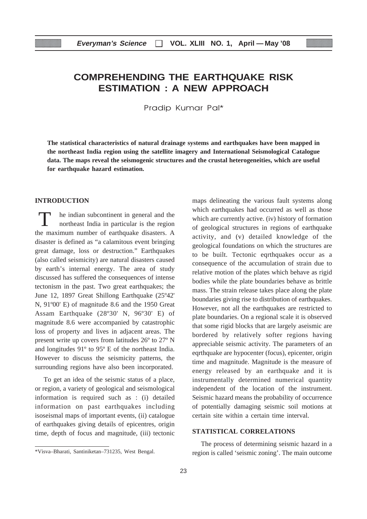# **COMPREHENDING THE EARTHQUAKE RISK ESTIMATION : A NEW APPROACH**

Pradip Kumar Pal\*

**The statistical characteristics of natural drainage systems and earthquakes have been mapped in the northeast India region using the satellite imagery and International Seismological Catalogue data. The maps reveal the seismogenic structures and the crustal heterogeneities, which are useful for earthquake hazard estimation.**

#### **INTRODUCTION**

he indian subcontinent in general and the northeast India in particular is the region the maximum number of earthquake disasters. A disaster is defined as "a calamitous event bringing great damage, loss or destruction." Earthquakes (also called seismicity) are natural disasters caused by earth's internal energy. The area of study discussed has suffered the consequences of intense tectonism in the past. Two great earthquakes; the June 12, 1897 Great Shillong Earthquake (25º42' N, 91º00' E) of magnitude 8.6 and the 1950 Great Assam Earthquake (28º30' N, 96º30' E) of magnitude 8.6 were accompanied by catastrophic loss of property and lives in adjacent areas. The present write up covers from latitudes 26º to 27º N and longitudes 91º to 95º E of the northeast India. However to discuss the seismicity patterns, the surrounding regions have also been incorporated.

To get an idea of the seismic status of a place, or region, a variety of geological and seismological information is required such as : (i) detailed information on past earthquakes including isoseismal maps of important events, (ii) catalogue of earthquakes giving details of epicentres, origin time, depth of focus and magnitude, (iii) tectonic maps delineating the various fault systems along which earthquakes had occurred as well as those which are currently active. (iv) history of formation of geological structures in regions of earthquake activity, and (v) detailed knowledge of the geological foundations on which the structures are to be built. Tectonic eqrthquakes occur as a consequence of the accumulation of strain due to relative motion of the plates which behave as rigid bodies while the plate boundaries behave as brittle mass. The strain release takes place along the plate boundaries giving rise to distribution of earthquakes. However, not all the earthquakes are restricted to plate boundaries. On a regional scale it is observed that some rigid blocks that are largely aseismic are bordered by relatively softer regions having appreciable seismic activity. The parameters of an eqrthquake are hypocenter (focus), epicenter, origin time and magnitude. Magnitude is the measure of energy released by an earthquake and it is instrumentally determined numerical quantity independent of the location of the instrument. Seismic hazard means the probability of occurrence of potentially damaging seismic soil motions at certain site within a certain time interval.

#### **STATISTICAL CORRELATIONS**

The process of determining seismic hazard in a region is called 'seismic zoning'. The main outcome

<sup>\*</sup>Visva–Bharati, Santiniketan–731235, West Bengal.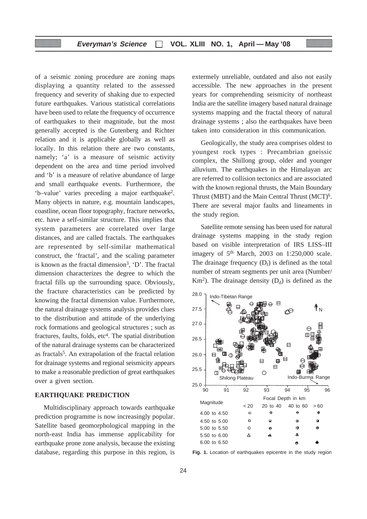of a seismic zoning procedure are zoning maps displaying a quantity related to the assessed frequency and severity of shaking due to expected future earthquakes. Various statistical correlations have been used to relate the frequency of occurrence of earthquakes to their magnitude, but the most generally accepted is the Gutenberg and Richter relation and it is applicable globally as well as locally. In this relation there are two constants, namely; 'a' is a measure of seismic activity dependent on the area and time period involved and 'b' is a measure of relative abundance of large and small earthquake events. Furthermore, the 'b–value' varies preceding a major earthquake2. Many objects in nature, e.g. mountain landscapes, coastline, ocean floor topography, fracture networks, etc. have a self-similar structure. This implies that system parameters are correlated over large distances, and are called fractals. The earthquakes are represented by self-similar mathematical construct, the 'fractal', and the scaling parameter is known as the fractal dimension<sup>3</sup>,  $D'$ . The fractal dimension characterizes the degree to which the fractal fills up the surrounding space. Obviously, the fracture characteristics can be predicted by knowing the fractal dimension value. Furthermore, the natural drainage systems analysis provides clues to the distribution and attitude of the underlying rock formations and geological structures ; such as fractures, faults, folds, etc<sup>4</sup>. The spatial distribution of the natural drainage systems can be characterized as fractals<sup>5</sup>. An extrapolation of the fractal relation for drainage systems and regional seismicity appears to make a reasonable prediction of great earthquakes over a given section.

#### **EARTHQUAKE PREDICTION**

Multidisciplinary approach towards earthquake prediction programme is now increasingly popular. Satellite based geomorphological mapping in the north-east India has immense applicability for earthquake prone zone analysis, because the existing database, regarding this purpose in this region, is extermely unreliable, outdated and also not easily accessible. The new approaches in the present years for comprehending seismicity of northeast India are the satellite imagery based natural drainage systems mapping and the fractal theory of natural drainage systems ; also the earthquakes have been taken into consideration in this communication.

Geologically, the study area comprises oldest to youngest rock types : Precambrian gneissic complex, the Shillong group, older and younger alluvium. The earthquakes in the Himalayan arc are referred to collision tectonics and are associated with the known regional thrusts, the Main Boundary Thrust (MBT) and the Main Central Thrust (MCT)6. There are several major faults and lineaments in the study region.

Satellite remote sensing has been used for natural drainage systems mapping in the study region based on visible interpretation of IRS LISS–III imagery of  $5<sup>th</sup>$  March, 2003 on 1:250,000 scale. The drainage frequency  $(D_f)$  is defined as the total number of stream segments per unit area (Number/  $Km<sup>2</sup>$ ). The drainage density  $(D_d)$  is defined as the



**Fig. 1.** Location of earthquakes epicentre in the study region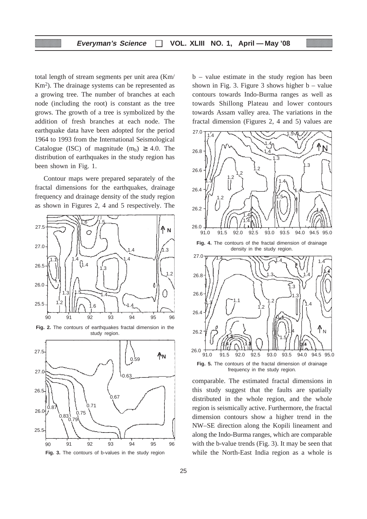total length of stream segments per unit area (Km/ Km<sup>2</sup>). The drainage systems can be represented as a growing tree. The number of branches at each node (including the root) is constant as the tree grows. The growth of a tree is symbolized by the addition of fresh branches at each node. The earthquake data have been adopted for the period 1964 to 1993 from the International Seismological Catalogue (ISC) of magnitude  $(m_b) \geq 4.0$ . The distribution of earthquakes in the study region has been shown in Fig. 1.

Contour maps were prepared separately of the fractal dimensions for the earthquakes, drainage frequency and drainage density of the study region as shown in Figures 2, 4 and 5 respectively. The



**Fig. 2.** The contours of earthquakes fractal dimension in the study region.



b – value estimate in the study region has been shown in Fig. 3. Figure 3 shows higher  $b - value$ contours towards Indo-Burma ranges as well as towards Shillong Plateau and lower contours towards Assam valley area. The variations in the fractal dimension (Figures 2, 4 and 5) values are



**Fig. 5.** The contours of the fractal dimension of drainage frequency in the study region.

comparable. The estimated fractal dimensions in this study suggest that the faults are spatially distributed in the whole region, and the whole region is seismically active. Furthermore, the fractal dimension contours show a higher trend in the NW–SE direction along the Kopili lineament and along the Indo-Burma ranges, which are comparable with the b-value trends (Fig. 3). It may be seen that while the North-East India region as a whole is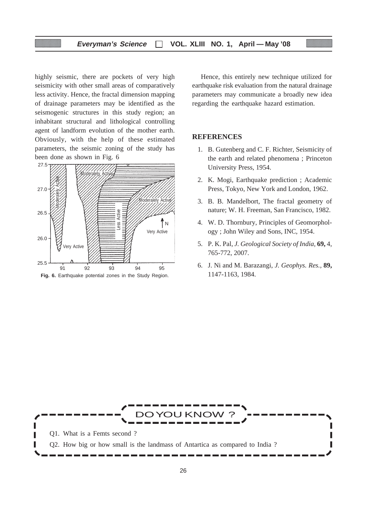highly seismic, there are pockets of very high seismicity with other small areas of comparatively less activity. Hence, the fractal dimension mapping of drainage parameters may be identified as the seismogenic structures in this study region; an inhabitant structural and lithological controlling agent of landform evolution of the mother earth. Obviously, with the help of these estimated parameters, the seismic zoning of the study has been done as shown in Fig. 6



Hence, this entirely new technique utilized for earthquake risk evaluation from the natural drainage parameters may communicate a broadly new idea regarding the earthquake hazard estimation.

#### **REFERENCES**

- 1. B. Gutenberg and C. F. Richter, Seismicity of the earth and related phenomena ; Princeton University Press, 1954.
- 2. K. Mogi, Earthquake prediction ; Academic Press, Tokyo, New York and London, 1962.
- 3. B. B. Mandelbort, The fractal geometry of nature; W. H. Freeman, San Francisco, 1982.
- 4. W. D. Thornbury, Principles of Geomorphology ; John Wiley and Sons, INC, 1954.
- 5. P. K. Pal, *J. Geological Society of India,* **69,** 4, 765-772, 2007.
- 6. J. Ni and M. Barazangi, *J. Geophys. Res.,* **89,** 1147-1163, 1984.

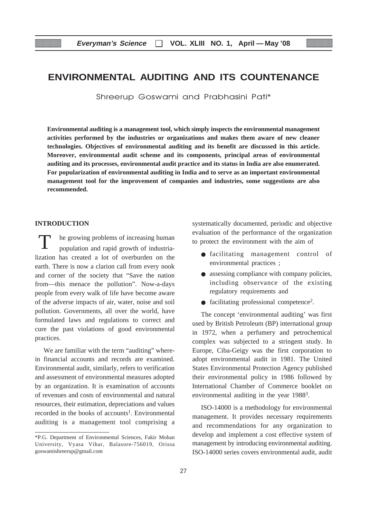# **ENVIRONMENTAL AUDITING AND ITS COUNTENANCE**

Shreerup Goswami and Prabhasini Pati\*

**Environmental auditing is a management tool, which simply inspects the environmental management activities performed by the industries or organizations and makes them aware of new cleaner technologies. Objectives of environmental auditing and its benefit are discussed in this article. Moreover, environmental audit scheme and its components, principal areas of environmental auditing and its processes, environmental audit practice and its status in India are also enumerated. For popularization of environmental auditing in India and to serve as an important environmental management tool for the improvement of companies and industries, some suggestions are also recommended.**

#### **INTRODUCTION**

he growing problems of increasing human population and rapid growth of industrialization has created a lot of overburden on the earth. There is now a clarion call from every nook and corner of the society that "Save the nation from—this menace the pollution". Now-a-days people from every walk of life have become aware of the adverse impacts of air, water, noise and soil pollution. Governments, all over the world, have formulated laws and regulations to correct and cure the past violations of good environmental practices.

We are familiar with the term "auditing" wherein financial accounts and records are examined. Environmental audit, similarly, refers to verification and assessment of environmental measures adopted by an organization. It is examination of accounts of revenues and costs of environmental and natural resources, their estimation, depreciations and values recorded in the books of accounts<sup>1</sup>. Environmental auditing is a management tool comprising a systematically documented, periodic and objective evaluation of the performance of the organization to protect the environment with the aim of

- facilitating management control of environmental practices ;
- assessing compliance with company policies, including observance of the existing regulatory requirements and
- facilitating professional competence<sup>2</sup>.

The concept 'environmental auditing' was first used by British Petroleum (BP) international group in 1972, when a perfumery and petrochemical complex was subjected to a stringent study. In Europe, Ciba-Geigy was the first corporation to adopt environmental audit in 1981. The United States Environmental Protection Agency published their environmental policy in 1986 followed by International Chamber of Commerce booklet on environmental auditing in the year 19883.

ISO-14000 is a methodology for environmental management. It provides necessary requirements and recommendations for any organization to develop and implement a cost effective system of management by introducing environmental auditing. ISO-14000 series covers environmental audit, audit

<sup>\*</sup>P.G. Department of Environmental Sciences, Fakir Mohan University, Vyasa Vihar, Balasore-756019, Orissa goswamishreerup@gmail.com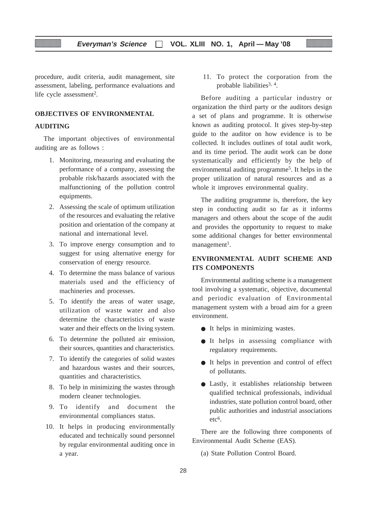procedure, audit criteria, audit management, site assessment, labeling, performance evaluations and life cycle assessment<sup>2</sup>.

#### **OBJECTIVES OF ENVIRONMENTAL**

#### **AUDITING**

The important objectives of environmental auditing are as follows :

- 1. Monitoring, measuring and evaluating the performance of a company, assessing the probable risk/hazards associated with the malfunctioning of the pollution control equipments.
- 2. Assessing the scale of optimum utilization of the resources and evaluating the relative position and orientation of the company at national and international level.
- 3. To improve energy consumption and to suggest for using alternative energy for conservation of energy resource.
- 4. To determine the mass balance of various materials used and the efficiency of machineries and processes.
- 5. To identify the areas of water usage, utilization of waste water and also determine the characteristics of waste water and their effects on the living system.
- 6. To determine the polluted air emission, their sources, quantities and characteristics.
- 7. To identify the categories of solid wastes and hazardous wastes and their sources, quantities and characteristics.
- 8. To help in minimizing the wastes through modern cleaner technologies.
- 9. To identify and document the environmental compliances status.
- 10. It helps in producing environmentally educated and technically sound personnel by regular environmental auditing once in a year.

11. To protect the corporation from the probable liabilities<sup>3, 4</sup>.

Before auditing a particular industry or organization the third party or the auditors design a set of plans and programme. It is otherwise known as auditing protocol. It gives step-by-step guide to the auditor on how evidence is to be collected. It includes outlines of total audit work, and its time period. The audit work can be done systematically and efficiently by the help of environmental auditing programme<sup>5</sup>. It helps in the proper utilization of natural resources and as a whole it improves environmental quality.

The auditing programme is, therefore, the key step in conducting audit so far as it informs managers and others about the scope of the audit and provides the opportunity to request to make some additional changes for better environmental  $m$ anagement<sup>1</sup>.

#### **ENVIRONMENTAL AUDIT SCHEME AND ITS COMPONENTS**

Environmental auditing scheme is a management tool involving a systematic, objective, documental and periodic evaluation of Environmental management system with a broad aim for a green environment.

- It helps in minimizing wastes.
- It helps in assessing compliance with regulatory requirements.
- It helps in prevention and control of effect of pollutants.
- Lastly, it establishes relationship between qualified technical professionals, individual industries, state pollution control board, other public authorities and industrial associations etc6.

There are the following three components of Environmental Audit Scheme (EAS).

(a) State Pollution Control Board.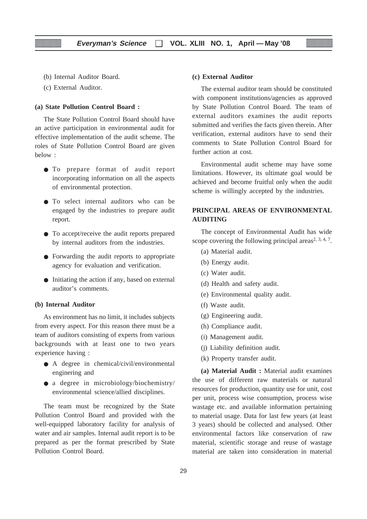- (b) Internal Auditor Board.
- (c) External Auditor.

#### **(a) State Pollution Control Board :**

The State Pollution Control Board should have an active participation in environmental audit for effective implementation of the audit scheme. The roles of State Pollution Control Board are given below :

- To prepare format of audit report incorporating information on all the aspects of environmental protection.
- To select internal auditors who can be engaged by the industries to prepare audit report.
- To accept/receive the audit reports prepared by internal auditors from the industries.
- Forwarding the audit reports to appropriate agency for evaluation and verification.
- Initiating the action if any, based on external auditor's comments.

#### **(b) Internal Auditor**

As environment has no limit, it includes subjects from every aspect. For this reason there must be a team of auditors consisting of experts from various backgrounds with at least one to two years experience having :

- A degree in chemical/civil/environmental enginering and
- a degree in microbiology/biochemistry/ environmental science/allied disciplines.

The team must be recognized by the State Pollution Control Board and provided with the well-equipped laboratory facility for analysis of water and air samples. Internal audit report is to be prepared as per the format prescribed by State Pollution Control Board.

#### **(c) External Auditor**

The external auditor team should be constituted with component institutions/agencies as approved by State Pollution Control Board. The team of external auditors examines the audit reports submitted and verifies the facts given therein. After verification, external auditors have to send their comments to State Pollution Control Board for further action at cost.

Environmental audit scheme may have some limitations. However, its ultimate goal would be achieved and become fruitful only when the audit scheme is willingly accepted by the industries.

#### **PRINCIPAL AREAS OF ENVIRONMENTAL AUDITING**

The concept of Environmental Audit has wide scope covering the following principal areas<sup>2, 3, 4, 7</sup>.

- (a) Material audit.
- (b) Energy audit.
- (c) Water audit.
- (d) Health and safety audit.
- (e) Environmental quality audit.
- (f) Waste audit.
- (g) Engineering audit.
- (h) Compliance audit.
- (i) Management audit.
- (j) Liability definition audit.
- (k) Property transfer audit.

**(a) Material Audit :** Material audit examines the use of different raw materials or natural resources for production, quantity use for unit, cost per unit, process wise consumption, process wise wastage etc. and available information pertaining to material usage. Data for last few years (at least 3 years) should be collected and analysed. Other environmental factors like conservation of raw material, scientific storage and reuse of wastage material are taken into consideration in material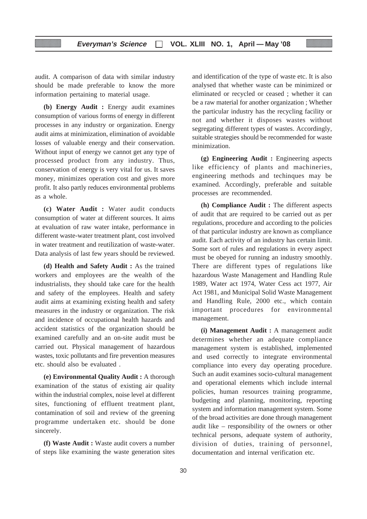audit. A comparison of data with similar industry should be made preferable to know the more information pertaining to material usage.

**(b) Energy Audit :** Energy audit examines consumption of various forms of energy in different processes in any industry or organization. Energy audit aims at minimization, elimination of avoidable losses of valuable energy and their conservation. Without input of energy we cannot get any type of processed product from any industry. Thus, conservation of energy is very vital for us. It saves money, minimizes operation cost and gives more profit. It also partly reduces environmental problems as a whole.

**(c) Water Audit :** Water audit conducts consumption of water at different sources. It aims at evaluation of raw water intake, performance in different waste-water treatment plant, cost involved in water treatment and reutilization of waste-water. Data analysis of last few years should be reviewed.

**(d) Health and Safety Audit :** As the trained workers and employees are the wealth of the industrialists, they should take care for the health and safety of the employees. Health and safety audit aims at examining existing health and safety measures in the industry or organization. The risk and incidence of occupational health hazards and accident statistics of the organization should be examined carefully and an on-site audit must be carried out. Physical management of hazardous wastes, toxic pollutants and fire prevention measures etc. should also be evaluated .

**(e) Environmental Quality Audit :** A thorough examination of the status of existing air quality within the industrial complex, noise level at different sites, functioning of effluent treatment plant, contamination of soil and review of the greening programme undertaken etc. should be done sincerely.

**(f) Waste Audit :** Waste audit covers a number of steps like examining the waste generation sites and identification of the type of waste etc. It is also analysed that whether waste can be minimized or eliminated or recycled or ceased ; whether it can be a raw material for another organization ; Whether the particular industry has the recycling facility or not and whether it disposes wastes without segregating different types of wastes. Accordingly, suitable strategies should be recommended for waste minimization.

**(g) Engineering Audit :** Engineering aspects like efficiency of plants and machineries, engineering methods and techinques may be examined. Accordingly, preferable and suitable processes are recommended.

**(h) Compliance Audit :** The different aspects of audit that are required to be carried out as per regulations, procedure and according to the policies of that particular industry are known as compliance audit. Each activity of an industry has certain limit. Some sort of rules and regulations in every aspect must be obeyed for running an industry smoothly. There are different types of regulations like hazardous Waste Management and Handling Rule 1989, Water act 1974, Water Cess act 1977, Air Act 1981, and Municipal Solid Waste Management and Handling Rule, 2000 etc., which contain important procedures for environmental management.

**(i) Management Audit :** A management audit determines whether an adequate compliance management system is established, implemented and used correctly to integrate environmental compliance into every day operating procedure. Such an audit examines socio-cultural management and operational elements which include internal policies, human resources training programme, budgeting and planning, monitoring, reporting system and information management system. Some of the broad activities are done through management audit like – responsibility of the owners or other technical persons, adequate system of authority, division of duties, training of personnel, documentation and internal verification etc.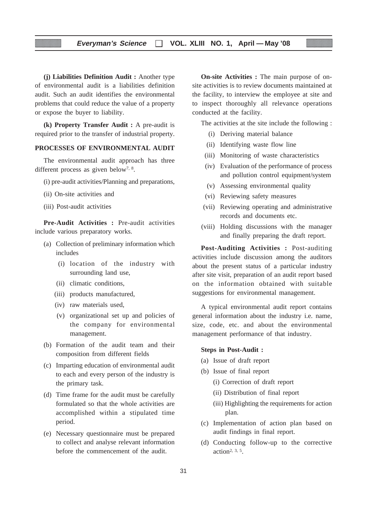**(j) Liabilities Definition Audit :** Another type of environmental audit is a liabilities definition audit. Such an audit identifies the environmental problems that could reduce the value of a property or expose the buyer to liability.

**(k) Property Transfer Audit :** A pre-audit is required prior to the transfer of industrial property.

#### **PROCESSES OF ENVIRONMENTAL AUDIT**

The environmental audit approach has three different process as given below<sup>7, 8</sup>.

- (i) pre-audit activities/Planning and preparations,
- (ii) On-site activities and
- (iii) Post-audit activities

**Pre-Audit Activities :** Pre-audit activities include various preparatory works.

- (a) Collection of preliminary information which includes
	- (i) location of the industry with surrounding land use,
	- (ii) climatic conditions,
	- (iii) products manufactured,
	- (iv) raw materials used,
	- (v) organizational set up and policies of the company for environmental management.
- (b) Formation of the audit team and their composition from different fields
- (c) Imparting education of environmental audit to each and every person of the industry is the primary task.
- (d) Time frame for the audit must be carefully formulated so that the whole activities are accomplished within a stipulated time period.
- (e) Necessary questionnaire must be prepared to collect and analyse relevant information before the commencement of the audit.

**On-site Activities :** The main purpose of onsite activities is to review documents maintained at the facility, to interview the employee at site and to inspect thoroughly all relevance operations conducted at the facility.

The activities at the site include the following :

- (i) Deriving material balance
- (ii) Identifying waste flow line
- (iii) Monitoring of waste characteristics
- (iv) Evaluation of the performance of process and pollution control equipment/system
- (v) Assessing environmental quality
- (vi) Reviewing safety measures
- (vii) Reviewing operating and administrative records and documents etc.
- (viii) Holding discussions with the manager and finally preparing the draft report.

**Post-Auditing Activities :** Post-auditing activities include discussion among the auditors about the present status of a particular industry after site visit, preparation of an audit report based on the information obtained with suitable suggestions for environmental management.

A typical environmental audit report contains general information about the industry i.e. name, size, code, etc. and about the environmental management performance of that industry.

#### **Steps in Post-Audit :**

- (a) Issue of draft report
- (b) Issue of final report
	- (i) Correction of draft report
	- (ii) Distribution of final report
	- (iii) Highlighting the requirements for action plan.
- (c) Implementation of action plan based on audit findings in final report.
- (d) Conducting follow-up to the corrective action<sup>2,  $3, 5$ </sup>.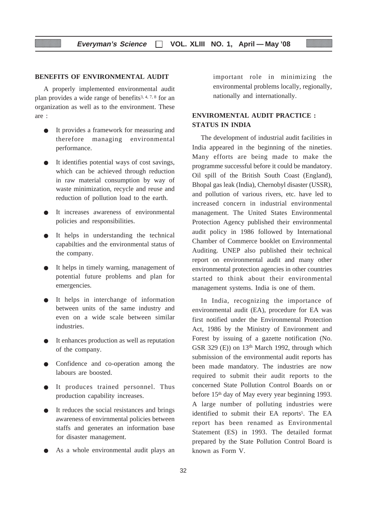#### **BENEFITS OF ENVIRONMENTAL AUDIT**

A properly implemented environmental audit plan provides a wide range of benefits<sup>3, 4, 7, 8</sup> for an organization as well as to the environment. These are :

- It provides a framework for measuring and therefore managing environmental performance.
- It identifies potential ways of cost savings, which can be achieved through reduction in raw material consumption by way of waste minimization, recycle and reuse and reduction of pollution load to the earth.
- It increases awareness of environmental policies and responsibilities.
- It helps in understanding the technical capabilties and the environmental status of the company.
- It helps in timely warning, management of potential future problems and plan for emergencies.
- It helps in interchange of information between units of the same industry and even on a wide scale between similar industries.
- It enhances production as well as reputation of the company.
- Confidence and co-operation among the labours are boosted.
- It produces trained personnel. Thus production capability increases.
- It reduces the social resistances and brings awareness of envirnmental policies between staffs and generates an information base for disaster management.
- As a whole environmental audit plays an

important role in minimizing the environmental problems locally, regionally, nationally and internationally.

#### **ENVIROMENTAL AUDIT PRACTICE : STATUS IN INDIA**

The development of industrial audit facilities in India appeared in the beginning of the nineties. Many efforts are being made to make the programme successful before it could be mandatory. Oil spill of the British South Coast (England), Bhopal gas leak (India), Chernobyl disaster (USSR), and pollution of various rivers, etc. have led to increased concern in industrial environmental management. The United States Environmental Protection Agency published their environmental audit policy in 1986 followed by International Chamber of Commerce booklet on Environmental Auditing. UNEP also published their technical report on environmental audit and many other environmental protection agencies in other countries started to think about their environmental management systems. India is one of them.

In India, recognizing the importance of environmental audit (EA), procedure for EA was first notified under the Environmental Protection Act, 1986 by the Ministry of Environment and Forest by issuing of a gazette notification (No. GSR 329 (E)) on  $13<sup>th</sup>$  March 1992, through which submission of the environmental audit reports has been made mandatory. The industries are now required to submit their audit reports to the concerned State Pollution Control Boards on or before 15<sup>th</sup> day of May every year beginning 1993. A large number of polluting industries were identified to submit their EA reports<sup>5</sup>. The EA report has been renamed as Environmental Statement (ES) in 1993. The detailed format prepared by the State Pollution Control Board is known as Form V.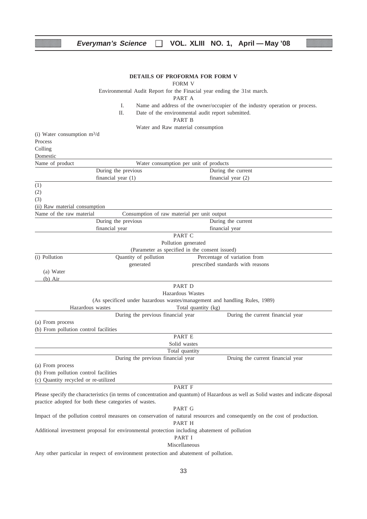#### **Everyman's Science VOL. XLIII NO. 1, April — May '08**

#### **DETAILS OF PROFORMA FOR FORM V**

#### FORM V

Environmental Audit Report for the Finacial year ending the 31st march.

PART A

- I. Name and address of the owner/occupier of the industry operation or process.
- II. Date of the environmental audit report submitted.

PART B

Water and Raw material consumption

(i) Water consumption  $m^3/d$ Process Colling **Domestic** 

| Name of product | Water consumption per unit of products |                      |  |
|-----------------|----------------------------------------|----------------------|--|
|                 | During the previous                    | During the current   |  |
|                 | financial year $(1)$                   | financial year $(2)$ |  |

(1)

(2)

(3)

(ii) Raw material consumption

| Name of the raw material                       | Consumption of raw material per unit output |                                                                            |  |  |  |
|------------------------------------------------|---------------------------------------------|----------------------------------------------------------------------------|--|--|--|
|                                                | During the previous                         | During the current                                                         |  |  |  |
| financial year                                 |                                             | financial year                                                             |  |  |  |
|                                                |                                             | PART C                                                                     |  |  |  |
|                                                |                                             | Pollution generated                                                        |  |  |  |
| (Parameter as specified in the consent issued) |                                             |                                                                            |  |  |  |
| (i) Pollution                                  | Quantity of pollution                       | Percentage of variation from                                               |  |  |  |
|                                                | generated                                   | prescribed standards with reasons                                          |  |  |  |
| (a) Water                                      |                                             |                                                                            |  |  |  |
| $(b)$ Air                                      |                                             |                                                                            |  |  |  |
|                                                |                                             | PART D                                                                     |  |  |  |
|                                                |                                             | Hazardous Wastes                                                           |  |  |  |
|                                                |                                             | (As specificed under hazardous wastes/management and handling Rules, 1989) |  |  |  |
| Hazardous wastes                               |                                             | Total quantity (kg)                                                        |  |  |  |
|                                                | During the previous financial year          | During the current financial year                                          |  |  |  |
| (a) From process                               |                                             |                                                                            |  |  |  |
| (b) From pollution control facilities          |                                             |                                                                            |  |  |  |
|                                                |                                             | <b>PART E</b>                                                              |  |  |  |
|                                                |                                             | Solid wastes                                                               |  |  |  |
|                                                |                                             | Total quantity                                                             |  |  |  |
|                                                | During the previous financial year          | Druing the current financial year                                          |  |  |  |
| (a) From process                               |                                             |                                                                            |  |  |  |

(b) From pollution control facilities (c) Quantity recycled or re-utilized

PART F

Please specify the characteristics (in terms of concentration and quantum) of Hazardous as well as Solid wastes and indicate disposal practice adopted for both these categories of wastes.

PART G

Impact of the pollution control measures on conservation of natural resources and consequently on the cost of production.

PART H

Additional investment proposal for environmental protection including abatement of pollution

PART I Miscellaneous

Any other particular in respect of environment protection and abatement of pollution.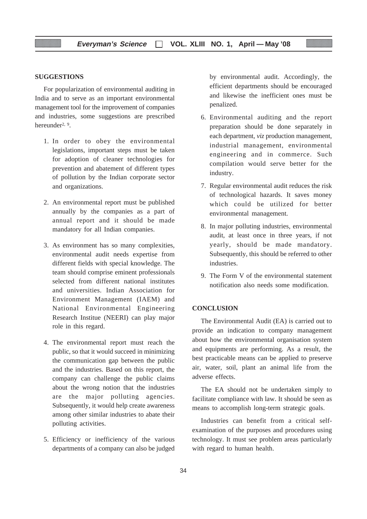#### **SUGGESTIONS**

For popularization of environmental auditing in India and to serve as an important environmental management tool for the improvement of companies and industries, some suggestions are prescribed hereunder2, 9.

- 1. In order to obey the environmental legislations, important steps must be taken for adoption of cleaner technologies for prevention and abatement of different types of pollution by the Indian corporate sector and organizations.
- 2. An environmental report must be published annually by the companies as a part of annual report and it should be made mandatory for all Indian companies.
- 3. As environment has so many complexities, environmental audit needs expertise from different fields with special knowledge. The team should comprise eminent professionals selected from different national institutes and universities. Indian Association for Environment Management (IAEM) and National Environmental Engineering Research Institue (NEERI) can play major role in this regard.
- 4. The environmental report must reach the public, so that it would succeed in minimizing the communication gap between the public and the industries. Based on this report, the company can challenge the public claims about the wrong notion that the industries are the major polluting agencies. Subsequently, it would help create awareness among other similar industries to abate their polluting activities.
- 5. Efficiency or inefficiency of the various departments of a company can also be judged

by environmental audit. Accordingly, the efficient departments should be encouraged and likewise the inefficient ones must be penalized.

- 6. Environmental auditing and the report preparation should be done separately in each department, *viz* production management, industrial management, environmental engineering and in commerce. Such compilation would serve better for the industry.
- 7. Regular environmental audit reduces the risk of technological hazards. It saves money which could be utilized for better environmental management.
- 8. In major polluting industries, environmental audit, at least once in three years, if not yearly, should be made mandatory. Subsequently, this should be referred to other industries.
- 9. The Form V of the environmental statement notification also needs some modification.

#### **CONCLUSION**

The Environmental Audit (EA) is carried out to provide an indication to company management about how the environmental organisation system and equipments are performing. As a result, the best practicable means can be applied to preserve air, water, soil, plant an animal life from the adverse effects.

The EA should not be undertaken simply to facilitate compliance with law. It should be seen as means to accomplish long-term strategic goals.

Industries can benefit from a critical selfexamination of the purposes and procedures using technology. It must see problem areas particularly with regard to human health.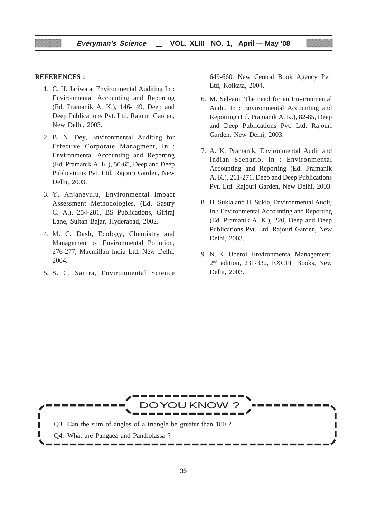#### **REFERENCES :**

- 1. C. H. Jariwala, Environmental Auditing In : Environmental Accounting and Reporting (Ed. Pramanik A. K.), 146-149, Deep and Deep Publications Pvt. Ltd. Rajouri Garden, New Delhi, 2003.
- 2. B. N. Dey, Environmental Auditing for Effective Corporate Managment, In : Environmental Accounting and Reporting (Ed. Pramanik A. K.), 50-65, Deep and Deep Publications Pvt. Ltd. Rajouri Garden, New Delhi, 2003.
- 3. Y. Anjaneyulu, Environmental Impact Assessment Methodologies, (Ed. Sastry C. A.), 254-281, BS Publications, Giriraj Lane, Sultan Bajar, Hyderabad, 2002.
- 4. M. C. Dash, Ecology, Chemistry and Management of Environmental Pollution, 276-277, Macmillan India Ltd. New Delhi. 2004.
- 5. S. C. Santra, Environmental Science

649-660, New Central Book Agency Pvt. Ltd, Kolkata, 2004.

- 6. M. Selvam, The need for an Environmental Audit, In : Environmental Accounting and Reporting (Ed. Pramanik A. K.), 82-85, Deep and Deep Publications Pvt. Ltd. Rajouri Garden, New Delhi, 2003.
- 7. A. K. Pramanik, Environmental Audit and Indian Scenario, In : Environmental Accounting and Reporting (Ed. Pramanik A. K.), 261-271, Deep and Deep Publications Pvt. Ltd. Rajouri Garden, New Delhi, 2003.
- 8. H. Sukla and H. Sukla, Environmental Audit, In : Environmental Accounting and Reporting (Ed. Pramanik A. K.), 220, Deep and Deep Publications Pvt. Ltd. Rajouri Garden, New Delhi, 2003.
- 9. N. K. Uberoi, Environmental Management, 2nd edition, 231-332, EXCEL Books, New Delhi, 2003.

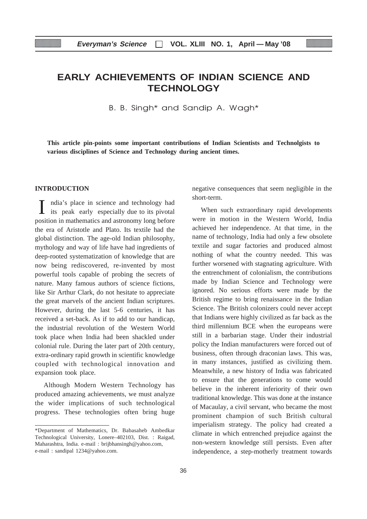# **EARLY ACHIEVEMENTS OF INDIAN SCIENCE AND TECHNOLOGY**

B. B. Singh\* and Sandip A. Wagh\*

**This article pin-points some important contributions of Indian Scientists and Technolgists to various disciplines of Science and Technology during ancient times.**

#### **INTRODUCTION**

I ndia's place in science and technology had its peak early especially due to its pivotal position in mathematics and astronomy long before the era of Aristotle and Plato. Its textile had the global distinction. The age-old Indian philosophy, mythology and way of life have had ingredients of deep-rooted systematization of knowledge that are now being rediscovered, re-invented by most powerful tools capable of probing the secrets of nature. Many famous authors of science fictions, like Sir Arthur Clark, do not hesitate to appreciate the great marvels of the ancient Indian scriptures. However, during the last 5-6 centuries, it has received a set-back. As if to add to our handicap, the industrial revolution of the Western World took place when India had been shackled under colonial rule. During the later part of 20th century, extra-ordinary rapid growth in scientific knowledge coupled with technological innovation and expansion took place.

Although Modern Western Technology has produced amazing achievements, we must analyze the wider implications of such technological progress. These technologies often bring huge negative consequences that seem negligible in the short-term.

When such extraordinary rapid developments were in motion in the Western World, India achieved her independence. At that time, in the name of technology, India had only a few obsolete textile and sugar factories and produced almost nothing of what the country needed. This was further worsened with stagnating agriculture. With the entrenchment of colonialism, the contributions made by Indian Science and Technology were ignored. No serious efforts were made by the British regime to bring renaissance in the Indian Science. The British colonizers could never accept that Indians were highly civilized as far back as the third millennium BCE when the europeans were still in a barbarian stage. Under their industrial policy the Indian manufacturers were forced out of business, often through draconian laws. This was, in many instances, justified as civilizing them. Meanwhile, a new history of India was fabricated to ensure that the generations to come would believe in the inherent inferiority of their own traditional knowledge. This was done at the instance of Macaulay, a civil servant, who became the most prominent champion of such British cultural imperialism strategy. The policy had created a climate in which entrenched prejudice against the non-western knowledge still persists. Even after independence, a step-motherly treatment towards

<sup>\*</sup>Department of Mathematics, Dr. Babasaheb Ambedkar Technological University, Lonere–402103, Dist. : Raigad, Maharashtra, India. e-mail : brijbhansingh@yahoo.com, e-mail : sandipal 1234@yahoo.com.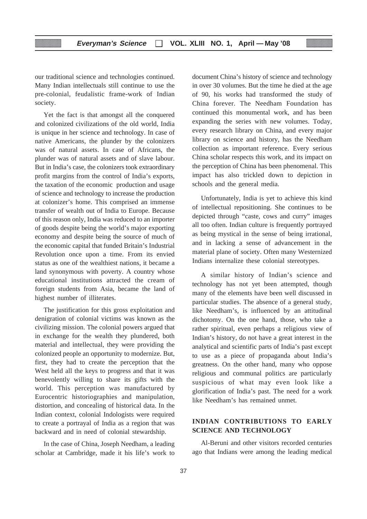our traditional science and technologies continued. Many Indian intellectuals still continue to use the pre-colonial, feudalistic frame-work of Indian society.

Yet the fact is that amongst all the conquered and colonized civilizations of the old world, India is unique in her science and technology. In case of native Americans, the plunder by the colonizers was of natural assets. In case of Africans, the plunder was of natural assets and of slave labour. But in India's case, the colonizers took extraordinary profit margins from the control of India's exports, the taxation of the economic production and usage of science and technology to increase the production at colonizer's home. This comprised an immense transfer of wealth out of India to Europe. Because of this reason only, India was reduced to an importer of goods despite being the world's major exporting economy and despite being the source of much of the economic capital that funded Britain's Industrial Revolution once upon a time. From its envied status as one of the wealthiest nations, it became a land synonymous with poverty. A country whose educational institutions attracted the cream of foreign students from Asia, became the land of highest number of illiterates.

The justification for this gross exploitation and denigration of colonial victims was known as the civilizing mission. The colonial powers argued that in exchange for the wealth they plundered, both material and intellectual, they were providing the colonized people an opportunity to modernize. But, first, they had to create the perception that the West held all the keys to progress and that it was benevolently willing to share its gifts with the world. This perception was manufactured by Eurocentric historiographies and manipulation, distortion, and concealing of historical data. In the Indian context, colonial Indologists were required to create a portrayal of India as a region that was backward and in need of colonial stewardship.

In the case of China, Joseph Needham, a leading scholar at Cambridge, made it his life's work to document China's history of science and technology in over 30 volumes. But the time he died at the age of 90, his works had transformed the study of China forever. The Needham Foundation has continued this monumental work, and has been expanding the series with new volumes. Today, every research library on China, and every major library on science and history, has the Needham collection as important reference. Every serious China scholar respects this work, and its impact on the perception of China has been phenomenal. This impact has also trickled down to depiction in schools and the general media.

Unfortunately, India is yet to achieve this kind of intellectual repositioning. She continues to be depicted through "caste, cows and curry" images all too often. Indian culture is frequently portrayed as being mystical in the sense of being irrational, and in lacking a sense of advancement in the material plane of society. Often many Westernized Indians internalize these colonial stereotypes.

A similar history of Indian's science and technology has not yet been attempted, though many of the elements have been well discussed in particular studies. The absence of a general study, like Needham's, is influenced by an attitudinal dichotomy. On the one hand, those, who take a rather spiritual, even perhaps a religious view of Indian's history, do not have a great interest in the analytical and scientific parts of India's past except to use as a piece of propaganda about India's greatness. On the other hand, many who oppose religious and communal politics are particularly suspicious of what may even look like a glorification of India's past. The need for a work like Needham's has remained unmet.

## **INDIAN CONTRIBUTIONS TO EARLY SCIENCE AND TECHNOLOGY**

Al-Beruni and other visitors recorded centuries ago that Indians were among the leading medical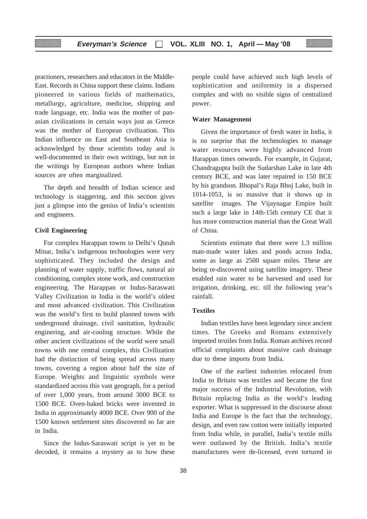practioners, researchers and educators in the Middle-East. Records in China support these claims. Indians pioneered in various fields of mathematics, metallurgy, agriculture, medicine, shipping and trade language, etc. India was the mother of panasian civilizations in certain ways just as Greece was the mother of European civilization. This Indian influence on East and Southeast Asia is acknowledged by those scientists today and is well-documented in their own writings, but not in the writings by European authors where Indian sources are often marginalized.

The depth and breadth of Indian science and technology is staggering, and this section gives just a glimpse into the genius of India's scientists and engineers.

## **Civil Engineering**

For complex Harappan towns to Delhi's Qutub Minar, India's indigenous technologies were very sophisticated. They included the design and planning of water supply, traffic flows, natural air conditioning, complex stone work, and construction engineering. The Harappan or Indus-Saraswati Valley Civilization in India is the world's oldest and most advanced civilization. This Civilization was the world's first to build planned towns with underground drainage, civil sanitation, hydraulic enginering, and air-cooling structure. While the other ancient civilizations of the world were small towns with one central complex, this Civilization had the distinction of being spread across many towns, covering a region about half the size of Europe. Weights and linguistic symbols were standardized across this vast geograph, for a period of over 1,000 years, from around 3000 BCE to 1500 BCE. Oven-baked bricks were invented in India in approximately 4000 BCE. Over 900 of the 1500 known settlement sites discovered so far are in India.

Since the Indus-Saraswati script is yet to be decoded, it remains a mystery as to how these people could have achieved such high levels of sophistication and uniformity in a dispersed complex and with no visible signs of centralized power.

#### **Water Management**

Given the importance of fresh water in India, it is no surprise that the techmologies to manage water resources were highly advanced from Harappan times onwards. For example, in Gujarat, Chandragupta built the Sudarshan Lake in late 4th century BCE, and was later repaired in 150 BCE by his grandson. Bhopal's Raja Bhoj Lake, built in 1014-1053, is so massive that it shows up in satellite images. The Vijaynagar Empire built such a large lake in 14th-15th century CE that it has more construction material than the Great Wall of China.

Scientists estimate that there were 1.3 million man-made water lakes and ponds across India, some as large as 2500 square miles. These are being re-discovered using satellite imagery. These enabled rain water to be harvested and used for irrigation, drinking, etc. till the following year's rainfall.

## **Textiles**

Indian textiles have been legendary since ancient times. The Greeks and Romans extensively imported textiles from India. Roman archives record official complaints about massive cash drainage due to these imports from India.

One of the earliest industries relocated from India to Britain was textiles and became the first major success of the Industrial Revolution, with Britain replacing India as the world's leading exporter. What is suppressed in the discourse about India and Europe is the fact that the technology, design, and even raw cotton were initially imported from India while, in parallel, India's textile mills were outlawed by the British. India's textile manufactures were de-licensed, even tortured in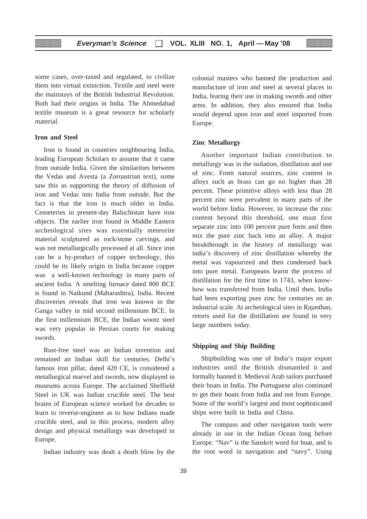some cases, over-taxed and regulated, to civilize them into virtual extinction. Textile and steel were the mainstays of the British Industrial Revolution. Both had their origins in India. The Ahmedabad textile museum is a great resource for scholarly material.

## **Iron and Steel**

Iron is found in countries neighbouring India, leading European Scholars to assume that it came from outside India. Given the similarities between the Vedas and Avesta (a Zoroastrian text), some saw this as supporting the theory of diffusion of iron and Vedas into India from outside. But the fact is that the iron is much older in India. Cemeteries in present-day Baluchistan have iron objects. The earlier iron found in Middle Eastern archeological sites was essentially meteorite material sculptured as rock/stone carvings, and was not metallurgically processed at all. Since iron can be a by-product of copper technology, this could be its likely origin in India because copper was a well-known technology in many parts of ancient India. A smelting furnace dated 800 BCE is found in Naikund (Maharashtra), India. Recent discoveries reveals that iron was known in the Ganga valley in mid second millennium BCE. In the first millennium BCE, the Indian wootz steel was very popular in Persian courts for making swords.

Rust-free steel was an Indian invention and remained an Indian skill for centuries. Delhi's famous iron pillar, dated 420 CE, is considered a metallurgical marvel and swords, now displayed in museums across Europe. The acclaimed Sheffield Steel in UK was Indian crucible steel. The best brains of European science worked for decades to learn to reverse-engineer as to how Indians made crucible steel, and in this process, modern alloy design and physical metallurgy was developed in Europe.

Indian industry was dealt a death blow by the

colonial masters who banned the production and manufacture of iron and steel at several places in India, fearing their use in making swords and other arms. In addition, they also ensured that India would depend upon iron and steel imported from Europe.

#### **Zinc Metallurgy**

Another important Indian contribution to metallurgy was in the isolation, distillation and use of zinc. From natural sources, zinc content in alloys such as brass can go no higher than 28 percent. These primitive alloys with less than 28 percent zinc were prevalent in many parts of the world before India. However, to increase the zinc content beyond this threshold, one must first separate zinc into 100 percent pure form and then mix the pure zinc back into an alloy. A major breakthrough in the history of metallurgy was india's discovery of zinc distillation whereby the metal was vapourized and then condensed back into pure metal. Europeans learnt the process of distillation for the first time in 1743, when knowhow was transferred from India. Until then, India had been exporting pure zinc for centuries on an industrial scale. At archeological sites in Rajasthan, retorts used for the distillation are found in very large numbers today.

#### **Shipping and Ship Building**

Shipbuilding was one of India's major export industries until the British dismantled it and formally banned it. Medieval Arab sailors purchased their boats in India. The Portuguese also continued to get their boats from India and not from Europe. Some of the world's largest and most sophisticated ships were built in India and China.

The compass and other navigation tools were already in use in the Indian Ocean long before Europe. "Nav" is the Sanskrit word for boat, and is the root word in navigation and "navy". Using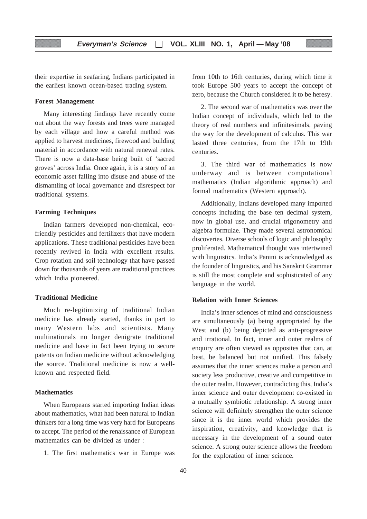their expertise in seafaring, Indians participated in the earliest known ocean-based trading system.

#### **Forest Management**

Many interesting findings have recently come out about the way forests and trees were managed by each village and how a careful method was applied to harvest medicines, firewood and building material in accordance with natural renewal rates. There is now a data-base being built of 'sacred groves' across India. Once again, it is a story of an economic asset falling into disuse and abuse of the dismantling of local governance and disrespect for traditional systems.

#### **Farming Techniques**

Indian farmers developed non-chemical, ecofriendly pesticides and fertilizers that have modern applications. These traditional pesticides have been recently revived in India with excellent results. Crop rotation and soil technology that have passed down for thousands of years are traditional practices which India pioneered.

## **Traditional Medicine**

Much re-legitimizing of traditional Indian medicine has already started, thanks in part to many Western labs and scientists. Many multinationals no longer denigrate traditional medicine and have in fact been trying to secure patents on Indian medicine without acknowledging the source. Traditional medicine is now a wellknown and respected field.

## **Mathematics**

When Europeans started importing Indian ideas about mathematics, what had been natural to Indian thinkers for a long time was very hard for Europeans to accept. The period of the renaissance of European mathematics can be divided as under :

1. The first mathematics war in Europe was

from 10th to 16th centuries, during which time it took Europe 500 years to accept the concept of zero, because the Church considered it to be heresy.

2. The second war of mathematics was over the Indian concept of individuals, which led to the theory of real numbers and infinitesimals, paving the way for the development of calculus. This war lasted three centuries, from the 17th to 19th centuries.

3. The third war of mathematics is now underway and is between computational mathematics (Indian algorithmic approach) and formal mathematics (Western approach).

Additionally, Indians developed many imported concepts including the base ten decimal system, now in global use, and crucial trigonometry and algebra formulae. They made several astronomical discoveries. Diverse schools of logic and philosophy proliferated. Mathematical thought was intertwined with linguistics. India's Panini is acknowledged as the founder of linguistics, and his Sanskrit Grammar is still the most complete and sophisticated of any language in the world.

## **Relation with Inner Sciences**

India's inner sciences of mind and consciousness are simultaneously (a) being appropriated by the West and (b) being depicted as anti-progressive and irrational. In fact, inner and outer realms of enquiry are often viewed as opposites that can, at best, be balanced but not unified. This falsely assumes that the inner sciences make a person and society less productive, creative and competitive in the outer realm. However, contradicting this, India's inner science and outer development co-existed in a mutually symbiotic relationship. A strong inner science will definitely strengthen the outer science since it is the inner world which provides the inspiration, creativity, and knowledge that is necessary in the development of a sound outer science. A strong outer science allows the freedom for the exploration of inner science.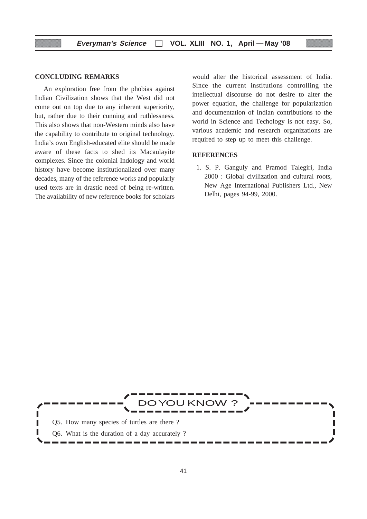### **CONCLUDING REMARKS**

An exploration free from the phobias against Indian Civilization shows that the West did not come out on top due to any inherent superiority, but, rather due to their cunning and ruthlessness. This also shows that non-Western minds also have the capability to contribute to original technology. India's own English-educated elite should be made aware of these facts to shed its Macaulayite complexes. Since the colonial Indology and world history have become institutionalized over many decades, many of the reference works and popularly used texts are in drastic need of being re-written. The availability of new reference books for scholars would alter the historical assessment of India. Since the current institutions controlling the intellectual discourse do not desire to alter the power equation, the challenge for popularization and documentation of Indian contributions to the world in Science and Techology is not easy. So, various academic and research organizations are required to step up to meet this challenge.

#### **REFERENCES**

 1. S. P. Ganguly and Pramod Talegiri, India 2000 : Global civilization and cultural roots, New Age International Publishers Ltd., New Delhi, pages 94-99, 2000.

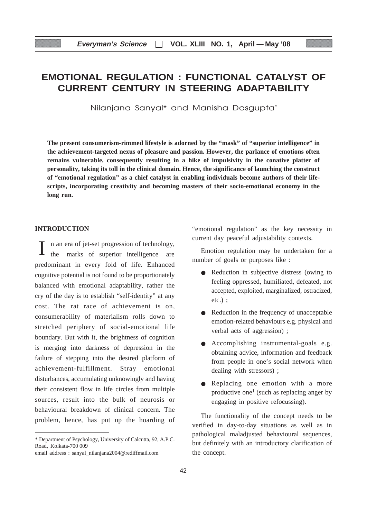# **EMOTIONAL REGULATION : FUNCTIONAL CATALYST OF CURRENT CENTURY IN STEERING ADAPTABILITY**

Nilanjana Sanyal\* and Manisha Dasgupta\*

**The present consumerism-rimmed lifestyle is adorned by the "mask" of "superior intelligence" in the achievement-targeted nexus of pleasure and passion. However, the parlance of emotions often remains vulnerable, consequently resulting in a hike of impulsivity in the conative platter of personality, taking its toll in the clinical domain. Hence, the significance of launching the construct of "emotional regulation" as a chief catalyst in enabling individuals become authors of their lifescripts, incorporating creativity and becoming masters of their socio-emotional economy in the long run.**

#### **INTRODUCTION**

n an era of jet-set progression of technology, marks of superior intelligence are predominant in every fold of life. Enhanced cognitive potential is not found to be proportionately balanced with emotional adaptability, rather the cry of the day is to establish "self-identity" at any cost. The rat race of achievement is on, consumerability of materialism rolls down to stretched periphery of social-emotional life boundary. But with it, the brightness of cognition is merging into darkness of depression in the failure of stepping into the desired platform of achievement-fulfillment. Stray emotional disturbances, accumulating unknowingly and having their consistent flow in life circles from multiple sources, result into the bulk of neurosis or behavioural breakdown of clinical concern. The problem, hence, has put up the hoarding of "emotional regulation" as the key necessity in current day peaceful adjustability contexts.

Emotion regulation may be undertaken for a number of goals or purposes like :

- Reduction in subjective distress (owing to feeling oppressed, humiliated, defeated, not accepted, exploited, marginalized, ostracized, etc.) ;
- Reduction in the frequency of unacceptable emotion-related behaviours e.g. physical and verbal acts of aggression) ;
- Accomplishing instrumental-goals e.g. obtaining advice, information and feedback from people in one's social network when dealing with stressors) ;
- Replacing one emotion with a more productive one<sup>1</sup> (such as replacing anger by engaging in positive refocussing).

The functionality of the concept needs to be verified in day-to-day situations as well as in pathological maladjusted behavioural sequences, but definitely with an introductory clarification of the concept.

<sup>\*</sup> Department of Psychology, University of Calcutta, 92, A.P.C. Road, Kolkata-700 009

email address : sanyal\_nilanjana2004@rediffmail.com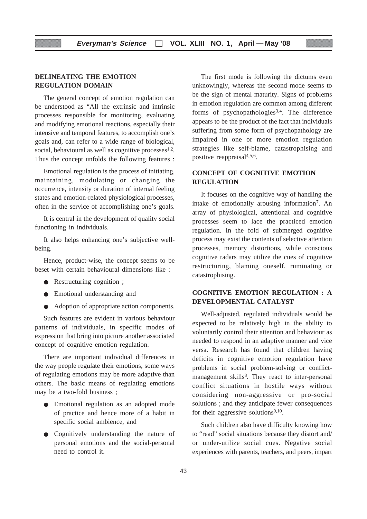## **DELINEATING THE EMOTION REGULATION DOMAIN**

The general concept of emotion regulation can be understood as "All the extrinsic and intrinsic processes responsible for monitoring, evaluating and modifying emotional reactions, especially their intensive and temporal features, to accomplish one's goals and, can refer to a wide range of biological, social, behavioural as well as cognitive processes $1,2$ . Thus the concept unfolds the following features :

Emotional regulation is the process of initiating, maintaining, modulating or changing the occurrence, intensity or duration of internal feeling states and emotion-related physiological processes, often in the service of accomplishing one's goals.

It is central in the development of quality social functioning in individuals.

It also helps enhancing one's subjective wellbeing.

Hence, product-wise, the concept seems to be beset with certain behavioural dimensions like :

- Restructuring cognition ;
- Emotional understanding and
- Adoption of appropriate action components.

Such features are evident in various behaviour patterns of individuals, in specific modes of expression that bring into picture another associated concept of cognitive emotion regulation.

There are important individual differences in the way people regulate their emotions, some ways of regulating emotions may be more adaptive than others. The basic means of regulating emotions may be a two-fold business ;

- Emotional regulation as an adopted mode of practice and hence more of a habit in specific social ambience, and
- Cognitively understanding the nature of personal emotions and the social-personal need to control it.

The first mode is following the dictums even unknowingly, whereas the second mode seems to be the sign of mental maturity. Signs of problems in emotion regulation are common among different forms of psychopathologies<sup>3,4</sup>. The difference appears to be the product of the fact that individuals suffering from some form of psychopathology are impaired in one or more emotion regulation strategies like self-blame, catastrophising and positive reappraisal4,5,6.

## **CONCEPT OF COGNITIVE EMOTION REGULATION**

It focuses on the cognitive way of handling the intake of emotionally arousing information7. An array of physiological, attentional and cognitive processes seem to lace the practiced emotion regulation. In the fold of submerged cognitive process may exist the contents of selective attention processes, memory distortions, while conscious cognitive radars may utilize the cues of cognitive restructuring, blaming oneself, ruminating or catastrophising.

## **COGNITIVE EMOTION REGULATION : A DEVELOPMENTAL CATALYST**

Well-adjusted, regulated individuals would be expected to be relatively high in the ability to voluntarily control their attention and behaviour as needed to respond in an adaptive manner and vice versa. Research has found that children having deficits in cognitive emotion regulation have problems in social problem-solving or conflictmanagement skills<sup>8</sup>. They react to inter-personal conflict situations in hostile ways without considering non-aggressive or pro-social solutions ; and they anticipate fewer consequences for their aggressive solutions $9,10$ .

Such children also have difficulty knowing how to "read" social situations because they distort and/ or under-utilize social cues. Negative social experiences with parents, teachers, and peers, impart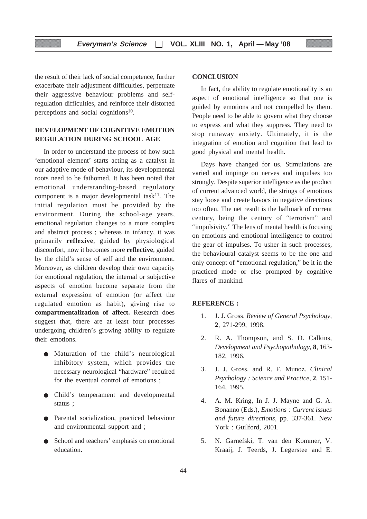the result of their lack of social competence, further exacerbate their adjustment difficulties, perpetuate their aggressive behaviour problems and selfregulation difficulties, and reinforce their distorted perceptions and social cognitions<sup>10</sup>.

## **DEVELOPMENT OF COGNITIVE EMOTION REGULATION DURING SCHOOL AGE**

In order to understand the process of how such 'emotional element' starts acting as a catalyst in our adaptive mode of behaviour, its developmental roots need to be fathomed. It has been noted that emotional understanding-based regulatory component is a major developmental task $11$ . The initial regulation must be provided by the environment. During the school-age years, emotional regulation changes to a more complex and abstract process ; whereas in infancy, it was primarily **reflexive**, guided by physiological discomfort, now it becomes more **reflective**, guided by the child's sense of self and the environment. Moreover, as children develop their own capacity for emotional regulation, the internal or subjective aspects of emotion become separate from the external expression of emotion (or affect the regulated emotion as habit), giving rise to **compartmentalization of affect.** Research does suggest that, there are at least four processes undergoing children's growing ability to regulate their emotions.

- Maturation of the child's neurological inhibitory system, which provides the necessary neurological "hardware" required for the eventual control of emotions ;
- Child's temperament and developmental status ;
- Parental socialization, practiced behaviour and environmental support and ;
- School and teachers' emphasis on emotional education.

## **CONCLUSION**

In fact, the ability to regulate emotionality is an aspect of emotional intelligence so that one is guided by emotions and not compelled by them. People need to be able to govern what they choose to express and what they suppress. They need to stop runaway anxiety. Ultimately, it is the integration of emotion and cognition that lead to good physical and mental health.

Days have changed for us. Stimulations are varied and impinge on nerves and impulses too strongly. Despite superior intelligence as the product of current advanced world, the strings of emotions stay loose and create havocs in negative directions too often. The net result is the hallmark of current century, being the century of "terrorism" and "impulsivity." The lens of mental health is focusing on emotions and emotional intelligence to control the gear of impulses. To usher in such processes, the behavioural catalyst seems to be the one and only concept of "emotional regulation," be it in the practiced mode or else prompted by cognitive flares of mankind.

## **REFERENCE :**

- 1. J. J. Gross. *Review of General Psychology,* **2**, 271-299, 1998.
- 2. R. A. Thompson, and S. D. Calkins, *Development and Psychopathology*, **8**, 163- 182, 1996.
- 3. J. J. Gross. and R. F. Munoz. *Clinical Psychology : Science and Practice*, **2**, 151- 164, 1995.
- 4. A. M. Kring, In J. J. Mayne and G. A. Bonanno (Eds.), *Emotions : Current issues and future directions*, pp. 337-361. New York : Guilford, 2001.
- 5. N. Garnefski, T. van den Kommer, V. Kraaij, J. Teerds, J. Legerstee and E.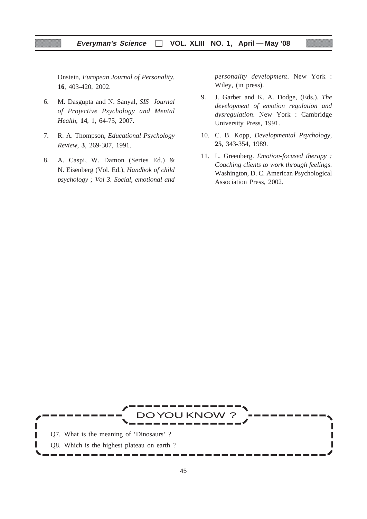Onstein, *European Journal of Personality*, **16**, 403-420, 2002.

- 6. M. Dasgupta and N. Sanyal, *SIS Journal of Projective Psychology and Mental Health*, **14**, 1, 64-75, 2007.
- 7. R. A. Thompson, *Educational Psychology Review,* **3**, 269-307, 1991.
- 8. A. Caspi, W. Damon (Series Ed.) & N. Eisenberg (Vol. Ed.), *Handbok of child psychology ; Vol 3. Social, emotional and*

*personality development*. New York : Wiley, (in press).

- 9. J. Garber and K. A. Dodge, (Eds.). *The development of emotion regulation and dysregulation*. New York : Cambridge University Press, 1991.
- 10. C. B. Kopp, *Developmental Psychology*, **25**, 343-354, 1989.
- 11. L. Greenberg. *Emotion-focused therapy : Coaching clients to work through feelings*. Washington, D. C. American Psychological Association Press, 2002.

DOYOU KNOW ? Q7. What is the meaning of 'Dinosaurs' ? Г П Q8. Which is the highest plateau on earth ?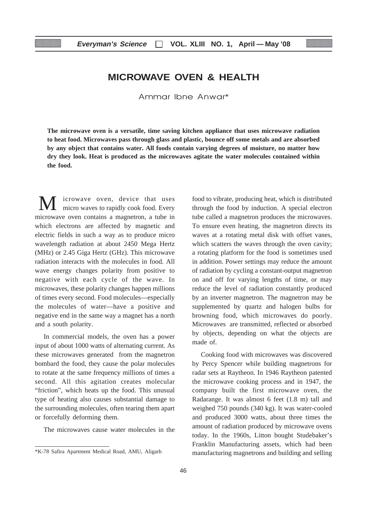## **MICROWAVE OVEN & HEALTH**

Ammar Ibne Anwar\*

**The microwave oven is a versatile, time saving kitchen appliance that uses microwave radiation to heat food. Microwaves pass through glass and plastic, bounce off some metals and are absorbed by any object that contains water. All foods contain varying degrees of moisture, no matter how dry they look. Heat is produced as the microwaves agitate the water molecules contained within the food.**

icrowave oven, device that uses micro waves to rapidly cook food. Every microwave oven contains a magnetron, a tube in which electrons are affected by magnetic and electric fields in such a way as to produce micro wavelength radiation at about 2450 Mega Hertz (MHz) or 2.45 Giga Hertz (GHz). This microwave radiation interacts with the molecules in food. All wave energy changes polarity from positive to negative with each cycle of the wave. In microwaves, these polarity changes happen millions of times every second. Food molecules—especially the molecules of water—have a positive and negative end in the same way a magnet has a north and a south polarity.

In commercial models, the oven has a power input of about 1000 watts of alternating current. As these microwaves generated from the magnetron bombard the food, they cause the polar molecules to rotate at the same frequency millions of times a second. All this agitation creates molecular "friction", which heats up the food. This unusual type of heating also causes substantial damage to the surrounding molecules, often tearing them apart or forcefully deforming them.

The microwaves cause water molecules in the

food to vibrate, producing heat, which is distributed through the food by induction. A special electron tube called a magnetron produces the microwaves. To ensure even heating, the magnetron directs its waves at a rotating metal disk with offset vanes, which scatters the waves through the oven cavity; a rotating platform for the food is sometimes used in addition. Power settings may reduce the amount of radiation by cycling a constant-output magnetron on and off for varying lengths of time, or may reduce the level of radiation constantly produced by an inverter magnetron. The magnetron may be supplemented by quartz and halogen bulbs for browning food, which microwaves do poorly. Microwaves are transmitted, reflected or absorbed by objects, depending on what the objects are made of.

Cooking food with microwaves was discovered by Percy Spencer while building magnetrons for radar sets at Raytheon. In 1946 Raytheon patented the microwave cooking process and in 1947, the company built the first microwave oven, the Radarange. It was almost 6 feet (1.8 m) tall and weighed 750 pounds (340 kg). It was water-cooled and produced 3000 watts, about three times the amount of radiation produced by microwave ovens today. In the 1960s, Litton bought Studebaker's Franklin Manufacturing assets, which had been manufacturing magnetrons and building and selling

<sup>\*</sup>K-78 Safira Apartment Medical Road, AMU, Aligarh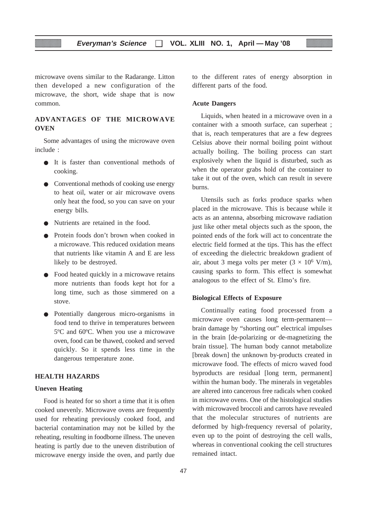microwave ovens similar to the Radarange. Litton then developed a new configuration of the microwave, the short, wide shape that is now common.

## **ADVANTAGES OF THE MICROWAVE OVEN**

Some advantages of using the microwave oven include :

- It is faster than conventional methods of cooking.
- Conventional methods of cooking use energy to heat oil, water or air microwave ovens only heat the food, so you can save on your energy bills.
- Nutrients are retained in the food.
- Protein foods don't brown when cooked in a microwave. This reduced oxidation means that nutrients like vitamin A and E are less likely to be destroyed.
- Food heated quickly in a microwave retains more nutrients than foods kept hot for a long time, such as those simmered on a stove.
- Potentially dangerous micro-organisms in food tend to thrive in temperatures between 5ºC and 60ºC. When you use a microwave oven, food can be thawed, cooked and served quickly. So it spends less time in the dangerous temperature zone.

## **HEALTH HAZARDS**

### **Uneven Heating**

Food is heated for so short a time that it is often cooked unevenly. Microwave ovens are frequently used for reheating previously cooked food, and bacterial contamination may not be killed by the reheating, resulting in foodborne illness. The uneven heating is partly due to the uneven distribution of microwave energy inside the oven, and partly due to the different rates of energy absorption in different parts of the food.

#### **Acute Dangers**

Liquids, when heated in a microwave oven in a container with a smooth surface, can superheat ; that is, reach temperatures that are a few degrees Celsius above their normal boiling point without actually boiling. The boiling process can start explosively when the liquid is disturbed, such as when the operator grabs hold of the container to take it out of the oven, which can result in severe burns.

Utensils such as forks produce sparks when placed in the microwave. This is because while it acts as an antenna, absorbing microwave radiation just like other metal objects such as the spoon, the pointed ends of the fork will act to concentrate the electric field formed at the tips. This has the effect of exceeding the dielectric breakdown gradient of air, about 3 mega volts per meter  $(3 \times 10^6 \text{ V/m})$ , causing sparks to form. This effect is somewhat analogous to the effect of St. Elmo's fire.

## **Biological Effects of Exposure**

Continually eating food processed from a microwave oven causes long term-permanent brain damage by "shorting out" electrical impulses in the brain [de-polarizing or de-magnetizing the brain tissue]. The human body cannot metabolize [break down] the unknown by-products created in microwave food. The effects of micro waved food byproducts are residual [long term, permanent] within the human body. The minerals in vegetables are altered into cancerous free radicals when cooked in microwave ovens. One of the histological studies with microwaved broccoli and carrots have revealed that the molecular structures of nutrients are deformed by high-frequency reversal of polarity, even up to the point of destroying the cell walls, whereas in conventional cooking the cell structures remained intact.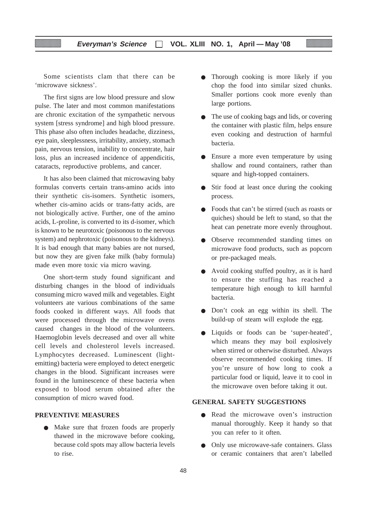## **Everyman's Science VOL. XLIII NO. 1, April — May '08**

Some scientists clam that there can be 'microwave sickness'.

The first signs are low blood pressure and slow pulse. The later and most common manifestations are chronic excitation of the sympathetic nervous system [stress syndrome] and high blood pressure. This phase also often includes headache, dizziness, eye pain, sleeplessness, irritability, anxiety, stomach pain, nervous tension, inability to concentrate, hair loss, plus an increased incidence of appendicitis, cataracts, reproductive problems, and cancer.

It has also been claimed that microwaving baby formulas converts certain trans-amino acids into their synthetic cis-isomers. Synthetic isomers, whether cis-amino acids or trans-fatty acids, are not biologically active. Further, one of the amino acids, L-proline, is converted to its d-isomer, which is known to be neurotoxic (poisonous to the nervous system) and nephrotoxic (poisonous to the kidneys). It is bad enough that many babies are not nursed, but now they are given fake milk (baby formula) made even more toxic via micro waving.

One short-term study found significant and disturbing changes in the blood of individuals consuming micro waved milk and vegetables. Eight volunteers ate various combinations of the same foods cooked in different ways. All foods that were processed through the microwave ovens caused changes in the blood of the volunteers. Haemoglobin levels decreased and over all white cell levels and cholesterol levels increased. Lymphocytes decreased. Luminescent (lightemitting) bacteria were employed to detect energetic changes in the blood. Significant increases were found in the luminescence of these bacteria when exposed to blood serum obtained after the consumption of micro waved food.

## **PREVENTIVE MEASURES**

● Make sure that frozen foods are properly thawed in the microwave before cooking, because cold spots may allow bacteria levels to rise.

- Thorough cooking is more likely if you chop the food into similar sized chunks. Smaller portions cook more evenly than large portions.
- The use of cooking bags and lids, or covering the container with plastic film, helps ensure even cooking and destruction of harmful bacteria.
- Ensure a more even temperature by using shallow and round containers, rather than square and high-topped containers.
- Stir food at least once during the cooking process.
- Foods that can't be stirred (such as roasts or quiches) should be left to stand, so that the heat can penetrate more evenly throughout.
- Observe recommended standing times on microwave food products, such as popcorn or pre-packaged meals.
- Avoid cooking stuffed poultry, as it is hard to ensure the stuffing has reached a temperature high enough to kill harmful bacteria.
- Don't cook an egg within its shell. The build-up of steam will explode the egg.
- Liquids or foods can be 'super-heated', which means they may boil explosively when stirred or otherwise disturbed. Always observe recommended cooking times. If you're unsure of how long to cook a particular food or liquid, leave it to cool in the microwave oven before taking it out.

#### **GENERAL SAFETY SUGGESTIONS**

- Read the microwave oven's instruction manual thoroughly. Keep it handy so that you can refer to it often.
- Only use microwave-safe containers. Glass or ceramic containers that aren't labelled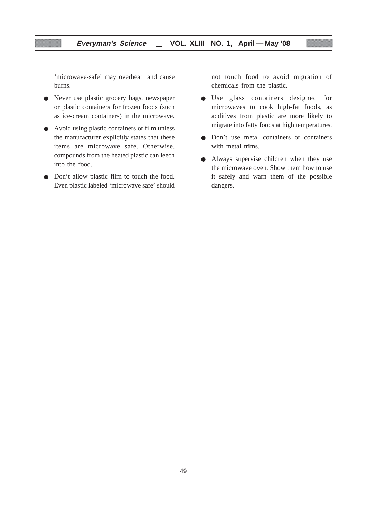'microwave-safe' may overheat and cause burns.

- Never use plastic grocery bags, newspaper or plastic containers for frozen foods (such as ice-cream containers) in the microwave.
- Avoid using plastic containers or film unless the manufacturer explicitly states that these items are microwave safe. Otherwise, compounds from the heated plastic can leech into the food.
- Don't allow plastic film to touch the food. Even plastic labeled 'microwave safe' should

not touch food to avoid migration of chemicals from the plastic.

- Use glass containers designed for microwaves to cook high-fat foods, as additives from plastic are more likely to migrate into fatty foods at high temperatures.
- Don't use metal containers or containers with metal trims.
- Always supervise children when they use the microwave oven. Show them how to use it safely and warn them of the possible dangers.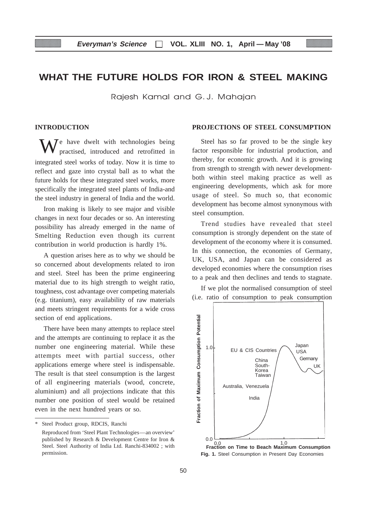## **WHAT THE FUTURE HOLDS FOR IRON & STEEL MAKING**

Rajesh Kamal and G.J. Mahajan

## **INTRODUCTION**

e have dwelt with technologies being practised, introduced and retrofitted in integrated steel works of today. Now it is time to reflect and gaze into crystal ball as to what the future holds for these integrated steel works, more specifically the integrated steel plants of India-and the steel industry in general of India and the world.

Iron making is likely to see major and visible changes in next four decades or so. An interesting possibility has already emerged in the name of Smelting Reduction even though its current contribution in world production is hardly 1%.

A question arises here as to why we should be so concerned about developments related to iron and steel. Steel has been the prime engineering material due to its high strength to weight ratio, toughness, cost advantage over competing materials (e.g. titanium), easy availability of raw materials and meets stringent requirements for a wide cross section of end applications.

There have been many attempts to replace steel and the attempts are continuing to replace it as the number one engineering material. While these attempts meet with partial success, other applications emerge where steel is indispensable. The result is that steel consumption is the largest of all engineering materials (wood, concrete, aluminium) and all projections indicate that this number one position of steel would be retained even in the next hundred years or so.

Steel Product group, RDCIS, Ranchi

## **PROJECTIONS OF STEEL CONSUMPTION**

Steel has so far proved to be the single key factor responsible for industrial production, and thereby, for economic growth. And it is growing from strength to strength with newer developmentboth within steel making practice as well as engineering developments, which ask for more usage of steel. So much so, that economic development has become almost synonymous with steel consumption.

Trend studies have revealed that steel consumption is strongly dependent on the state of development of the economy where it is consumed. In this connection, the economies of Germany, UK, USA, and Japan can be considered as developed economies where the consumption rises to a peak and then declines and tends to stagnate.

If we plot the normalised consumption of steel (i.e. ratio of consumption to peak consumption



**Fig. 1.** Steel Consumption in Present Day Economies

Reproduced from 'Steel Plant Technologies—an overview' published by Research & Development Centre for Iron & Steel. Steel Authority of India Ltd. Ranchi-834002 ; with permission.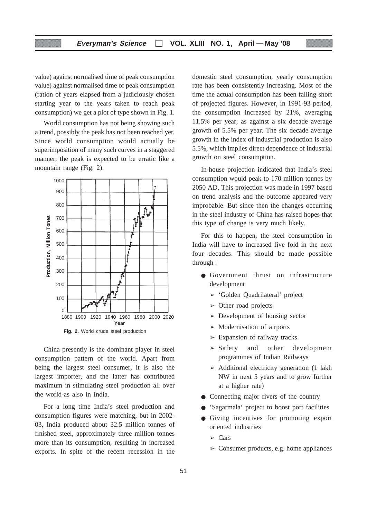value) against normalised time of peak consumption value) against normalised time of peak consumption (ration of years elapsed from a judiciously chosen starting year to the years taken to reach peak consumption) we get a plot of type shown in Fig. 1.

World consumption has not being showing such a trend, possibly the peak has not been reached yet. Since world consumption would actually be superimposition of many such curves in a staggered manner, the peak is expected to be erratic like a mountain range (Fig. 2).



**Fig. 2.** World crude steel production

China presently is the dominant player in steel consumption pattern of the world. Apart from being the largest steel consumer, it is also the largest importer, and the latter has contributed maximum in stimulating steel production all over the world-as also in India.

For a long time India's steel production and consumption figures were matching, but in 2002- 03, India produced about 32.5 million tonnes of finished steel, approximately three million tonnes more than its consumption, resulting in increased exports. In spite of the recent recession in the

domestic steel consumption, yearly consumption rate has been consistently increasing. Most of the time the actual consumption has been falling short of projected figures. However, in 1991-93 period, the consumption increased by 21%, averaging 11.5% per year, as against a six decade average growth of 5.5% per year. The six decade average growth in the index of industrial production is also 5.5%, which implies direct dependence of industrial growth on steel consumption.

In-house projection indicated that India's steel consumption would peak to 170 million tonnes by 2050 AD. This projection was made in 1997 based on trend analysis and the outcome appeared very improbable. But since then the changes occurring in the steel industry of China has raised hopes that this type of change is very much likely.

For this to happen, the steel consumption in India will have to increased five fold in the next four decades. This should be made possible through :

- Government thrust on infrastructure development
	- ➢ 'Golden Quadrilateral' project
	- $\geq$  Other road projects
	- $\geq$  Development of housing sector
	- $\geq$  Modernisation of airports
	- $\geq$  Expansion of railway tracks
	- $>$  Safety and other development programmes of Indian Railways
	- $\triangleright$  Additional electricity generation (1 lakh NW in next 5 years and to grow further at a higher rate)
- Connecting major rivers of the country
- 'Sagarmala' project to boost port facilities
- Giving incentives for promoting export oriented industries
	- $\sum$  Cars
	- $\geq$  Consumer products, e.g. home appliances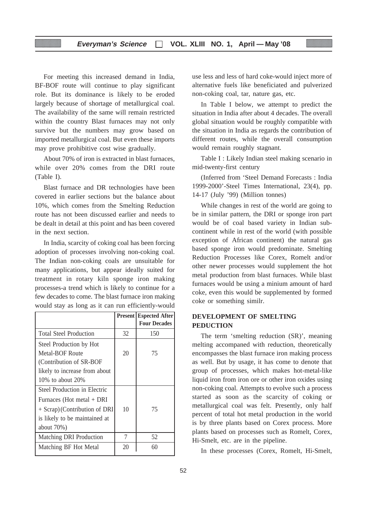For meeting this increased demand in India, BF-BOF route will continue to play significant role. But its dominance is likely to be eroded largely because of shortage of metallurgical coal. The availability of the same will remain restricted within the country Blast furnaces may not only survive but the numbers may grow based on imported metallurgical coal. But even these imports may prove prohibitive cost wise gradually.

About 70% of iron is extracted in blast furnaces, while over 20% comes from the DRI route (Table I).

Blast furnace and DR technologies have been covered in earlier sections but the balance about 10%, which comes from the Smelting Reduction route has not been discussed earlier and needs to be dealt in detail at this point and has been covered in the next section.

In India, scarcity of coking coal has been forcing adoption of processes involving non-coking coal. The Indian non-coking coals are unsuitable for many applications, but appear ideally suited for treatment in rotary kiln sponge iron making processes-a trend which is likely to continue for a few decades to come. The blast furnace iron making would stay as long as it can run efficiently-would

|                               |    | <b>Present Espected After</b> |
|-------------------------------|----|-------------------------------|
|                               |    | <b>Four Decades</b>           |
| <b>Total Steel Production</b> | 32 | 150                           |
| Steel Production by Hot       |    |                               |
| Metal-BOF Route               | 20 | 75                            |
| (Contribution of SR-BOF       |    |                               |
| likely to increase from about |    |                               |
| 10\% to about $20\%$          |    |                               |
| Steel Production in Electric  |    |                               |
| Furnaces (Hot metal + DRI     |    |                               |
| + Scrap) (Contribution of DRI | 10 | 75                            |
| is likely to be maintained at |    |                               |
| about $70%$ )                 |    |                               |
| Matching DRI Production       | 7  | 52                            |
| Matching BF Hot Metal         | 20 | 60                            |
|                               |    |                               |

use less and less of hard coke-would inject more of alternative fuels like beneficiated and pulverized non-coking coal, tar, nature gas, etc.

In Table I below, we attempt to predict the situation in India after about 4 decades. The overall global situation would be roughly compatible with the situation in India as regards the contribution of different routes, while the overall consumption would remain roughly stagnant.

Table I : Likely Indian steel making scenario in mid-twenty-first century

(Inferred from 'Steel Demand Forecasts : India 1999-2000'-Steel Times International, 23(4), pp. 14-17 (July '99) (Million tonnes)

While changes in rest of the world are going to be in similar pattern, the DRI or sponge iron part would be of coal based variety in Indian subcontinent while in rest of the world (with possible exception of African continent) the natural gas based sponge iron would predominate. Smelting Reduction Processes like Corex, Romelt and/or other newer processes would supplement the hot metal production from blast furnaces. While blast furnaces would be using a minium amount of hard coke, even this would be supplemented by formed coke or something similr.

## **DEVELOPMENT OF SMELTING PEDUCTION**

The term 'smelting reduction (SR)', meaning melting accompaned with reduction, theoretically encompasses the blast furnace iron making process as well. But by usage, it has come to denote that group of processes, which makes hot-metal-like liquid iron from iron ore or other iron oxides using non-coking coal. Attempts to evolve such a process started as soon as the scarcity of coking or metallurgical coal was felt. Presently, only half percent of total hot metal production in the world is by three plants based on Corex process. More plants based on processes such as Romelt, Corex, Hi-Smelt, etc. are in the pipeline.

In these processes (Corex, Romelt, Hi-Smelt,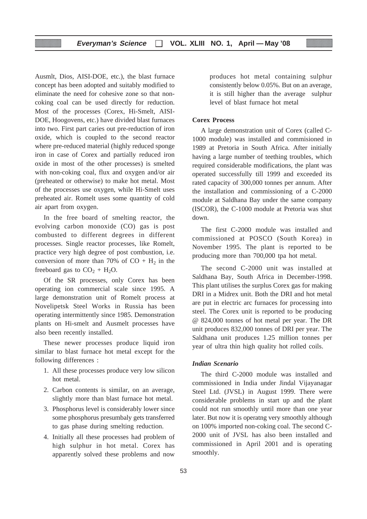Ausmlt, Dios, AISI-DOE, etc.), the blast furnace concept has been adopted and suitably modified to eliminate the need for cohesive zone so that noncoking coal can be used directly for reduction. Most of the processes (Corex, Hi-Smelt, AISI-DOE, Hoogovens, etc.) have divided blast furnaces into two. First part caries out pre-reduction of iron oxide, which is coupled to the second reactor where pre-reduced material (highly reduced sponge iron in case of Corex and partially reduced iron oxide in most of the other processes) is smelted with non-coking coal, flux and oxygen and/or air (preheated or otherwise) to make hot metal. Most of the processes use oxygen, while Hi-Smelt uses preheated air. Romelt uses some quantity of cold air apart from oxygen.

In the free board of smelting reactor, the evolving carbon monoxide (CO) gas is post combusted to different degrees in different processes. Single reactor processes, like Romelt, practice very high degree of post combustion, i.e. conversion of more than 70% of  $CO + H<sub>2</sub>$  in the freeboard gas to  $CO<sub>2</sub> + H<sub>2</sub>O$ .

Of the SR processes, only Corex has been operating ion commercial scale since 1995. A large demonstration unit of Romelt process at Novelipetsk Steel Works in Russia has been operating intermittently since 1985. Demonstration plants on Hi-smelt and Ausmelt processes have also been recently installed.

These newer processes produce liquid iron similar to blast furnace hot metal except for the following differences :

- 1. All these processes produce very low silicon hot metal.
- 2. Carbon contents is similar, on an average, slightly more than blast furnace hot metal.
- 3. Phosphorus level is considerably lower since some phosphorus presumbaly gets transferred to gas phase during smelting reduction.
- 4. Initially all these processes had problem of high sulphur in hot metal. Corex has apparently solved these problems and now

produces hot metal containing sulphur consistently below 0.05%. But on an average, it is still higher than the average sulphur level of blast furnace hot metal

## **Corex Process**

A large demonstration unit of Corex (called C-1000 module) was installed and commisioned in 1989 at Pretoria in South Africa. After initially having a large number of teething troubles, which required considerable modifications, the plant was operated successfully till 1999 and exceeded its rated capacity of 300,000 tonnes per annum. After the installation and commissioning of a C-2000 module at Saldhana Bay under the same company (ISCOR), the C-1000 module at Pretoria was shut down.

The first C-2000 module was installed and commissioned at POSCO (South Korea) in November 1995. The plant is reported to be producing more than 700,000 tpa hot metal.

The second C-2000 unit was installed at Saldhana Bay, South Africa in December-1998. This plant utilises the surplus Corex gas for making DRI in a Midrex unit. Both the DRI and hot metal are put in electric arc furnaces for processing into steel. The Corex unit is reported to be producing @ 824,000 tonnes of hot metal per year. The DR unit produces 832,000 tonnes of DRI per year. The Saldhana unit produces 1.25 million tonnes per year of ultra thin high quality hot rolled coils.

## *Indian Scenario*

The third C-2000 module was installed and commissioned in India under Jindal Vijayanagar Steel Ltd. (JVSL) in August 1999. There were considerable problems in start up and the plant could not run smoothly until more than one year later. But now it is operatng very smoothly although on 100% imported non-coking coal. The second C-2000 unit of JVSL has also been installed and commissioned in April 2001 and is operating smoothly.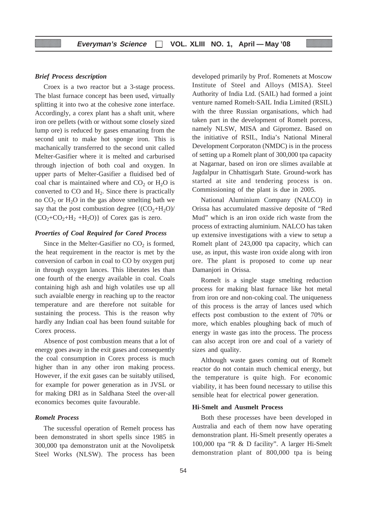## *Brief Process description*

Croex is a two reactor but a 3-stage process. The blast furnace concept has been used, virtually splitting it into two at the cohesive zone interface. Accordingly, a corex plant has a shaft unit, where iron ore pellets (with or without some closely sized lump ore) is reduced by gases emanating from the second unit to make hot sponge iron. This is machanically transferred to the second unit called Melter-Gasifier where it is melted and carburised through injection of both coal and oxygen. In upper parts of Melter-Gasifier a fluidised bed of coal char is maintained where and  $CO<sub>2</sub>$  or  $H<sub>2</sub>O$  is converted to  $CO$  and  $H<sub>2</sub>$ . Since there is practically no  $CO<sub>2</sub>$  or  $H<sub>2</sub>O$  in the gas above smelting bath we say that the post combustion degree  $\{(\text{CO}_2 + \text{H}_2\text{O})/\}$  $(CO<sub>2</sub>+CO<sub>2</sub>+H<sub>2</sub>+H<sub>2</sub>O)$  of Corex gas is zero.

#### *Proerties of Coal Required for Cored Process*

Since in the Melter-Gasifier no  $CO<sub>2</sub>$  is formed, the heat requirement in the reactor is met by the conversion of carbon in coal to CO by oxygen putj in through oxygen lances. This liberates les than one fourth of the energy available in coal. Coals containing high ash and high volatiles use up all such avaialble energy in reaching up to the reactor temperature and are therefore not suitable for sustaining the process. This is the reason why hardly any Indian coal has been found suitable for Corex process.

Absence of post combustion means that a lot of energy goes away in the exit gases and consequently the coal consumption in Corex process is much higher than in any other iron making process. However, if the exit gases can be suitably utilised, for example for power generation as in JVSL or for making DRI as in Saldhana Steel the over-all economics becomes quite favourable.

## *Romelt Process*

The sucessful operation of Remelt process has been demonstrated in short spells since 1985 in 300,000 tpa demonstraton unit at the Novolipetsk Steel Works (NLSW). The process has been developed primarily by Prof. Romenets at Moscow Institute of Steel and Alloys (MISA). Steel Authority of India Ltd. (SAIL) had formed a joint venture named Romelt-SAIL India Limited (RSIL) with the three Russian organisations, which had taken part in the development of Romelt porcess, namely NLSW, MISA and Gipromez. Based on the initiative of RSIL, India's National Mineral Development Corporaton (NMDC) is in the process of setting up a Romelt plant of 300,000 tpa capacity at Nagarnar, based on iron ore slimes available at Jagdalpur in Chhattisgarh State. Ground-work has started at site and tendering process is on. Commissioning of the plant is due in 2005.

National Aluminium Company (NALCO) in Orissa has accumulated massive deposite of "Red Mud" which is an iron oxide rich waste from the process of extracting aluminium. NALCO has taken up extensive investigations with a view to setup a Romelt plant of 243,000 tpa capacity, which can use, as input, this waste iron oxide along with iron ore. The plant is proposed to come up near Damanjori in Orissa.

Romelt is a single stage smelting reduction process for making blast furnace like hot metal from iron ore and non-coking coal. The uniqueness of this process is the array of lances used which effects post combustion to the extent of 70% or more, which enables ploughing back of much of energy in waste gas into the process. The process can also accept iron ore and coal of a variety of sizes and quality.

Although waste gases coming out of Romelt reactor do not contain much chemical energy, but the temperature is quite high. For economic viability, it has been found necessary to utilise this sensible heat for electrical power generation.

#### **Hi-Smelt and Ausmelt Process**

Both these processes have been developed in Australia and each of them now have operating demonstration plant. Hi-Smelt presently operates a 100,000 tpa "R & D facility". A larger Hi-Smelt demonstration plant of 800,000 tpa is being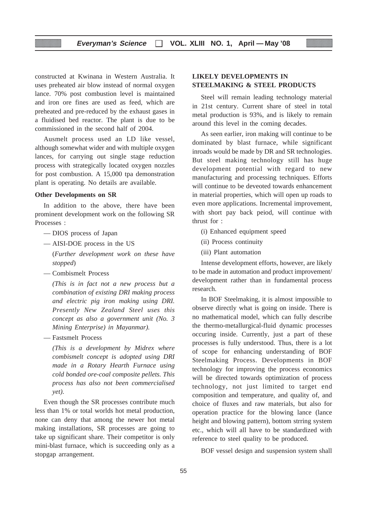constructed at Kwinana in Western Australia. It uses preheated air blow instead of normal oxygen lance. 70% post combustion level is maintained and iron ore fines are used as feed, which are preheated and pre-reduced by the exhaust gases in a fluidised bed reactor. The plant is due to be commissioned in the second half of 2004.

Ausmelt process used an LD like vessel, although somewhat wider and with multiple oxygen lances, for carrying out single stage reduction process with strategically located oxygen nozzles for post combustion. A 15,000 tpa demonstration plant is operating. No details are available.

#### **Other Developments on SR**

In addition to the above, there have been prominent development work on the following SR Processes :

- DIOS process of Japan
- AISI-DOE process in the US
	- (*Further development work on these have stopped*)
- Combismelt Process

*(This is in fact not a new process but a combination of existing DRI making process and electric pig iron making using DRI. Presently New Zealand Steel uses this concept as also a government unit (No. 3 Mining Enterprise) in Mayanmar).*

— Fastsmelt Process

*(This is a development by Midrex where combismelt concept is adopted using DRI made in a Rotary Hearth Furnace using cold bonded ore-coal composite pellets. This process has also not been commercialised yet).*

Even though the SR processes contribute much less than 1% or total worlds hot metal production, none can deny that among the newer hot metal making installations, SR processes are going to take up significant share. Their competitor is only mini-blast furnace, which is succeeding only as a stopgap arrangement.

## **LIKELY DEVELOPMENTS IN STEELMAKING & STEEL PRODUCTS**

Steel will remain leading technology material in 21st century. Current share of steel in total metal production is 93%, and is likely to remain around this level in the coming decades.

As seen earlier, iron making will continue to be dominated by blast furnace, while significant inroads would be made by DR and SR technologies. But steel making technology still has huge development potential with regard to new manufacturing and processing techniques. Efforts will continue to be deveoted towards enhancement in material properties, which will open up roads to even more applications. Incremental improvement, with short pay back peiod, will continue with thrust for :

- (i) Enhanced equipment speed
- (ii) Process continuity
- (iii) Plant automation

Intense development efforts, however, are likely to be made in automation and product improvement/ development rather than in fundamental process research.

In BOF Steelmaking, it is almost impossible to observe directly what is going on inside. There is no mathematical model, which can fully describe the thermo-metallurgical-fluid dynamic processes occuring inside. Currently, just a part of these processes is fully understood. Thus, there is a lot of scope for enhancing understanding of BOF Steelmaking Process. Developments in BOF technology for improving the process economics will be directed towards optimization of process technology, not just limited to target end composition and temperature, and quality of, and choice of fluxes and raw materials, but also for operation practice for the blowing lance (lance height and blowing pattern), bottom strring system etc., which will all have to be standardized with reference to steel quality to be produced.

BOF vessel design and suspension system shall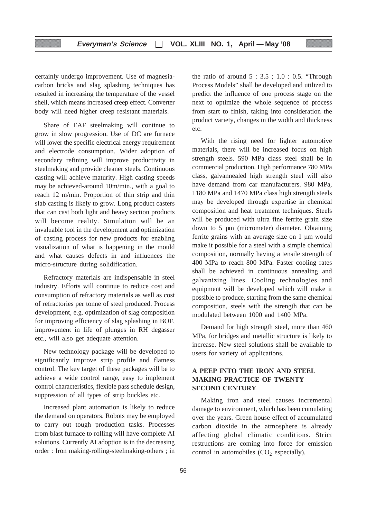certainly undergo improvement. Use of magnesiacarbon bricks and slag splashing techniques has resulted in increasing the temperature of the vessel shell, which means increased creep effect. Converter body will need higher creep resistant materials.

Share of EAF steelmaking will continue to grow in slow progression. Use of DC are furnace will lower the specific electrical energy requirement and electrode consumption. Wider adoption of secondary refining will improve productivity in steelmaking and provide cleaner steels. Continuous casting will achieve maturity. High casting speeds may be achieved-around 10m/min., with a goal to reach 12 m/min. Proportion of thin strip and thin slab casting is likely to grow. Long product casters that can cast both light and heavy section products will become reality. Simulation will be an invaluable tool in the development and optimization of casting process for new products for enabling visualization of what is happening in the mould and what causes defects in and influences the micro-structure during solidification.

Refractory materials are indispensable in steel industry. Efforts will continue to reduce cost and consumption of refractory materials as well as cost of refractories per tonne of steel produced. Process development, e.g. optimization of slag composition for improving efficiency of slag splashing in BOF, improvement in life of plunges in RH degasser etc., will also get adequate attention.

New technology package will be developed to significantly improve strip profile and flatness control. The key target of these packages will be to achieve a wide control range, easy to implement control characteristics, flexible pass schedule design, suppression of all types of strip buckles etc.

Increased plant automation is likely to reduce the demand on operators. Robots may be employed to carry out tough production tasks. Processes from blast furnace to rolling will have complete AI solutions. Currently AI adoption is in the decreasing order : Iron making-rolling-steelmaking-others ; in the ratio of around  $5:3.5$ ;  $1.0:0.5$ . "Through Process Models" shall be developed and utilized to predict the influence of one process stage on the next to optimize the whole sequence of process from start to finish, taking into consideration the product variety, changes in the width and thickness etc.

With the rising need for lighter automotive materials, there will be increased focus on high strength steels. 590 MPa class steel shall be in commercial production. High performance 780 MPa class, galvannealed high strength steel will also have demand from car manufacturers. 980 MPa, 1180 MPa and 1470 MPa class high strength steels may be developed through expertise in chemical composition and heat treatment techniques. Steels will be produced with ultra fine ferrite grain size down to 5 µm (micrometer) diameter. Obtaining ferrite grains with an average size on 1 µm would make it possible for a steel with a simple chemical composition, normally having a tensile strength of 400 MPa to reach 800 MPa. Faster cooling rates shall be achieved in continuous annealing and galvanizing lines. Cooling technologies and equipment will be developed which will make it possible to produce, starting from the same chemical composition, steels with the strength that can be modulated between 1000 and 1400 MPa.

Demand for high strength steel, more than 460 MPa, for bridges and metallic structure is likely to increase. New steel solutions shall be available to users for variety of applications.

## **A PEEP INTO THE IRON AND STEEL MAKING PRACTICE OF TWENTY SECOND CENTURY**

Making iron and steel causes incremental damage to environment, which has been cumulating over the years. Green house effect of accumulated carbon dioxide in the atmosphere is already affecting global climatic conditions. Strict restructions are coming into force for emission control in automobiles  $(CO<sub>2</sub>$  especially).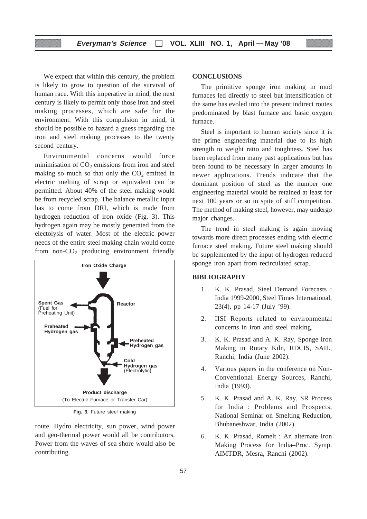We expect that within this century, the problem is likely to grow to question of the survival of human race. With this imperative in mind, the next century is likely to permit only those iron and steel making processes, which are safe for the environment. With this compulsion in mind, it should be possible to hazard a guess regarding the iron and steel making processes to the twenty second century.

Environmental concerns would force minimisation of  $CO<sub>2</sub>$  emissions from iron and steel making so much so that only the  $CO<sub>2</sub>$  emitted in electric melting of scrap or equivalent can be permitted. About 40% of the steel making would be from recycled scrap. The balance metallic input has to come from DRI, which is made from hydrogen reduction of iron oxide (Fig. 3). This hydrogen again may be mostly generated from the electolysis of water. Most of the electric power needs of the entire steel making chain would come from non- $CO<sub>2</sub>$  producing environment friendly



**Fig. 3.** Future steel making

route. Hydro electricity, sun power, wind power and geo-thermal power would all be contributors. Power from the waves of sea shore would also be contributing.

## **CONCLUSIONS**

The primitive sponge iron making in mud furnaces led directly to steel but intensification of the same has evoled into the present indirect routes predominated by blast furnace and basic oxygen furnace.

Steel is important to human society since it is the prime engineering material due to its high strength to weight ratio and toughness. Steel has been replaced from many past applications but has been found to be necessary in larger amounts in newer applications. Trends indicate that the dominant position of steel as the number one engineering material would be retained at least for next 100 years or so in spite of stiff competition. The method of making steel, however, may undergo major changes.

The trend in steel making is again moving towards more direct processes ending with electric furnace steel making. Future steel making should be supplemented by the input of hydrogen reduced sponge iron apart from recirculated scrap.

## **BIBLIOGRAPHY**

- 1. K. K. Prasad, Steel Demand Forecasts : India 1999-2000, Steel Times International, 23(4), pp 14-17 (July '99).
- 2. IISI Reports related to environmental concerns in iron and steel making.
- 3. K. K. Prasad and A. K. Ray, Sponge Iron Making in Rotary Kiln, RDCIS, SAIL, Ranchi, India (June 2002).
- 4. Various papers in the conference on Non-Conventional Energy Sources, Ranchi, India (1993).
- 5. K. K. Prasad and A. K. Ray, SR Process for India : Problems and Prospects, National Seminar on Smelting Reduction, Bhubaneshwar, India (2002).
- 6. K. K. Prasad, Romelt : An alternate Iron Making Process for India–Proc. Symp. AIMTDR, Mesra, Ranchi (2002).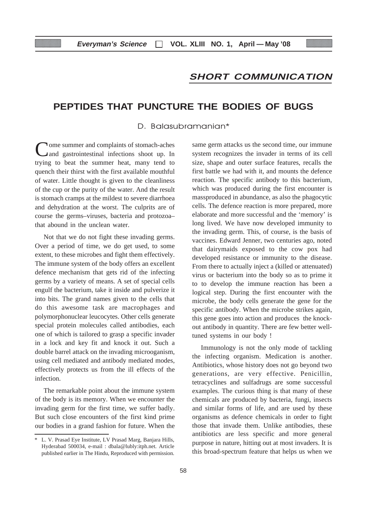## **SHORT COMMUNICATION**

# **PEPTIDES THAT PUNCTURE THE BODIES OF BUGS**

D. Balasubramanian\*

Come summer and complaints of stomach-aches and gastrointestinal infections shoot up. In trying to beat the summer heat, many tend to quench their thirst with the first available mouthful of water. Little thought is given to the cleanliness of the cup or the purity of the water. And the result is stomach cramps at the mildest to severe diarrhoea and dehydration at the worst. The culprits are of course the germs–viruses, bacteria and protozoa– that abound in the unclean water.

Not that we do not fight these invading germs. Over a period of time, we do get used, to some extent, to these microbes and fight them effectively. The immune system of the body offers an excellent defence mechanism that gets rid of the infecting germs by a variety of means. A set of special cells engulf the bacterium, take it inside and pulverize it into bits. The grand names given to the cells that do this awesome task are macrophages and polymorphonuclear leucocytes. Other cells generate special protein molecules called antibodies, each one of which is tailored to grasp a specific invader in a lock and key fit and knock it out. Such a double barrel attack on the invading microoganism, using cell mediated and antibody mediated modes, effectively protects us from the ill effects of the infection.

The remarkable point about the immune system of the body is its memory. When we encounter the invading germ for the first time, we suffer badly. But such close encounters of the first kind prime our bodies in a grand fashion for future. When the same germ attacks us the second time, our immune system recognizes the invader in terms of its cell size, shape and outer surface features, recalls the first battle we had with it, and mounts the defence reaction. The specific antibody to this bacterium, which was produced during the first encounter is massproduced in abundance, as also the phagocytic cells. The defence reaction is more prepared, more elaborate and more successful and the 'memory' is long lived. We have now developed immunity to the invading germ. This, of course, is the basis of vaccines. Edward Jenner, two centuries ago, noted that dairymaids exposed to the cow pox had developed resistance or immunity to the disease. From there to actually inject a (killed or attenuated) virus or bacterium into the body so as to prime it to to develop the immune reaction has been a logical step. During the first encounter with the microbe, the body cells generate the gene for the specific antibody. When the microbe strikes again, this gene goes into action and produces the knockout antibody in quantity. There are few better welltuned systems in our body !

Immunology is not the only mode of tackling the infecting organism. Medication is another. Antibiotics, whose history does not go beyond two generations, are very effective. Penicillin, tetracyclines and sulfadrugs are some successful examples. The curious thing is that many of these chemicals are produced by bacteria, fungi, insects and similar forms of life, and are used by these organisms as defence chemicals in order to fight those that invade them. Unlike antibodies, these antibiotics are less specific and more general purpose in nature, hitting out at most invaders. It is this broad-spectrum feature that helps us when we

<sup>\*</sup> L. V. Prasad Eye Institute, LV Prasad Marg, Banjara Hills, Hyderabad 500034, e-mail : dbala@lubly:itph.net. Article published earlier in The Hindu, Reproduced with permission.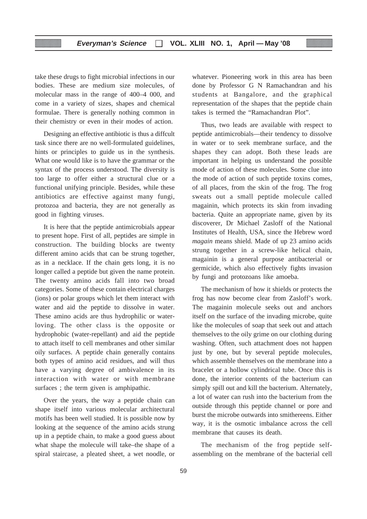take these drugs to fight microbial infections in our bodies. These are medium size molecules, of molecular mass in the range of 400–4 000, and come in a variety of sizes, shapes and chemical formulae. There is generally nothing common in their chemistry or even in their modes of action.

Designing an effective antibiotic is thus a diffcult task since there are no well-formulated guidelines, hints or principles to guide us in the synthesis. What one would like is to have the grammar or the syntax of the process understood. The diversity is too large to offer either a structural clue or a functional unifying principle. Besides, while these antibiotics are effective against many fungi, protozoa and bacteria, they are not generally as good in fighting viruses.

It is here that the peptide antimicrobials appear to present hope. First of all, peptides are simple in construction. The building blocks are twenty different amino acids that can be strung together, as in a necklace. If the chain gets long, it is no longer called a peptide but given the name protein. The twenty amino acids fall into two broad categories. Some of these contain electrical charges (ions) or polar groups which let them interact with water and aid the peptide to dissolve in water. These amino acids are thus hydrophilic or waterloving. The other class is the opposite or hydrophobic (water-repellant) and aid the peptide to attach itself to cell membranes and other similar oily surfaces. A peptide chain generally contains both types of amino acid residues, and will thus have a varying degree of ambivalence in its interaction with water or with membrane surfaces ; the term given is amphipathic.

Over the years, the way a peptide chain can shape itself into various molecular architectural motifs has been well studied. It is possible now by looking at the sequence of the amino acids strung up in a peptide chain, to make a good guess about what shape the molecule will take–the shape of a spiral staircase, a pleated sheet, a wet noodle, or

whatever. Pioneering work in this area has been done by Professor G N Ramachandran and his students at Bangalore, and the graphical representation of the shapes that the peptide chain takes is termed the "Ramachandran Plot".

Thus, two leads are available with respect to peptide antimicrobials—their tendency to dissolve in water or to seek membrane surface, and the shapes they can adopt. Both these leads are important in helping us understand the possible mode of action of these molecules. Some clue into the mode of action of such peptide toxins comes, of all places, from the skin of the frog. The frog sweats out a small peptide molecule called magainin, which protects its skin from invading bacteria. Quite an appropriate name, given by its discoverer, Dr Michael Zasloff of the National Institutes of Health, USA, since the Hebrew word *magain* means shield. Made of up 23 amino acids strung together in a screw-like helical chain, magainin is a general purpose antibacterial or germicide, which also effectively fights invasion by fungi and protozoans like amoeba.

The mechanism of how it shields or protects the frog has now become clear from Zasloff's work. The magainin molecule seeks out and anchors itself on the surface of the invading microbe, quite like the molecules of soap that seek out and attach themselves to the oily grime on our clothing during washing. Often, such attachment does not happen just by one, but by several peptide molecules, which assemble thenselves on the membrane into a bracelet or a hollow cylindrical tube. Once this is done, the interior contents of the bacterium can simply spill out and kill the bacterium. Alternately, a lot of water can rush into the bacterium from the outside through this peptide channel or pore and burst the microbe outwards into smithereens. Either way, it is the osmotic imbalance across the cell membrane that causes its death.

The mechanism of the frog peptide selfassembling on the membrane of the bacterial cell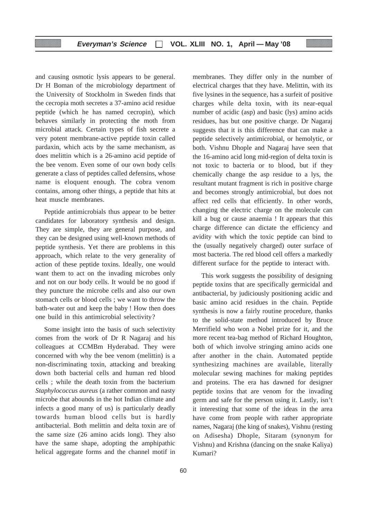and causing osmotic lysis appears to be general. Dr H Boman of the microbiology department of the University of Stockholm in Sweden finds that the cecropia moth secretes a 37-amino acid residue peptide (which he has named cecropin), which behaves similarly in protecting the moth from microbial attack. Certain types of fish secrete a very potent membrane-active peptide toxin called pardaxin, which acts by the same mechanism, as does melittin which is a 26-amino acid peptide of the bee venom. Even some of our own body cells generate a class of peptides called defensins, whose name is eloquent enough. The cobra venom contains, among other things, a peptide that hits at heat muscle membranes.

Peptide antimicrobials thus appear to be better candidates for laboratory synthesis and design. They are simple, they are general purpose, and they can be designed using well-known methods of peptide synthesis. Yet there are problems in this approach, which relate to the very generality of action of these peptide toxins. Ideally, one would want them to act on the invading microbes only and not on our body cells. It would be no good if they puncture the microbe cells and also our own stomach cells or blood cells ; we want to throw the bath-water out and keep the baby ! How then does one build in this antimicrobial selectivity?

Some insight into the basis of such selectivity comes from the work of Dr R Nagaraj and his colleagues at CCMBm Hyderabad. They were concerned with why the bee venom (melittin) is a non-discriminating toxin, attacking and breaking down both bacterial cells and human red blood cells ; while the death toxin from the bacterium *Staphylococcus aureus* (a rather common and nasty microbe that abounds in the hot Indian climate and infects a good many of us) is particularly deadly towards human blood cells but is hardly antibacterial. Both melittin and delta toxin are of the same size (26 amino acids long). They also have the same shape, adopting the amphipathic helical aggregate forms and the channel motif in

membranes. They differ only in the number of electrical charges that they have. Melittin, with its five lysines in the sequence, has a surfeit of positive charges while delta toxin, with its near-equal number of acidic (asp) and basic (lys) amino acids residues, has but one positive charge. Dr Nagaraj suggests that it is this difference that can make a peptide selectively antimicrobial, or hemolytic, or both. Vishnu Dhople and Nagaraj have seen that the 16-amino acid long mid-region of delta toxin is not toxic to bacteria or to blood, but if they chemically change the asp residue to a lys, the resultant mutant fragment is rich in positive charge and becomes strongly antimicrobial, but does not affect red cells that efficiently. In other words, changing the electric charge on the molecule can kill a bug or cause anaemia ! It appears that this charge difference can dictate the efficiency and avidity with which the toxic peptide can bind to the (usually negatively charged) outer surface of most bacteria. The red blood cell offers a markedly different surface for the peptide to interact with.

This work suggests the possibility of designing peptide toxins that are specifically germicidal and antibacterial, by judiciously positioning acidic and basic amino acid residues in the chain. Peptide synthesis is now a fairly routine procedure, thanks to the solid-state method introduced by Bruce Merrifield who won a Nobel prize for it, and the more recent tea-bag method of Richard Houghton, both of which involve stringing amino acids one after another in the chain. Automated peptide synthesizing machines are available, literally molecular sewing machines for making peptides and proteins. The era has dawned for designer peptide toxins that are venom for the invading germ and safe for the person using it. Lastly, isn't it interesting that some of the ideas in the area have come from people with rather appropriate names, Nagaraj (the king of snakes), Vishnu (resting on Adisesha) Dhople, Sitaram (synonym for Vishnu) and Krishna (dancing on the snake Kaliya) Kumari?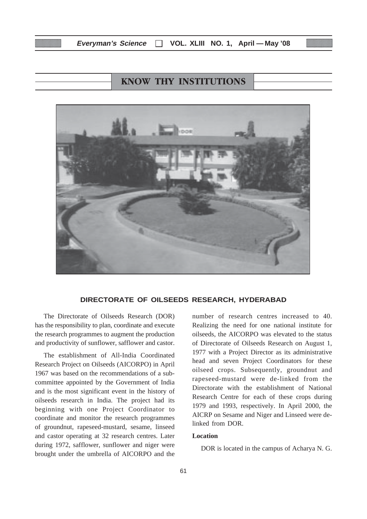## **Everyman's Science VOL. XLIII NO. 1, April — May '08**

# **KNOW THY INSTITUTIONS**



#### **DIRECTORATE OF OILSEEDS RESEARCH, HYDERABAD**

The Directorate of Oilseeds Research (DOR) has the responsibility to plan, coordinate and execute the research programmes to augment the production and productivity of sunflower, safflower and castor.

The establishment of All-India Coordinated Research Project on Oilseeds (AICORPO) in April 1967 was based on the recommendations of a subcommittee appointed by the Government of India and is the most significant event in the history of oilseeds research in India. The project had its beginning with one Project Coordinator to coordinate and monitor the research programmes of groundnut, rapeseed-mustard, sesame, linseed and castor operating at 32 research centres. Later during 1972, safflower, sunflower and niger were brought under the umbrella of AICORPO and the number of research centres increased to 40. Realizing the need for one national institute for oilseeds, the AICORPO was elevated to the status of Directorate of Oilseeds Research on August 1, 1977 with a Project Director as its administrative head and seven Project Coordinators for these oilseed crops. Subsequently, groundnut and rapeseed-mustard were de-linked from the Directorate with the establishment of National Research Centre for each of these crops during 1979 and 1993, respectively. In April 2000, the AICRP on Sesame and Niger and Linseed were delinked from DOR.

## **Location**

DOR is located in the campus of Acharya N. G.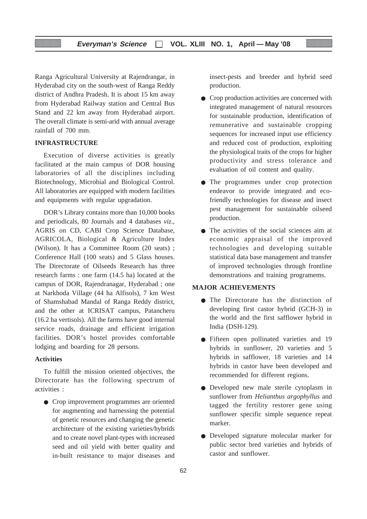Ranga Agricultural University at Rajendrangar, in Hyderabad city on the south-west of Ranga Reddy district of Andhra Pradesh. It is about 15 km away from Hyderabad Railway station and Central Bus Stand and 22 km away from Hyderabad airport. The overall climate is semi-arid with annual average rainfall of 700 mm.

## **INFRASTRUCTURE**

Execution of diverse activities is greatly facilitated at the main campus of DOR housing laboratories of all the disciplines including Biotechnology, Microbial and Biological Control. All laboratories are equipped with modern facilities and equipments with regular upgradation.

DOR's Library contains more than 10,000 books and periodicals, 80 Journals and 4 databases *viz*., AGRIS on CD, CABI Crop Science Database, AGRICOLA, Biological & Agriculture Index (Wilson). It has a Committee Room (20 seats) ; Conference Hall (100 seats) and 5 Glass houses. The Directorate of Oilseeds Research has three research farms : one farm (14.5 ha) located at the campus of DOR, Rajendranagar, Hyderabad ; one at Narkhoda Village (44 ha Alfisols), 7 km West of Shamshabad Mandal of Ranga Reddy district, and the other at ICRISAT campus, Patancheru (16.2 ha vertisols). All the farms have good internal service roads, drainage and efficient irrigation facilities. DOR's hostel provides comfortable lodging and boarding for 28 persons.

## **Activities**

To fulfill the mission oriented objectives, the Directorate has the following spectrum of activities :

● Crop improvement programmes are oriented for augmenting and harnessing the potential of genetic resources and changing the genetic architecture of the existing varieties/hybrids and to create novel plant-types with increased seed and oil yield with better quality and in-built resistance to major diseases and

insect-pests and breeder and hybrid seed production.

- Crop production activities are concerned with integrated management of natural resources for sustainable production, identification of remunerative and sustainable cropping sequences for increased input use efficiency and reduced cost of production, exploiting the physiological traits of the crops for higher productivity and stress tolerance and evaluation of oil content and quality.
- The programmes under crop protection endeavor to provide integrated and ecofriendly technologies for disease and insect pest management for sustainable oilseed production.
- The activities of the social sciences aim at economic appraisal of the improved technologies and developing suitable statistical data base management and transfer of improved technologies through frontline demonstrations and training programems.

#### **MAJOR ACHIEVEMENTS**

- The Directorate has the distinction of developing first castor hybrid (GCH-3) in the world and the first safflower hybrid in India (DSH-129).
- Fifteen open pollinated varieties and 19 hybrids in sunflower, 20 varieties and 5 hybrids in safflower, 18 varieties and 14 hybrids in castor have been developed and recommended for different regions.
- Developed new male sterile cytoplasm in sunflower from *Helianthus argophyllus* and tagged the fertility restorer gene using sunflower specific simple sequence repeat marker.
- Developed signature molecular marker for public sector bred varieties and hybrids of castor and sunflower.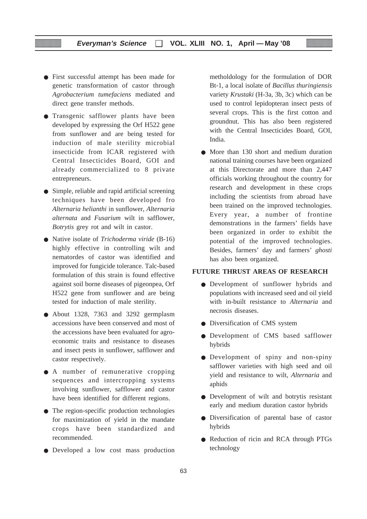## **Everyman's Science VOL. XLIII NO. 1, April — May '08**

- First successful attempt has been made for genetic transformation of castor through *Agrobacterium tumefaciens* mediated and direct gene transfer methods.
- Transgenic safflower plants have been developed by expressing the Orf H522 gene from sunflower and are being tested for induction of male sterility microbial insecticide from ICAR registered with Central Insecticides Board, GOI and already commercialized to 8 private entrepreneurs.
- Simple, reliable and rapid artificial screening techniques have been developed fro *Alternaria helianthi* in sunflower, *Alternaria alternata* and *Fusarium* wilt in safflower, *Botrytis* grey rot and wilt in castor.
- Native isolate of *Trichoderma viride* (B-16) highly effective in controlling wilt and nematordes of castor was identified and improved for fungicide tolerance. Talc-based formulation of this strain is found effective against soil borne diseases of pigeonpea, Orf H522 gene from sunflower and are being tested for induction of male sterility.
- About 1328, 7363 and 3292 germplasm accessions have been conserved and most of the accessions have been evaluated for agroeconomic traits and resistance to diseases and insect pests in sunflower, safflower and castor respectively.
- A number of remunerative cropping sequences and intercropping systems involving sunflower, safflower and castor have been identified for different regions.
- The region-specific production technologies for maximization of yield in the mandate crops have been standardized and recommended.
- Developed a low cost mass production

metholdology for the formulation of DOR Bt-1, a local isolate of *Bacillus thuringiensis* variety *Krustaki* (H-3a, 3b, 3c) which can be used to control lepidopteran insect pests of several crops. This is the first cotton and groundnut. This has also been registered with the Central Insecticides Board, GOI, India.

● More than 130 short and medium duration national training courses have been organized at this Directorate and more than 2,447 officials working throughout the country for research and development in these crops including the scientists from abroad have been trained on the improved technologies. Every year, a number of frontine demonstrations in the farmers' fields have been organized in order to exhibit the potential of the improved technologies. Besides, farmers' day and farmers' *ghosti* has also been organized.

## **FUTURE THRUST AREAS OF RESEARCH**

- Development of sunflower hybrids and populations with increased seed and oil yield with in-built resistance to *Alternaria* and necrosis diseases.
- Diversification of CMS system
- Development of CMS based safflower hybrids
- Development of spiny and non-spiny safflower varieties with high seed and oil yield and resistance to wilt, *Alternaria* and aphids
- Development of wilt and botrytis resistant early and medium duration castor hybrids
- Diversification of parental base of castor hybrids
- Reduction of ricin and RCA through PTGs technology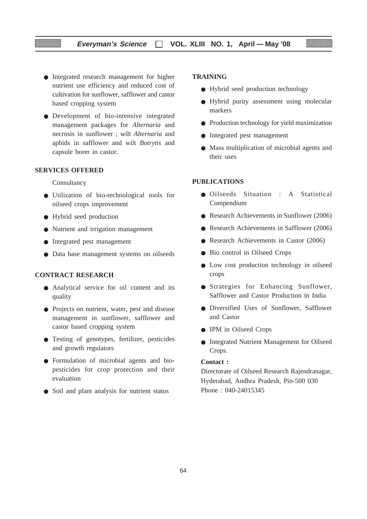## **Everyman's Science VOL. XLIII NO. 1, April — May '08**

- Integrated research management for higher nutrient use efficiency and reduced cost of cultivation for sunflower, safflower and castor based cropping system
- Development of bio-intensive integrated management packages for *Alternaria* and necrosis in sunflower ; wilt *Alternaria* and aphids in safflower and wilt *Botrytis* and capsule borer in castor.

## **SERVICES OFFERED**

Consultancy

- Utilization of bio-technological tools for oilseed crops improvement
- Hybrid seed production
- Nutrient and irrigation management
- Integrated pest management
- Data base management systems on oilseeds

#### **CONTRACT RESEARCH**

- Analytical service for oil content and its quality
- Projects on nutrient, water, pest and disease management in sunflower, safflower and castor based cropping system
- Testing of genotypes, fertilizer, pesticides and growth regulators
- Formulation of microbial agents and biopesticides for crop protection and their evaluation
- Soil and plant analysis for nutrient status

## **TRAINING**

- Hybrid seed production technology
- Hybrid purity assessment using molecular markers
- Production technology for yield maximization
- Integrated pest management
- Mass multiplication of microbial agents and their uses

#### **PUBLICATIONS**

- Oilseeds Situation : A Statistical Compendium
- Research Achievements in Sunflower (2006)
- Research Achievements in Safflower (2006)
- Research Achievements in Castor (2006)
- Bio control in Oilseed Crops
- Low cost production technology in oilseed crops
- Strategies for Enhancing Sunflower, Safflower and Castor Production in India
- Diversified Uses of Sunflower, Safflower and Castor
- IPM in Oilseed Crops
- Integrated Nutrient Management for Oilseed Crops.

#### **Contact :**

Directorate of Oilseed Research Rajendranagar, Hyderabad, Andhra Pradesh, Pin-500 030 Phone : 040-24015345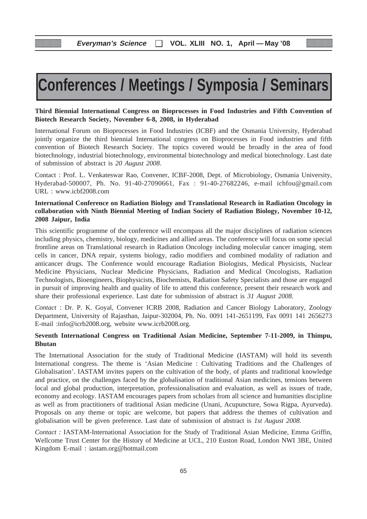# **Conferences / Meetings / Symposia / Seminars**

## **Third Biennial International Congress on Bioprocesses in Food Industries and Fifth Convention of Biotech Research Society, November 6-8, 2008, in Hyderabad**

International Forum on Bioprocesses in Food Industries (ICBF) and the Osmania University, Hyderabad jointly organize the third biennial International congress on Bioprocesses in Food industries and fifth convention of Biotech Research Society. The topics covered would be broadly in the area of food biotechnology, industrial biotechnology, environmental biotechnology and medical biotechnology. Last date of submission of abstract is *20 August 2008*.

Contact : Prof. L. Venkateswar Rao, Convener, ICBF-2008, Dept. of Microbiology, Osmania University, Hyderabad-500007, Ph. No. 91-40-27090661, Fax : 91-40-27682246, e-mail icbfou@gmail.com URL : www.icbf2008.com

## **International Conference on Radiation Biology and Translational Research in Radiation Oncology in collaboration with Ninth Biennial Meeting of Indian Society of Radiation Biology, November 10-12, 2008 Jaipur, India**

This scientific programme of the conference will encompass all the major disciplines of radiation sciences including physics, chemistry, biology, medicines and allied areas. The conference will focus on some special frontline areas on Translational research in Radiation Oncology including molecular cancer imaging, stem cells in cancer, DNA repair, systems biology, radio modifiers and combined modality of radiation and anticancer drugs. The Conference would encourage Radiation Biologists, Medical Physicists, Nuclear Medicine Physicians, Nuclear Medicine Physicians, Radiation and Medical Oncologists, Radiation Technologists, Bioengineers, Biophysicists, Biochemists, Radiation Safety Specialists and those are engaged in pursuit of improving health and quality of life to attend this conference, present their research work and share their professional experience. Last date for submission of abstract is *31 August 2008*.

*Contact* : Dr. P. K. Goyal, Convener ICRB 2008, Radiation and Cancer Biology Laboratory, Zoology Department, University of Rajasthan, Jaipur-302004, Ph. No. 0091 141-2651199, Fax 0091 141 2656273 E-mail :info@icrb2008.org, website www.icrb2008.org.

## **Seventh International Congress on Traditional Asian Medicine, September 7-11-2009, in Thimpu, Bhutan**

The International Association for the study of Traditional Medicine (IASTAM) will hold its seventh International congress. The theme is 'Asian Medicine : Cultivating Traditions and the Challenges of Globalisation'. IASTAM invites papers on the cultivation of the body, of plants and traditional knowledge and practice, on the challenges faced by the globalisation of traditional Asian medicines, tensions between local and global production, interpretation, professionalisation and evaluation, as well as issues of trade, economy and ecology. IASTAM encourages papers from scholars from all science and humanities discipline as well as from practitioners of traditional Asian medicine (Unani, Acupuncture, Sowa Rigpa, Ayurveda). Proposals on any theme or topic are welcome, but papers that address the themes of cultivation and globalisation will be given preference. Last date of submission of abstract is *1st August 2008.*

*Contact :* IASTAM-International Association for the Study of Traditional Asian Medicine, Emma Griffin, Wellcome Trust Center for the History of Medicine at UCL, 210 Euston Road, London NWI 3BE, United Kingdom E-mail : iastam.org@hotmail.com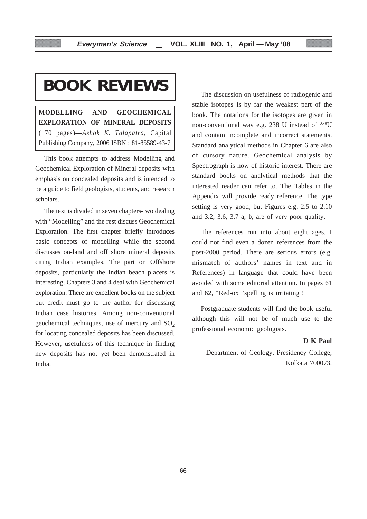# **BOOK REVIEWS**

**MODELLING AND GEOCHEMICAL EXPLORATION OF MINERAL DEPOSITS** (170 pages)**—***Ashok K. Talapatra*, Capital Publishing Company, 2006 ISBN : 81-85589-43-7

This book attempts to address Modelling and Geochemical Exploration of Mineral deposits with emphasis on concealed deposits and is intended to be a guide to field geologists, students, and research scholars.

The text is divided in seven chapters-two dealing with "Modelling" and the rest discuss Geochemical Exploration. The first chapter briefly introduces basic concepts of modelling while the second discusses on-land and off shore mineral deposits citing Indian examples. The part on Offshore deposits, particularly the Indian beach placers is interesting. Chapters 3 and 4 deal with Geochemical exploration. There are excellent books on the subject but credit must go to the author for discussing Indian case histories. Among non-conventional geochemical techniques, use of mercury and  $SO<sub>2</sub>$ for locating concealed deposits has been discussed. However, usefulness of this technique in finding new deposits has not yet been demonstrated in India.

The discussion on usefulness of radiogenic and stable isotopes is by far the weakest part of the book. The notations for the isotopes are given in non-conventional way e.g. 238 U instead of 238U and contain incomplete and incorrect statements. Standard analytical methods in Chapter 6 are also of cursory nature. Geochemical analysis by Spectrograph is now of historic interest. There are standard books on analytical methods that the interested reader can refer to. The Tables in the Appendix will provide ready reference. The type setting is very good, but Figures e.g. 2.5 to 2.10 and 3.2, 3.6, 3.7 a, b, are of very poor quality.

The references run into about eight ages. I could not find even a dozen references from the post-2000 period. There are serious errors (e.g. mismatch of authors' names in text and in References) in language that could have been avoided with some editorial attention. In pages 61 and 62, "Red-ox "spelling is irritating !

Postgraduate students will find the book useful although this will not be of much use to the professional economic geologists.

#### **D K Paul**

Department of Geology, Presidency College, Kolkata 700073.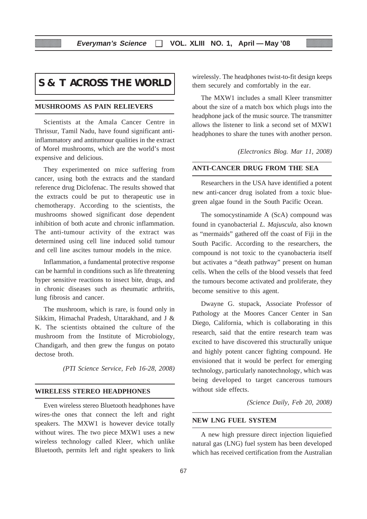# **S & T ACROSS THE WORLD**

## **MUSHROOMS AS PAIN RELIEVERS**

Scientists at the Amala Cancer Centre in Thrissur, Tamil Nadu, have found significant antiinflammatory and antitumour qualities in the extract of Morel mushrooms, which are the world's most expensive and delicious.

They experimented on mice suffering from cancer, using both the extracts and the standard reference drug Diclofenac. The results showed that the extracts could be put to therapeutic use in chemotherapy. According to the scientists, the mushrooms showed significant dose dependent inhibition of both acute and chronic inflammation. The anti-tumour activity of the extract was determined using cell line induced solid tumour and cell line ascites tumour models in the mice.

Inflammation, a fundamental protective response can be harmful in conditions such as life threatening hyper sensitive reactions to insect bite, drugs, and in chronic diseases such as rheumatic arthritis, lung fibrosis and cancer.

The mushroom, which is rare, is found only in Sikkim, Himachal Pradesh, Uttarakhand, and J & K. The scientists obtained the culture of the mushroom from the Institute of Microbiology, Chandigarh, and then grew the fungus on potato dectose broth.

*(PTI Science Service, Feb 16-28, 2008)*

#### **WIRELESS STEREO HEADPHONES**

Even wireless stereo Bluetooth headphones have wires-the ones that connect the left and right speakers. The MXW1 is however device totally without wires. The two piece MXW1 uses a new wireless technology called Kleer, which unlike Bluetooth, permits left and right speakers to link

wirelessly. The headphones twist-to-fit design keeps them securely and comfortably in the ear.

The MXW1 includes a small Kleer transmitter about the size of a match box which plugs into the headphone jack of the music source. The transmitter allows the listener to link a second set of MXW1 headphones to share the tunes with another person.

*(Electronics Blog. Mar 11, 2008)*

#### **ANTI-CANCER DRUG FROM THE SEA**

Researchers in the USA have identified a potent new anti-cancer drug isolated from a toxic bluegreen algae found in the South Pacific Ocean.

The somocystinamide A (ScA) compound was found in cyanobacterial *L. Majuscula,* also known as "mermaids" gathered off the coast of Fiji in the South Pacific. According to the researchers, the compound is not toxic to the cyanobacteria itself but activates a "death pathway" present on human cells. When the cells of the blood vessels that feed the tumours become activated and proliferate, they become sensitive to this agent.

Dwayne G. stupack, Associate Professor of Pathology at the Moores Cancer Center in San Diego, California, which is collaborating in this research, said that the entire research team was excited to have discovered this structurally unique and highly potent cancer fighting compound. He envisioned that it would be perfect for emerging technology, particularly nanotechnology, which was being developed to target cancerous tumours without side effects.

*(Science Daily, Feb 20, 2008)*

## **NEW LNG FUEL SYSTEM**

A new high pressure direct injection liquiefied natural gas (LNG) fuel system has been developed which has received certification from the Australian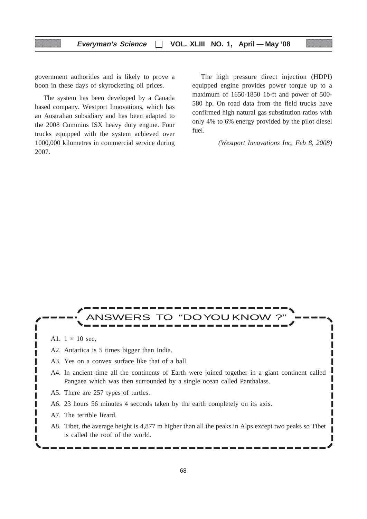government authorities and is likely to prove a boon in these days of skyrocketing oil prices.

The system has been developed by a Canada based company. Westport Innovations, which has an Australian subsidiary and has been adapted to the 2008 Cummins ISX heavy duty engine. Four trucks equipped with the system achieved over 1000,000 kilometres in commercial service during 2007.

The high pressure direct injection (HDPI) equipped engine provides power torque up to a maximum of 1650-1850 1b-ft and power of 500- 580 hp. On road data from the field trucks have confirmed high natural gas substitution ratios with only 4% to 6% energy provided by the pilot diesel fuel.

*(Westport Innovations Inc, Feb 8, 2008)*

I

# ANSWERS TO "DOYOU KNOW ?"

A1.  $1 \times 10$  sec.

Γ

I

ı П П Г

ı г L Γ

- A2. Antartica is 5 times bigger than India.
- A3. Yes on a convex surface like that of a ball.
- A4. In ancient time all the continents of Earth were joined together in a giant continent called Pangaea which was then surrounded by a single ocean called Panthalass.
- A5. There are 257 types of turtles.
- A6. 23 hours 56 minutes 4 seconds taken by the earth completely on its axis.
- A7. The terrible lizard.
- A8. Tibet, the average height is 4,877 m higher than all the peaks in Alps except two peaks so Tibet is called the roof of the world.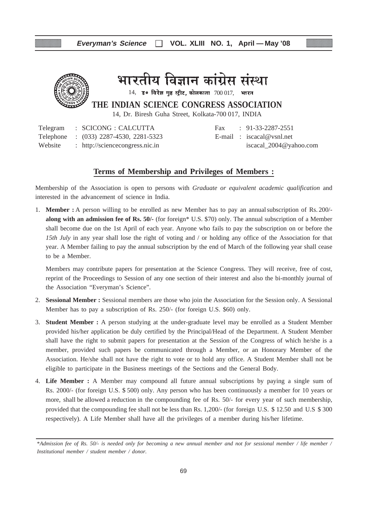

भारतीय विज्ञान कांग्रेस संस्था

 $14$ , उ० विरेश गुष्ठ स्ट्रीट, कोलकाता  $700017$ , भारत

**THE INDIAN SCIENCE CONGRESS ASSOCIATION**

14, Dr. Biresh Guha Street, Kolkata-700 017, INDIA

Telegram : SCICONG : CALCUTTA Fax : 91-33-2287-2551 Telephone : (033) 2287-4530, 2281-5323 E-mail : iscacal@vsnl.net Website : http://sciencecongress.nic.in iscacal\_2004@yahoo.com

## **Terms of Membership and Privileges of Members :**

Membership of the Association is open to persons with *Graduate or equivalent academic qualification* and interested in the advancement of science in India.

1. **Member :** A person willing to be enrolled as new Member has to pay an annualsubscription of Rs. 200/ **along with an admission fee of Rs. 50/-** (for foreign\* U.S. \$70) only. The annual subscription of a Member shall become due on the 1st April of each year. Anyone who fails to pay the subscription on or before the *15th July* in any year shall lose the right of voting and / or holding any office of the Association for that year. A Member failing to pay the annual subscription by the end of March of the following year shall cease to be a Member.

Members may contribute papers for presentation at the Science Congress. They will receive, free of cost, reprint of the Proceedings to Session of any one section of their interest and also the bi-monthly journal of the Association "Everyman's Science".

- 2. **Sessional Member :** Sessional members are those who join the Association for the Session only. A Sessional Member has to pay a subscription of Rs. 250/- (for foreign U.S. \$60) only.
- 3. **Student Member :** A person studying at the under-graduate level may be enrolled as a Student Member provided his/her application be duly certified by the Principal/Head of the Department. A Student Member shall have the right to submit papers for presentation at the Session of the Congress of which he/she is a member, provided such papers be communicated through a Member, or an Honorary Member of the Association. He/she shall not have the right to vote or to hold any office. A Student Member shall not be eligible to participate in the Business meetings of the Sections and the General Body.
- 4. **Life Member :** A Member may compound all future annual subscriptions by paying a single sum of Rs. 2000/- (for foreign U.S. \$ 500) only. Any person who has been continuously a member for 10 years or more, shall be allowed a reduction in the compounding fee of Rs. 50/- for every year of such membership, provided that the compounding fee shall not be less than Rs. 1,200/- (for foreign U.S. \$ 12.50 and U.S \$ 300 respectively). A Life Member shall have all the privileges of a member during his/her lifetime.

<sup>\*</sup>*Admission fee of Rs. 50/- is needed only for becoming a new annual member and not for sessional member / life member / Institutional member / student member / donor.*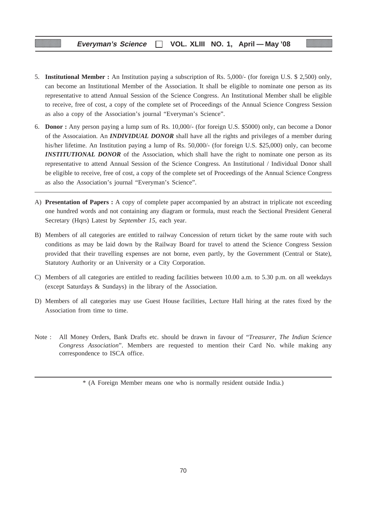- 5. **Institutional Member :** An Institution paying a subscription of Rs. 5,000/- (for foreign U.S. \$ 2,500) only, can become an Institutional Member of the Association. It shall be eligible to nominate one person as its representative to attend Annual Session of the Science Congress. An Institutional Member shall be eligible to receive, free of cost, a copy of the complete set of Proceedings of the Annual Science Congress Session as also a copy of the Association's journal "Everyman's Science".
- 6. **Donor :** Any person paying a lump sum of Rs. 10,000/- (for foreign U.S. \$5000) only, can become a Donor of the Assocaiation. An *INDIVIDUAL DONOR* shall have all the rights and privileges of a member during his/her lifetime. An Institution paying a lump of Rs. 50,000/- (for foreign U.S. \$25,000) only, can become **INSTITUTIONAL DONOR** of the Association, which shall have the right to nominate one person as its representative to attend Annual Session of the Science Congress. An Institutional / Individual Donor shall be eligible to receive, free of cost, a copy of the complete set of Proceedings of the Annual Science Congress as also the Association's journal "Everyman's Science".
- A) **Presentation of Papers :** A copy of complete paper accompanied by an abstract in triplicate not exceeding one hundred words and not containing any diagram or formula, must reach the Sectional President General Secretary (Hqrs) Latest by *September 15*, each year.
- B) Members of all categories are entitled to railway Concession of return ticket by the same route with such conditions as may be laid down by the Railway Board for travel to attend the Science Congress Session provided that their travelling expenses are not borne, even partly, by the Government (Central or State), Statutory Authority or an University or a City Corporation.
- C) Members of all categories are entitled to reading facilities between 10.00 a.m. to 5.30 p.m. on all weekdays (except Saturdays & Sundays) in the library of the Association.
- D) Members of all categories may use Guest House facilities, Lecture Hall hiring at the rates fixed by the Association from time to time.
- Note : All Money Orders, Bank Drafts etc. should be drawn in favour of "*Treasurer, The Indian Science Congress Association*". Members are requested to mention their Card No. while making any correspondence to ISCA office.

<sup>\* (</sup>A Foreign Member means one who is normally resident outside India.)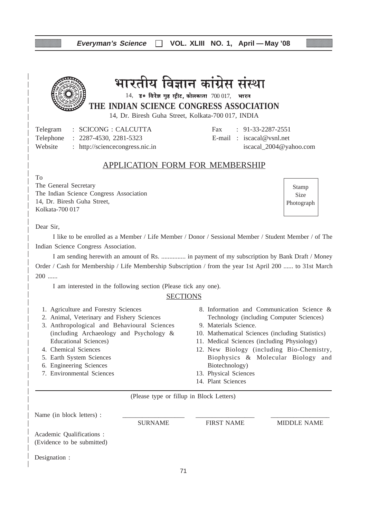## **Everyman's Science VOL. XLIII NO. 1, April — May '08**



# भारतीय विज्ञान कांग्रेस संस्था

 $14$ , उ० विरेश गुष्ठ स्ट्रीट, कोलकाता  $700017$ , भारत

**THE INDIAN SCIENCE CONGRESS ASSOCIATION**

14, Dr. Biresh Guha Street, Kolkata-700 017, INDIA

Telegram : SCICONG : CALCUTTA Fax : 91-33-2287-2551 Telephone : 2287-4530, 2281-5323 E-mail : iscacal@vsnl.net Website : http://sciencecongress.nic.in iscacal 2004@yahoo.com

## APPLICATION FORM FOR MEMBERSHIP

To

The General Secretary The Indian Science Congress Association 14, Dr. Biresh Guha Street, Kolkata-700 017

Stamp Size Photograph

Dear Sir,

I like to be enrolled as a Member / Life Member / Donor / Sessional Member / Student Member / of The Indian Science Congress Association.

I am sending herewith an amount of Rs. ............... in payment of my subscription by Bank Draft / Money Order / Cash for Membership / Life Membership Subscription / from the year 1st April 200 ...... to 31st March 200 ......

I am interested in the following section (Please tick any one).

## **SECTIONS**

- 1. Agriculture and Forestry Sciences
- 2. Animal, Veterinary and Fishery Sciences
- 3. Anthropological and Behavioural Sciences (including Archaeology and Psychology & Educational Sciences)
- 4. Chemical Sciences
- 5. Earth System Sciences
- 6. Engineering Sciences
- 7. Environmental Sciences
- 8. Information and Communication Science & Technology (including Computer Sciences)
- 9. Materials Science.
- 10. Mathematical Sciences (including Statistics)
- 11. Medical Sciences (including Physiology)
- 12. New Biology (including Bio-Chemistry, Biophysics & Molecular Biology and Biotechnology)
- 13. Physical Sciences
- 14. Plant Sciences

(Please type or fillup in Block Letters)

| Name (in block letters) :                               |                |                   |             |  |
|---------------------------------------------------------|----------------|-------------------|-------------|--|
|                                                         | <b>SURNAME</b> | <b>FIRST NAME</b> | MIDDLE NAME |  |
| Academic Qualifications :<br>(Evidence to be submitted) |                |                   |             |  |
| Designation :                                           |                |                   |             |  |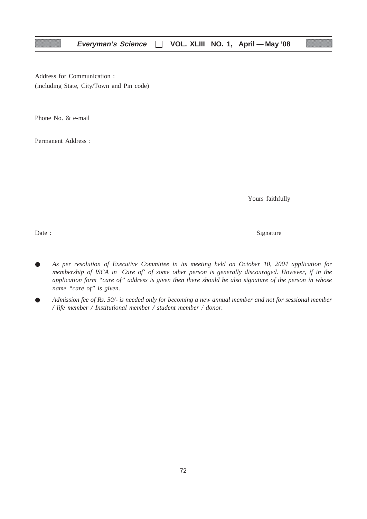Address for Communication : (including State, City/Town and Pin code)

Phone No. & e-mail

Permanent Address :

Yours faithfully

Date : Signature  $\sum_{n=1}^{\infty}$  Signature

- *As per resolution of Executive Committee in its meeting held on October 10, 2004 application for membership of ISCA in 'Care of' of some other person is generally discouraged. However, if in the application form "care of" address is given then there should be also signature of the person in whose name "care of" is given.*
- *Admission fee of Rs. 50/- is needed only for becoming a new annual member and not for sessional member / life member / Institutional member / student member / donor.*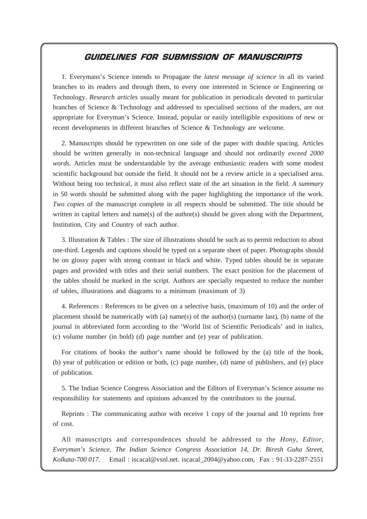## GUIDELINES FOR SUBMISSION OF MANUSCRIPTS

**Everyman's Science VOL. XLIII NO. 1, April — May '08**

1. Everymans's Science intends to Propagate the *latest message of science* in all its varied branches to its readers and through them, to every one interested in Science or Engineering or Technology. *Research articles* usually meant for publication in periodicals devoted to particular branches of Science & Technology and addressed to specialised sections of the readers, are not appropriate for Everyman's Science. Instead, popular or easily intelligible expositions of new or recent developments in different branches of Science & Technology are welcome.

2. Manuscripts should be typewritten on one side of the paper with double spacing. Articles should be written generally in non-technical language and should not ordinarily *exceed 2000 words.* Articles must be understandable by the average enthusiastic readers with some modest scientific background but outside the field. It should not be a review article in a specialised area. Without being too technical, it must also reflect state of the art situation in the field. *A summary* in 50 words should be submitted along with the paper highlighting the importance of the work. *Two copies* of the manuscript complete in all respects should be submitted. The title should be written in capital letters and name(s) of the author(s) should be given along with the Department, Institution, City and Country of each author.

3. Illustration & Tables : The size of illustrations should be such as to permit reduction to about one-third. Legends and captions should be typed on a separate sheet of paper. Photographs should be on glossy paper with strong contrast in black and white. Typed tables should be in separate pages and provided with titles and their serial numbers. The exact position for the placement of the tables should be marked in the script. Authors are specially requested to reduce the number of tables, illustrations and diagrams to a minimum (maximum of 3)

4. References : References to be given on a selective basis, (maximum of 10) and the order of placement should be numerically with (a) name(s) of the author(s) (surname last), (b) name of the journal in abbreviated form according to the 'World list of Scientific Periodicals' and in italics, (c) volume number (in bold) (d) page number and (e) year of publication.

For citations of books the author's name should be followed by the (a) title of the book, (b) year of publication or edition or both, (c) page number, (d) name of publishers, and (e) place of publication.

5. The Indian Science Congress Association and the Editors of Everyman's Science assume no responsibility for statements and opinions advanced by the contributors to the journal.

Reprints : The communicating author with receive 1 copy of the journal and 10 reprints free of cost.

All manuscripts and correspondences should be addressed to the *Hony, Editor, Everyman's Science, The Indian Science Congress Association 14, Dr. Biresh Guha Street, Kolkata-700 017.* Email : iscacal@vsnl.net. iscacal\_2004@yahoo.com, Fax : 91-33-2287-2551

73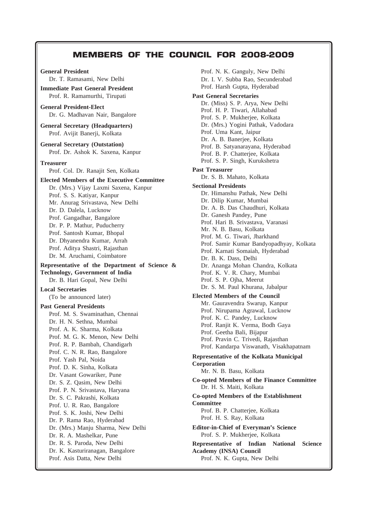## **Everyman's Science VOL. XLIII NO. 1, April — May '08** MEMBERS OF THE COUNCIL FOR 2008-2009

**General President** Dr. T. Ramasami, New Delhi **Immediate Past General President** Prof. R. Ramamurthi, Tirupati **General President-Elect** Dr. G. Madhavan Nair, Bangalore **General Secretary (Headquarters)** Prof. Avijit Banerji, Kolkata **General Secretary (Outstation)** Prof. Dr. Ashok K. Saxena, Kanpur **Treasurer** Prof. Col. Dr. Ranajit Sen, Kolkata **Elected Members of the Executive Committee** Dr. (Mrs.) Vijay Laxmi Saxena, Kanpur Prof. S. S. Katiyar, Kanpur Mr. Anurag Srivastava, New Delhi Dr. D. Dalela, Lucknow Prof. Gangadhar, Bangalore Dr. P. P. Mathur, Puducherry Prof. Santosh Kumar, Bhopal Dr. Dhyanendra Kumar, Arrah Prof. Aditya Shastri, Rajasthan Dr. M. Aruchami, Coimbatore **Representative of the Department of Science & Technology, Government of India** Dr. B. Hari Gopal, New Delhi **Local Secretaries** (To be announced later) **Past General Presidents** Prof. M. S. Swaminathan, Chennai Dr. H. N. Sethna, Mumbai Prof. A. K. Sharma, Kolkata Prof. M. G. K. Menon, New Delhi Prof. R. P. Bambah, Chandigarh Prof. C. N. R. Rao, Bangalore Prof. Yash Pal, Noida Prof. D. K. Sinha, Kolkata Dr. Vasant Gowariker, Pune Dr. S. Z. Qasim, New Delhi Prof. P. N. Srivastava, Haryana Dr. S. C. Pakrashi, Kolkata Prof. U. R. Rao, Bangalore Prof. S. K. Joshi, New Delhi Dr. P. Rama Rao, Hyderabad Dr. (Mrs.) Manju Sharma, New Delhi Dr. R. A. Mashelkar, Pune Dr. R. S. Paroda, New Delhi Dr. K. Kasturiranagan, Bangalore Prof. Asis Datta, New Delhi

Prof. N. K. Ganguly, New Delhi Dr. I. V. Subba Rao, Secunderabad Prof. Harsh Gupta, Hyderabad **Past General Secretaries** Dr. (Miss) S. P. Arya, New Delhi Prof. H. P. Tiwari, Allahabad Prof. S. P. Mukherjee, Kolkata Dr. (Mrs.) Yogini Pathak, Vadodara Prof. Uma Kant, Jaipur Dr. A. B. Banerjee, Kolkata Prof. B. Satyanarayana, Hyderabad Prof. B. P. Chatterjee, Kolkata Prof. S. P. Singh, Kurukshetra **Past Treasurer** Dr. S. B. Mahato, Kolkata **Sectional Presidents** Dr. Himanshu Pathak, New Delhi Dr. Dilip Kumar, Mumbai Dr. A. B. Das Chaudhuri, Kolkata Dr. Ganesh Pandey, Pune Prof. Hari B. Srivastava, Varanasi Mr. N. B. Basu, Kolkata Prof. M. G. Tiwari, Jharkhand Prof. Samir Kumar Bandyopadhyay, Kolkata Prof. Karnati Somaiah, Hyderabad Dr. B. K. Dass, Delhi Dr. Ananga Mohan Chandra, Kolkata Prof. K. V. R. Chary, Mumbai Prof. S. P. Ojha, Meerut Dr. S. M. Paul Khurana, Jabalpur **Elected Members of the Council** Mr. Gauravendra Swarup, Kanpur Prof. Nirupama Agrawal, Lucknow Prof. K. C. Pandey, Lucknow Prof. Ranjit K. Verma, Bodh Gaya Prof. Geetha Bali, Bijapur Prof. Pravin C. Trivedi, Rajasthan Prof. Kandarpa Viswanath, Visakhapatnam **Representative of the Kolkata Municipal Corporation** Mr. N. B. Basu, Kolkata **Co-opted Members of the Finance Committee** Dr. H. S. Maiti, Kolkata **Co-opted Members of the Establishment Committee** Prof. B. P. Chatterjee, Kolkata Prof. H. S. Ray, Kolkata **Editor-in-Chief of Everyman's Science** Prof. S. P. Mukherjee, Kolkata **Representative of Indian National Science Academy (INSA) Council**

Prof. N. K. Gupta, New Delhi

74